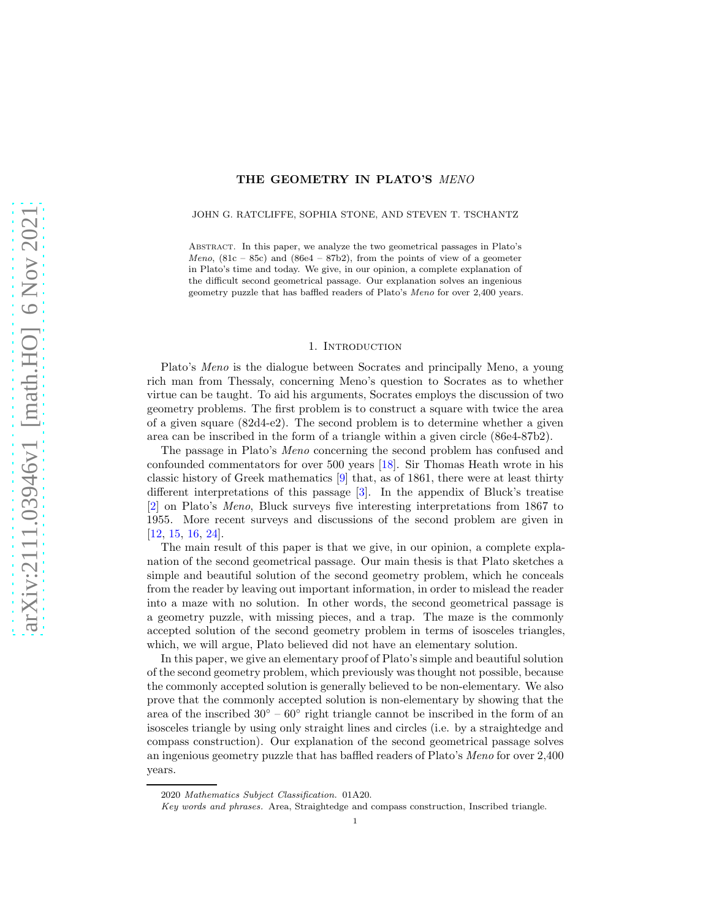# THE GEOMETRY IN PLATO'S MENO

### JOHN G. RATCLIFFE, SOPHIA STONE, AND STEVEN T. TSCHANTZ

Abstract. In this paper, we analyze the two geometrical passages in Plato's Meno,  $(81c - 85c)$  and  $(86e4 - 87b2)$ , from the points of view of a geometer in Plato's time and today. We give, in our opinion, a complete explanation of the difficult second geometrical passage. Our explanation solves an ingenious geometry puzzle that has baffled readers of Plato's Meno for over 2,400 years.

# 1. Introduction

Plato's *Meno* is the dialogue between Socrates and principally Meno, a young rich man from Thessaly, concerning Meno's question to Socrates as to whether virtue can be taught. To aid his arguments, Socrates employs the discussion of two geometry problems. The first problem is to construct a square with twice the area of a given square (82d4-e2). The second problem is to determine whether a given area can be inscribed in the form of a triangle within a given circle (86e4-87b2).

The passage in Plato's Meno concerning the second problem has confused and confounded commentators for over 500 years [\[18\]](#page-49-0). Sir Thomas Heath wrote in his classic history of Greek mathematics [\[9\]](#page-48-0) that, as of 1861, there were at least thirty different interpretations of this passage [\[3\]](#page-48-1). In the appendix of Bluck's treatise [\[2\]](#page-48-2) on Plato's Meno, Bluck surveys five interesting interpretations from 1867 to 1955. More recent surveys and discussions of the second problem are given in [\[12,](#page-48-3) [15,](#page-48-4) [16,](#page-48-5) [24\]](#page-49-1).

The main result of this paper is that we give, in our opinion, a complete explanation of the second geometrical passage. Our main thesis is that Plato sketches a simple and beautiful solution of the second geometry problem, which he conceals from the reader by leaving out important information, in order to mislead the reader into a maze with no solution. In other words, the second geometrical passage is a geometry puzzle, with missing pieces, and a trap. The maze is the commonly accepted solution of the second geometry problem in terms of isosceles triangles, which, we will argue, Plato believed did not have an elementary solution.

In this paper, we give an elementary proof of Plato's simple and beautiful solution of the second geometry problem, which previously was thought not possible, because the commonly accepted solution is generally believed to be non-elementary. We also prove that the commonly accepted solution is non-elementary by showing that the area of the inscribed  $30\degree - 60\degree$  right triangle cannot be inscribed in the form of an isosceles triangle by using only straight lines and circles (i.e. by a straightedge and compass construction). Our explanation of the second geometrical passage solves an ingenious geometry puzzle that has baffled readers of Plato's Meno for over 2,400 years.

<sup>2020</sup> Mathematics Subject Classification. 01A20.

Key words and phrases. Area, Straightedge and compass construction, Inscribed triangle.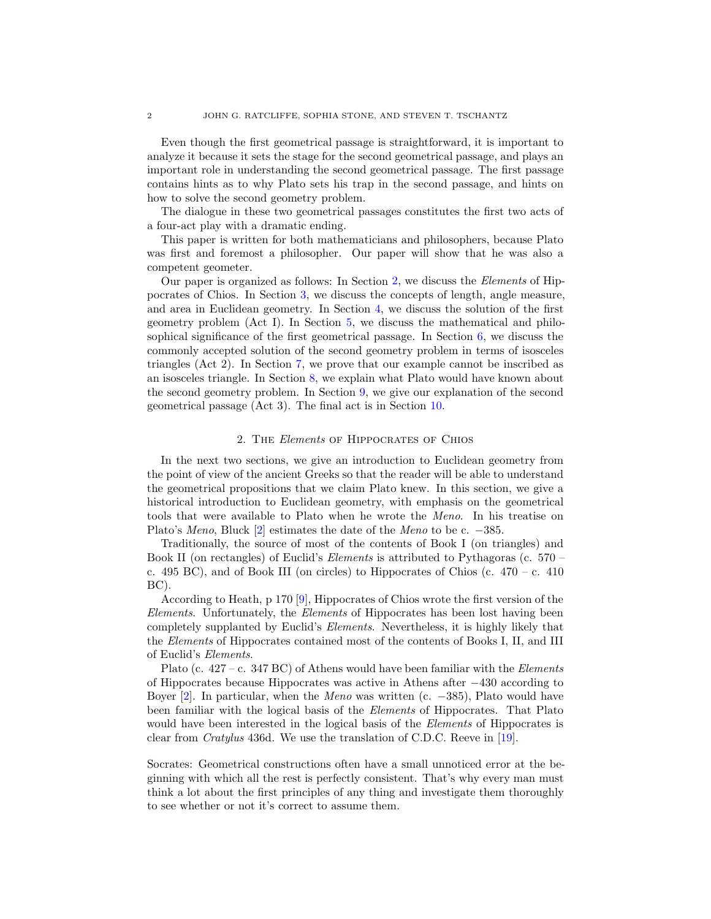Even though the first geometrical passage is straightforward, it is important to analyze it because it sets the stage for the second geometrical passage, and plays an important role in understanding the second geometrical passage. The first passage contains hints as to why Plato sets his trap in the second passage, and hints on how to solve the second geometry problem.

The dialogue in these two geometrical passages constitutes the first two acts of a four-act play with a dramatic ending.

This paper is written for both mathematicians and philosophers, because Plato was first and foremost a philosopher. Our paper will show that he was also a competent geometer.

Our paper is organized as follows: In Section [2,](#page-1-0) we discuss the Elements of Hippocrates of Chios. In Section [3,](#page-7-0) we discuss the concepts of length, angle measure, and area in Euclidean geometry. In Section [4,](#page-15-0) we discuss the solution of the first geometry problem (Act I). In Section [5,](#page-17-0) we discuss the mathematical and philosophical significance of the first geometrical passage. In Section [6,](#page-23-0) we discuss the commonly accepted solution of the second geometry problem in terms of isosceles triangles (Act 2). In Section [7,](#page-28-0) we prove that our example cannot be inscribed as an isosceles triangle. In Section [8,](#page-30-0) we explain what Plato would have known about the second geometry problem. In Section [9,](#page-38-0) we give our explanation of the second geometrical passage (Act 3). The final act is in Section [10.](#page-43-0)

### 2. The Elements of Hippocrates of Chios

<span id="page-1-0"></span>In the next two sections, we give an introduction to Euclidean geometry from the point of view of the ancient Greeks so that the reader will be able to understand the geometrical propositions that we claim Plato knew. In this section, we give a historical introduction to Euclidean geometry, with emphasis on the geometrical tools that were available to Plato when he wrote the Meno. In his treatise on Plato's Meno, Bluck [\[2\]](#page-48-2) estimates the date of the Meno to be c. −385.

Traditionally, the source of most of the contents of Book I (on triangles) and Book II (on rectangles) of Euclid's Elements is attributed to Pythagoras (c. 570 – c. 495 BC), and of Book III (on circles) to Hippocrates of Chios (c.  $470 - c$ . 410 BC).

According to Heath, p 170 [\[9\]](#page-48-0), Hippocrates of Chios wrote the first version of the Elements. Unfortunately, the Elements of Hippocrates has been lost having been completely supplanted by Euclid's Elements. Nevertheless, it is highly likely that the Elements of Hippocrates contained most of the contents of Books I, II, and III of Euclid's Elements.

Plato (c.  $427 - c$ . 347 BC) of Athens would have been familiar with the Elements of Hippocrates because Hippocrates was active in Athens after −430 according to Boyer [\[2\]](#page-48-2). In particular, when the Meno was written (c.  $-385$ ), Plato would have been familiar with the logical basis of the Elements of Hippocrates. That Plato would have been interested in the logical basis of the *Elements* of Hippocrates is clear from Cratylus 436d. We use the translation of C.D.C. Reeve in [\[19\]](#page-49-2).

Socrates: Geometrical constructions often have a small unnoticed error at the beginning with which all the rest is perfectly consistent. That's why every man must think a lot about the first principles of any thing and investigate them thoroughly to see whether or not it's correct to assume them.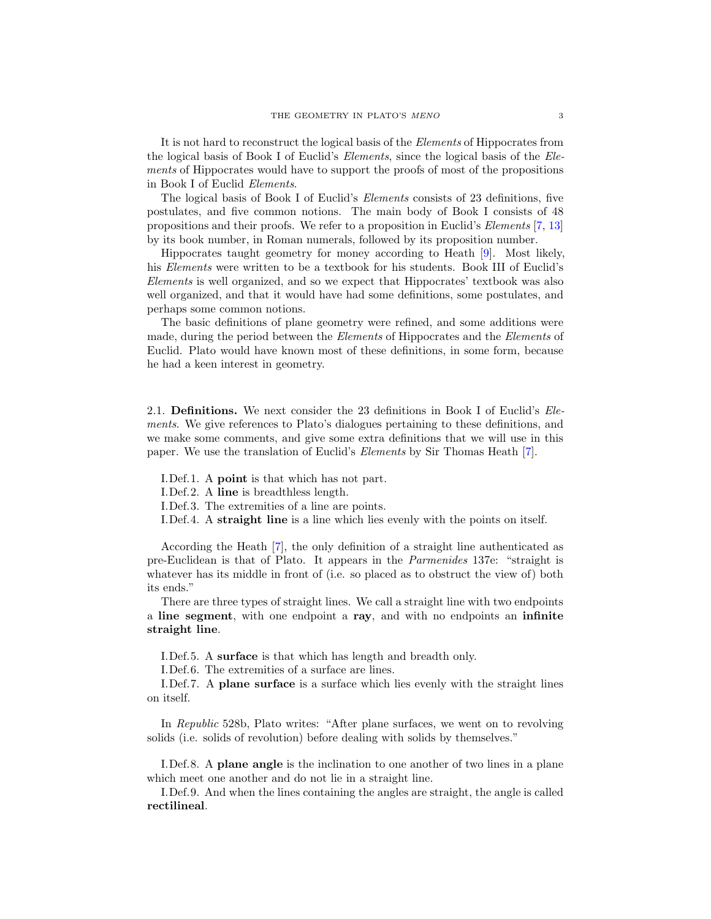It is not hard to reconstruct the logical basis of the Elements of Hippocrates from the logical basis of Book I of Euclid's Elements, since the logical basis of the Elements of Hippocrates would have to support the proofs of most of the propositions in Book I of Euclid Elements.

The logical basis of Book I of Euclid's Elements consists of 23 definitions, five postulates, and five common notions. The main body of Book I consists of 48 propositions and their proofs. We refer to a proposition in Euclid's Elements [\[7,](#page-48-6) [13\]](#page-48-7) by its book number, in Roman numerals, followed by its proposition number.

Hippocrates taught geometry for money according to Heath [\[9\]](#page-48-0). Most likely, his Elements were written to be a textbook for his students. Book III of Euclid's Elements is well organized, and so we expect that Hippocrates' textbook was also well organized, and that it would have had some definitions, some postulates, and perhaps some common notions.

The basic definitions of plane geometry were refined, and some additions were made, during the period between the Elements of Hippocrates and the Elements of Euclid. Plato would have known most of these definitions, in some form, because he had a keen interest in geometry.

2.1. Definitions. We next consider the 23 definitions in Book I of Euclid's Elements. We give references to Plato's dialogues pertaining to these definitions, and we make some comments, and give some extra definitions that we will use in this paper. We use the translation of Euclid's Elements by Sir Thomas Heath [\[7\]](#page-48-6).

I.Def.1. A point is that which has not part.

I.Def.2. A line is breadthless length.

I.Def.3. The extremities of a line are points.

I.Def.4. A straight line is a line which lies evenly with the points on itself.

According the Heath [\[7\]](#page-48-6), the only definition of a straight line authenticated as pre-Euclidean is that of Plato. It appears in the Parmenides 137e: "straight is whatever has its middle in front of (i.e. so placed as to obstruct the view of) both its ends."

There are three types of straight lines. We call a straight line with two endpoints a line segment, with one endpoint a ray, and with no endpoints an infinite straight line.

I.Def.5. A surface is that which has length and breadth only.

I.Def.6. The extremities of a surface are lines.

I.Def.7. A plane surface is a surface which lies evenly with the straight lines on itself.

In Republic 528b, Plato writes: "After plane surfaces, we went on to revolving solids (i.e. solids of revolution) before dealing with solids by themselves."

I.Def.8. A plane angle is the inclination to one another of two lines in a plane which meet one another and do not lie in a straight line.

I.Def.9. And when the lines containing the angles are straight, the angle is called rectilineal.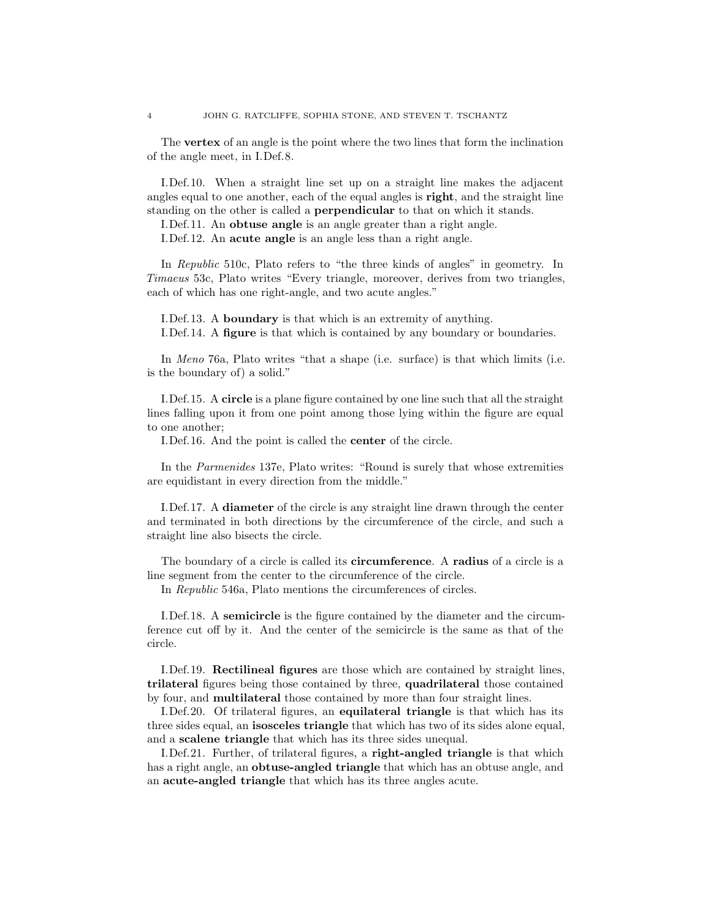The vertex of an angle is the point where the two lines that form the inclination of the angle meet, in I.Def.8.

I.Def.10. When a straight line set up on a straight line makes the adjacent angles equal to one another, each of the equal angles is right, and the straight line standing on the other is called a perpendicular to that on which it stands.

I.Def.11. An obtuse angle is an angle greater than a right angle.

I.Def.12. An acute angle is an angle less than a right angle.

In Republic 510c, Plato refers to "the three kinds of angles" in geometry. In Timaeus 53c, Plato writes "Every triangle, moreover, derives from two triangles, each of which has one right-angle, and two acute angles."

I.Def.13. A boundary is that which is an extremity of anything. I.Def.14. A figure is that which is contained by any boundary or boundaries.

In Meno 76a, Plato writes "that a shape (i.e. surface) is that which limits (i.e. is the boundary of) a solid."

I.Def.15. A circle is a plane figure contained by one line such that all the straight lines falling upon it from one point among those lying within the figure are equal to one another;

I.Def.16. And the point is called the center of the circle.

In the Parmenides 137e, Plato writes: "Round is surely that whose extremities are equidistant in every direction from the middle."

I.Def.17. A **diameter** of the circle is any straight line drawn through the center and terminated in both directions by the circumference of the circle, and such a straight line also bisects the circle.

The boundary of a circle is called its **circumference**. A **radius** of a circle is a line segment from the center to the circumference of the circle.

In Republic 546a, Plato mentions the circumferences of circles.

I.Def.18. A semicircle is the figure contained by the diameter and the circumference cut off by it. And the center of the semicircle is the same as that of the circle.

I.Def.19. Rectilineal figures are those which are contained by straight lines, trilateral figures being those contained by three, quadrilateral those contained by four, and multilateral those contained by more than four straight lines.

I.Def.20. Of trilateral figures, an equilateral triangle is that which has its three sides equal, an isosceles triangle that which has two of its sides alone equal, and a scalene triangle that which has its three sides unequal.

I.Def.21. Further, of trilateral figures, a right-angled triangle is that which has a right angle, an **obtuse-angled triangle** that which has an obtuse angle, and an acute-angled triangle that which has its three angles acute.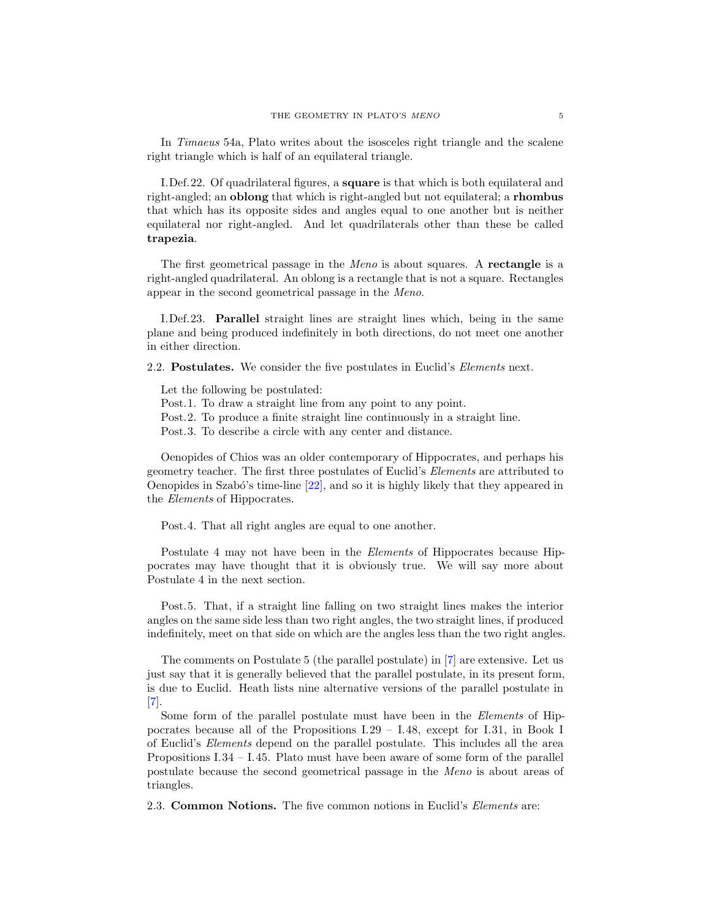In Timaeus 54a, Plato writes about the isosceles right triangle and the scalene right triangle which is half of an equilateral triangle.

I.Def.22. Of quadrilateral figures, a square is that which is both equilateral and right-angled; an oblong that which is right-angled but not equilateral; a rhombus that which has its opposite sides and angles equal to one another but is neither equilateral nor right-angled. And let quadrilaterals other than these be called trapezia.

The first geometrical passage in the *Meno* is about squares. A **rectangle** is a right-angled quadrilateral. An oblong is a rectangle that is not a square. Rectangles appear in the second geometrical passage in the Meno.

I.Def.23. Parallel straight lines are straight lines which, being in the same plane and being produced indefinitely in both directions, do not meet one another in either direction.

2.2. **Postulates.** We consider the five postulates in Euclid's *Elements* next.

Let the following be postulated:

Post.1. To draw a straight line from any point to any point.

Post.2. To produce a finite straight line continuously in a straight line.

Post.3. To describe a circle with any center and distance.

Oenopides of Chios was an older contemporary of Hippocrates, and perhaps his geometry teacher. The first three postulates of Euclid's Elements are attributed to Oenopides in Szabó's time-line  $[22]$ , and so it is highly likely that they appeared in the Elements of Hippocrates.

Post.4. That all right angles are equal to one another.

Postulate 4 may not have been in the *Elements* of Hippocrates because Hippocrates may have thought that it is obviously true. We will say more about Postulate 4 in the next section.

Post.5. That, if a straight line falling on two straight lines makes the interior angles on the same side less than two right angles, the two straight lines, if produced indefinitely, meet on that side on which are the angles less than the two right angles.

The comments on Postulate 5 (the parallel postulate) in [\[7\]](#page-48-6) are extensive. Let us just say that it is generally believed that the parallel postulate, in its present form, is due to Euclid. Heath lists nine alternative versions of the parallel postulate in [\[7\]](#page-48-6).

Some form of the parallel postulate must have been in the *Elements* of Hippocrates because all of the Propositions I.29 – I.48, except for I.31, in Book I of Euclid's Elements depend on the parallel postulate. This includes all the area Propositions I.34 – I.45. Plato must have been aware of some form of the parallel postulate because the second geometrical passage in the Meno is about areas of triangles.

2.3. Common Notions. The five common notions in Euclid's Elements are: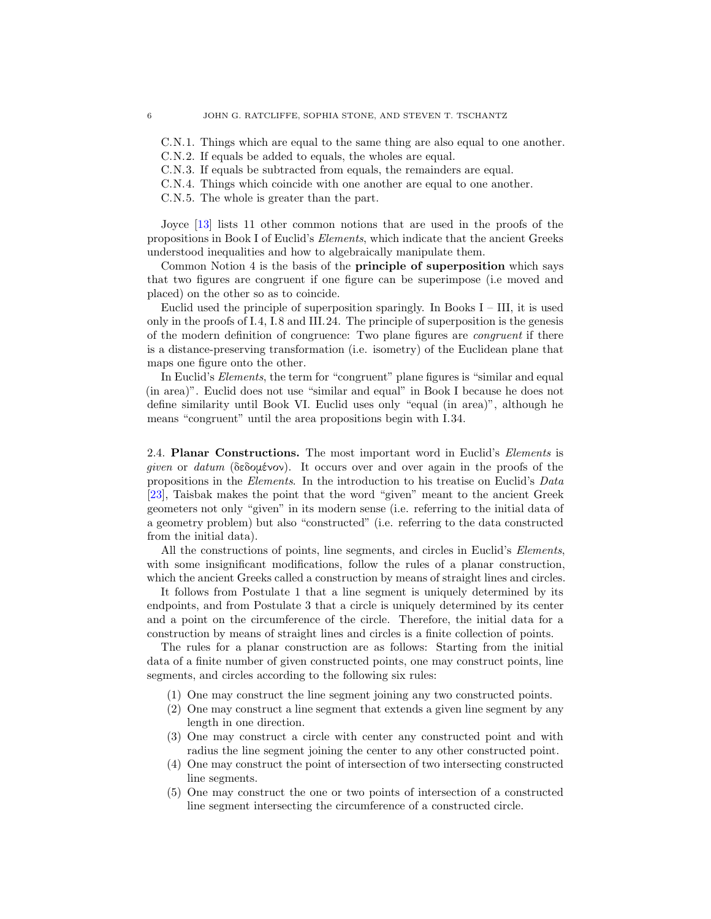C.N.1. Things which are equal to the same thing are also equal to one another.

C.N.2. If equals be added to equals, the wholes are equal.

C.N.3. If equals be subtracted from equals, the remainders are equal.

C.N.4. Things which coincide with one another are equal to one another.

C.N.5. The whole is greater than the part.

Joyce [\[13\]](#page-48-7) lists 11 other common notions that are used in the proofs of the propositions in Book I of Euclid's Elements, which indicate that the ancient Greeks understood inequalities and how to algebraically manipulate them.

Common Notion 4 is the basis of the principle of superposition which says that two figures are congruent if one figure can be superimpose (i.e moved and placed) on the other so as to coincide.

Euclid used the principle of superposition sparingly. In Books  $I - III$ , it is used only in the proofs of I.4, I.8 and III.24. The principle of superposition is the genesis of the modern definition of congruence: Two plane figures are congruent if there is a distance-preserving transformation (i.e. isometry) of the Euclidean plane that maps one figure onto the other.

In Euclid's *Elements*, the term for "congruent" plane figures is "similar and equal (in area)". Euclid does not use "similar and equal" in Book I because he does not define similarity until Book VI. Euclid uses only "equal (in area)", although he means "congruent" until the area propositions begin with I.34.

<span id="page-5-0"></span>2.4. Planar Constructions. The most important word in Euclid's Elements is given or datum (δεδομένον). It occurs over and over again in the proofs of the propositions in the Elements. In the introduction to his treatise on Euclid's Data [\[23\]](#page-49-4), Taisbak makes the point that the word "given" meant to the ancient Greek geometers not only "given" in its modern sense (i.e. referring to the initial data of a geometry problem) but also "constructed" (i.e. referring to the data constructed from the initial data).

All the constructions of points, line segments, and circles in Euclid's *Elements*, with some insignificant modifications, follow the rules of a planar construction, which the ancient Greeks called a construction by means of straight lines and circles.

It follows from Postulate 1 that a line segment is uniquely determined by its endpoints, and from Postulate 3 that a circle is uniquely determined by its center and a point on the circumference of the circle. Therefore, the initial data for a construction by means of straight lines and circles is a finite collection of points.

The rules for a planar construction are as follows: Starting from the initial data of a finite number of given constructed points, one may construct points, line segments, and circles according to the following six rules:

- (1) One may construct the line segment joining any two constructed points.
- (2) One may construct a line segment that extends a given line segment by any length in one direction.
- (3) One may construct a circle with center any constructed point and with radius the line segment joining the center to any other constructed point.
- (4) One may construct the point of intersection of two intersecting constructed line segments.
- (5) One may construct the one or two points of intersection of a constructed line segment intersecting the circumference of a constructed circle.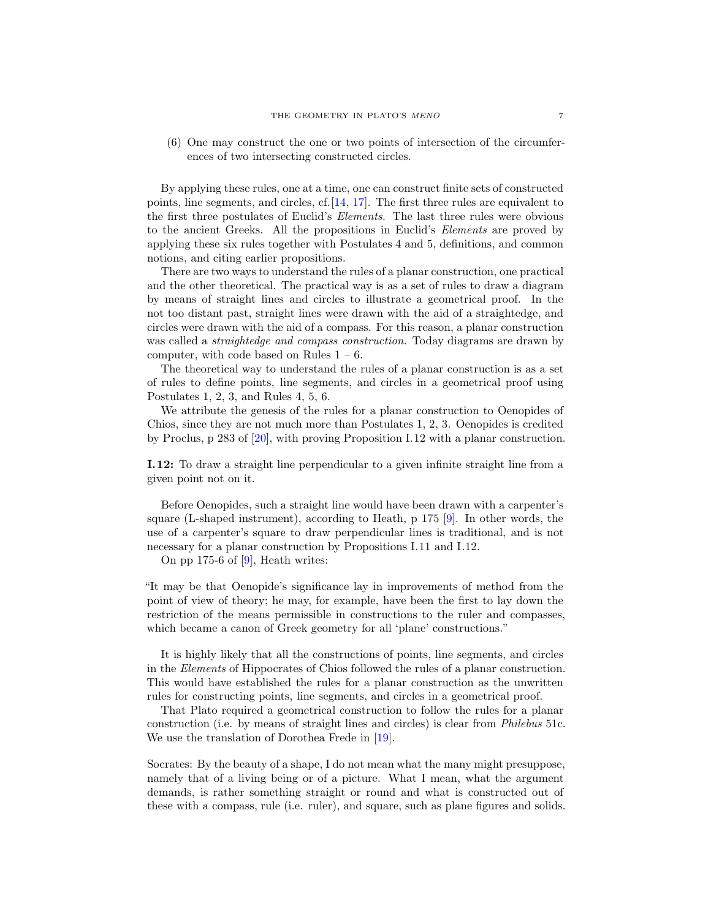(6) One may construct the one or two points of intersection of the circumferences of two intersecting constructed circles.

By applying these rules, one at a time, one can construct finite sets of constructed points, line segments, and circles, cf.[\[14,](#page-48-8) [17\]](#page-48-9). The first three rules are equivalent to the first three postulates of Euclid's Elements. The last three rules were obvious to the ancient Greeks. All the propositions in Euclid's Elements are proved by applying these six rules together with Postulates 4 and 5, definitions, and common notions, and citing earlier propositions.

There are two ways to understand the rules of a planar construction, one practical and the other theoretical. The practical way is as a set of rules to draw a diagram by means of straight lines and circles to illustrate a geometrical proof. In the not too distant past, straight lines were drawn with the aid of a straightedge, and circles were drawn with the aid of a compass. For this reason, a planar construction was called a *straightedge and compass construction*. Today diagrams are drawn by computer, with code based on Rules  $1 - 6$ .

The theoretical way to understand the rules of a planar construction is as a set of rules to define points, line segments, and circles in a geometrical proof using Postulates 1, 2, 3, and Rules 4, 5, 6.

We attribute the genesis of the rules for a planar construction to Oenopides of Chios, since they are not much more than Postulates 1, 2, 3. Oenopides is credited by Proclus, p 283 of [\[20\]](#page-49-5), with proving Proposition I.12 with a planar construction.

I.12: To draw a straight line perpendicular to a given infinite straight line from a given point not on it.

Before Oenopides, such a straight line would have been drawn with a carpenter's square (L-shaped instrument), according to Heath, p 175 [\[9\]](#page-48-0). In other words, the use of a carpenter's square to draw perpendicular lines is traditional, and is not necessary for a planar construction by Propositions I.11 and I.12.

On pp 175-6 of  $[9]$ , Heath writes:

"It may be that Oenopide's significance lay in improvements of method from the point of view of theory; he may, for example, have been the first to lay down the restriction of the means permissible in constructions to the ruler and compasses, which became a canon of Greek geometry for all 'plane' constructions."

It is highly likely that all the constructions of points, line segments, and circles in the Elements of Hippocrates of Chios followed the rules of a planar construction. This would have established the rules for a planar construction as the unwritten rules for constructing points, line segments, and circles in a geometrical proof.

That Plato required a geometrical construction to follow the rules for a planar construction (i.e. by means of straight lines and circles) is clear from Philebus 51c. We use the translation of Dorothea Frede in [\[19\]](#page-49-2).

Socrates: By the beauty of a shape, I do not mean what the many might presuppose, namely that of a living being or of a picture. What I mean, what the argument demands, is rather something straight or round and what is constructed out of these with a compass, rule (i.e. ruler), and square, such as plane figures and solids.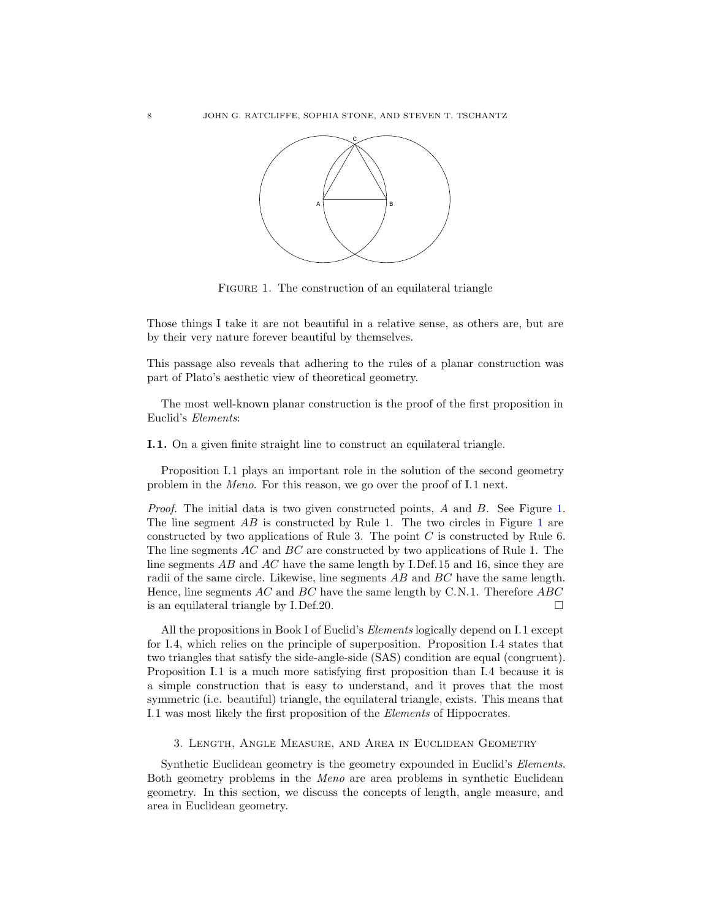

<span id="page-7-1"></span>FIGURE 1. The construction of an equilateral triangle

Those things I take it are not beautiful in a relative sense, as others are, but are by their very nature forever beautiful by themselves.

This passage also reveals that adhering to the rules of a planar construction was part of Plato's aesthetic view of theoretical geometry.

The most well-known planar construction is the proof of the first proposition in Euclid's Elements:

I.1. On a given finite straight line to construct an equilateral triangle.

Proposition I.1 plays an important role in the solution of the second geometry problem in the Meno. For this reason, we go over the proof of I.1 next.

Proof. The initial data is two given constructed points, A and B. See Figure [1.](#page-7-1) The line segment AB is constructed by Rule [1](#page-7-1). The two circles in Figure 1 are constructed by two applications of Rule 3. The point  $C$  is constructed by Rule 6. The line segments AC and BC are constructed by two applications of Rule 1. The line segments  $\overline{AB}$  and  $\overline{AC}$  have the same length by I.Def.15 and 16, since they are radii of the same circle. Likewise, line segments AB and BC have the same length. Hence, line segments  $AC$  and  $BC$  have the same length by C.N.1. Therefore  $ABC$ is an equilateral triangle by I.Def.20.  $\Box$ 

All the propositions in Book I of Euclid's *Elements* logically depend on I.1 except for I.4, which relies on the principle of superposition. Proposition I.4 states that two triangles that satisfy the side-angle-side (SAS) condition are equal (congruent). Proposition I.1 is a much more satisfying first proposition than I.4 because it is a simple construction that is easy to understand, and it proves that the most symmetric (i.e. beautiful) triangle, the equilateral triangle, exists. This means that I.1 was most likely the first proposition of the Elements of Hippocrates.

<span id="page-7-0"></span>3. Length, Angle Measure, and Area in Euclidean Geometry

Synthetic Euclidean geometry is the geometry expounded in Euclid's *Elements*. Both geometry problems in the Meno are area problems in synthetic Euclidean geometry. In this section, we discuss the concepts of length, angle measure, and area in Euclidean geometry.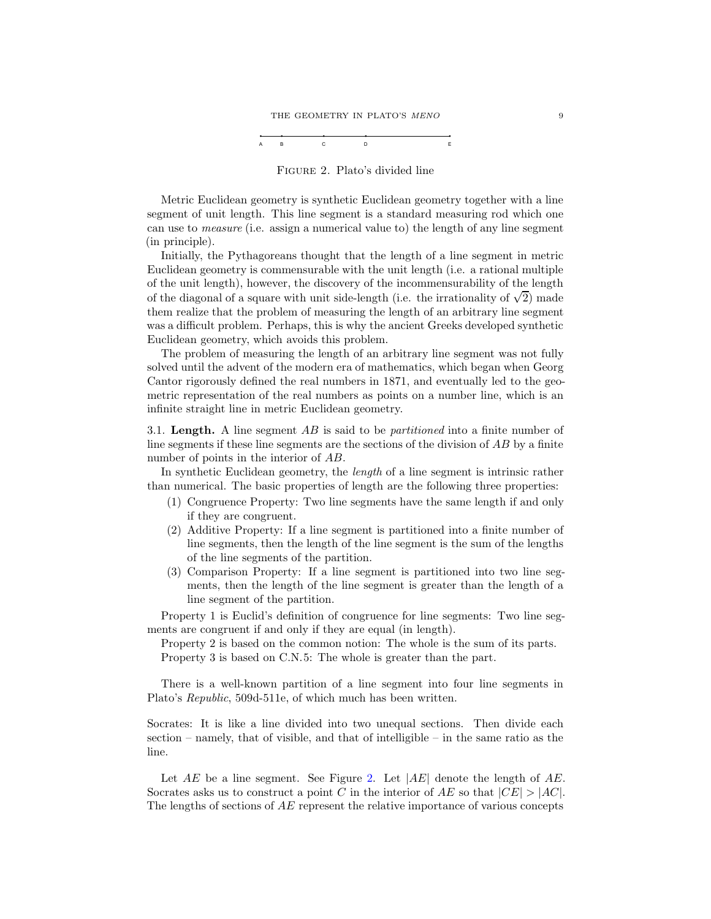#### THE GEOMETRY IN PLATO'S  $\emph{MENO}$  9



<span id="page-8-0"></span>Figure 2. Plato's divided line

Metric Euclidean geometry is synthetic Euclidean geometry together with a line segment of unit length. This line segment is a standard measuring rod which one can use to measure (i.e. assign a numerical value to) the length of any line segment (in principle).

Initially, the Pythagoreans thought that the length of a line segment in metric Euclidean geometry is commensurable with the unit length (i.e. a rational multiple of the unit length), however, the discovery of the incommensurability of the length of the diagonal of a square with unit side-length (i.e. the irrationality of  $\sqrt{2}$ ) made them realize that the problem of measuring the length of an arbitrary line segment was a difficult problem. Perhaps, this is why the ancient Greeks developed synthetic Euclidean geometry, which avoids this problem.

The problem of measuring the length of an arbitrary line segment was not fully solved until the advent of the modern era of mathematics, which began when Georg Cantor rigorously defined the real numbers in 1871, and eventually led to the geometric representation of the real numbers as points on a number line, which is an infinite straight line in metric Euclidean geometry.

3.1. Length. A line segment AB is said to be *partitioned* into a finite number of line segments if these line segments are the sections of the division of AB by a finite number of points in the interior of AB.

In synthetic Euclidean geometry, the length of a line segment is intrinsic rather than numerical. The basic properties of length are the following three properties:

- (1) Congruence Property: Two line segments have the same length if and only if they are congruent.
- (2) Additive Property: If a line segment is partitioned into a finite number of line segments, then the length of the line segment is the sum of the lengths of the line segments of the partition.
- (3) Comparison Property: If a line segment is partitioned into two line segments, then the length of the line segment is greater than the length of a line segment of the partition.

Property 1 is Euclid's definition of congruence for line segments: Two line segments are congruent if and only if they are equal (in length).

Property 2 is based on the common notion: The whole is the sum of its parts. Property 3 is based on C.N.5: The whole is greater than the part.

There is a well-known partition of a line segment into four line segments in Plato's Republic, 509d-511e, of which much has been written.

Socrates: It is like a line divided into two unequal sections. Then divide each section – namely, that of visible, and that of intelligible – in the same ratio as the line.

Let  $AE$  be a line segment. See Figure [2.](#page-8-0) Let  $|AE|$  denote the length of  $AE$ . Socrates asks us to construct a point C in the interior of AE so that  $|CE| > |AC|$ . The lengths of sections of AE represent the relative importance of various concepts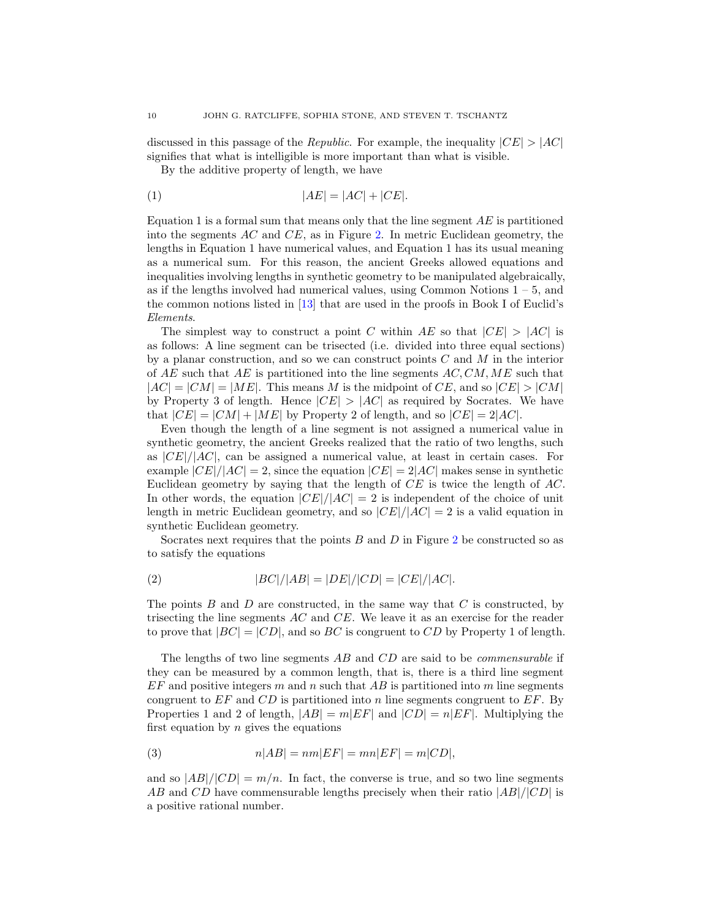discussed in this passage of the *Republic*. For example, the inequality  $|CE| > |AC|$ signifies that what is intelligible is more important than what is visible.

By the additive property of length, we have

$$
|AE| = |AC| + |CE|.
$$

Equation 1 is a formal sum that means only that the line segment  $AE$  is partitioned into the segments  $AC$  and  $CE$ , as in Figure [2.](#page-8-0) In metric Euclidean geometry, the lengths in Equation 1 have numerical values, and Equation 1 has its usual meaning as a numerical sum. For this reason, the ancient Greeks allowed equations and inequalities involving lengths in synthetic geometry to be manipulated algebraically, as if the lengths involved had numerical values, using Common Notions  $1 - 5$ , and the common notions listed in [\[13\]](#page-48-7) that are used in the proofs in Book I of Euclid's Elements.

The simplest way to construct a point C within AE so that  $|CE| > |AC|$  is as follows: A line segment can be trisected (i.e. divided into three equal sections) by a planar construction, and so we can construct points  $C$  and  $M$  in the interior of AE such that AE is partitioned into the line segments  $AC, CM, ME$  such that  $|AC| = |CM| = |ME|$ . This means M is the midpoint of CE, and so  $|CE| > |CM|$ by Property 3 of length. Hence  $|CE| > |AC|$  as required by Socrates. We have that  $|CE| = |CM| + |ME|$  by Property 2 of length, and so  $|CE| = 2|AC|$ .

Even though the length of a line segment is not assigned a numerical value in synthetic geometry, the ancient Greeks realized that the ratio of two lengths, such as  $|CE|/|AC|$ , can be assigned a numerical value, at least in certain cases. For example  $|CE|/|AC| = 2$ , since the equation  $|CE| = 2|AC|$  makes sense in synthetic Euclidean geometry by saying that the length of CE is twice the length of AC. In other words, the equation  $|CE|/|AC| = 2$  is independent of the choice of unit length in metric Euclidean geometry, and so  $|CE|/|AC| = 2$  is a valid equation in synthetic Euclidean geometry.

Socrates next requires that the points  $B$  and  $D$  in Figure [2](#page-8-0) be constructed so as to satisfy the equations

(2) 
$$
|BC|/|AB| = |DE|/|CD| = |CE|/|AC|.
$$

The points  $B$  and  $D$  are constructed, in the same way that  $C$  is constructed, by trisecting the line segments AC and CE. We leave it as an exercise for the reader to prove that  $|BC| = |CD|$ , and so BC is congruent to CD by Property 1 of length.

The lengths of two line segments AB and CD are said to be *commensurable* if they can be measured by a common length, that is, there is a third line segment  $EF$  and positive integers m and n such that  $AB$  is partitioned into m line segments congruent to  $EF$  and  $CD$  is partitioned into n line segments congruent to  $EF$ . By Properties 1 and 2 of length,  $|AB| = m|EF|$  and  $|CD| = n|EF|$ . Multiplying the first equation by  $n$  gives the equations

(3) 
$$
n|AB| = nm|EF| = mn|EF| = m|CD|,
$$

and so  $|AB|/|CD| = m/n$ . In fact, the converse is true, and so two line segments AB and CD have commensurable lengths precisely when their ratio  $|AB|/|CD|$  is a positive rational number.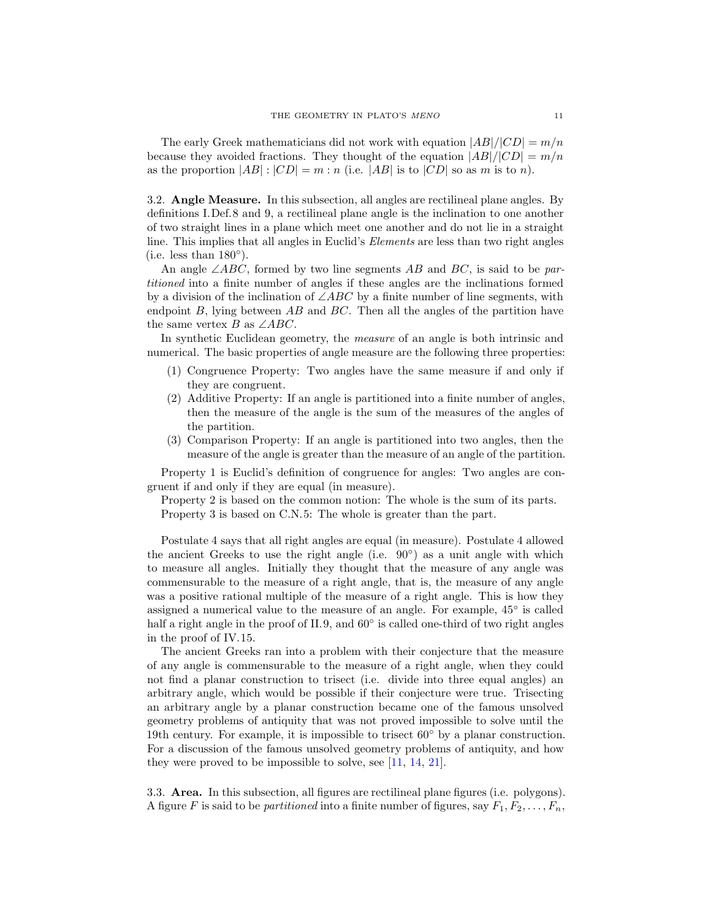The early Greek mathematicians did not work with equation  $|AB|/|CD| = m/n$ because they avoided fractions. They thought of the equation  $|AB|/|CD| = m/n$ as the proportion  $|AB|:|CD| = m : n$  (i.e.  $|AB|$  is to  $|CD|$  so as m is to n).

3.2. Angle Measure. In this subsection, all angles are rectilineal plane angles. By definitions I.Def.8 and 9, a rectilineal plane angle is the inclination to one another of two straight lines in a plane which meet one another and do not lie in a straight line. This implies that all angles in Euclid's Elements are less than two right angles (i.e. less than  $180^\circ$ ).

An angle  $\angle ABC$ , formed by two line segments AB and BC, is said to be partitioned into a finite number of angles if these angles are the inclinations formed by a division of the inclination of  $\angle ABC$  by a finite number of line segments, with endpoint  $B$ , lying between  $AB$  and  $BC$ . Then all the angles of the partition have the same vertex B as  $\angle ABC$ .

In synthetic Euclidean geometry, the *measure* of an angle is both intrinsic and numerical. The basic properties of angle measure are the following three properties:

- (1) Congruence Property: Two angles have the same measure if and only if they are congruent.
- (2) Additive Property: If an angle is partitioned into a finite number of angles, then the measure of the angle is the sum of the measures of the angles of the partition.
- (3) Comparison Property: If an angle is partitioned into two angles, then the measure of the angle is greater than the measure of an angle of the partition.

Property 1 is Euclid's definition of congruence for angles: Two angles are congruent if and only if they are equal (in measure).

Property 2 is based on the common notion: The whole is the sum of its parts. Property 3 is based on C.N.5: The whole is greater than the part.

Postulate 4 says that all right angles are equal (in measure). Postulate 4 allowed the ancient Greeks to use the right angle (i.e.  $90^{\circ}$ ) as a unit angle with which to measure all angles. Initially they thought that the measure of any angle was commensurable to the measure of a right angle, that is, the measure of any angle was a positive rational multiple of the measure of a right angle. This is how they assigned a numerical value to the measure of an angle. For example,  $45^{\circ}$  is called half a right angle in the proof of II.9, and 60° is called one-third of two right angles in the proof of IV.15.

The ancient Greeks ran into a problem with their conjecture that the measure of any angle is commensurable to the measure of a right angle, when they could not find a planar construction to trisect (i.e. divide into three equal angles) an arbitrary angle, which would be possible if their conjecture were true. Trisecting an arbitrary angle by a planar construction became one of the famous unsolved geometry problems of antiquity that was not proved impossible to solve until the 19th century. For example, it is impossible to trisect  $60°$  by a planar construction. For a discussion of the famous unsolved geometry problems of antiquity, and how they were proved to be impossible to solve, see [\[11,](#page-48-10) [14,](#page-48-8) [21\]](#page-49-6).

3.3. Area. In this subsection, all figures are rectilineal plane figures (i.e. polygons). A figure F is said to be *partitioned* into a finite number of figures, say  $F_1, F_2, \ldots, F_n$ ,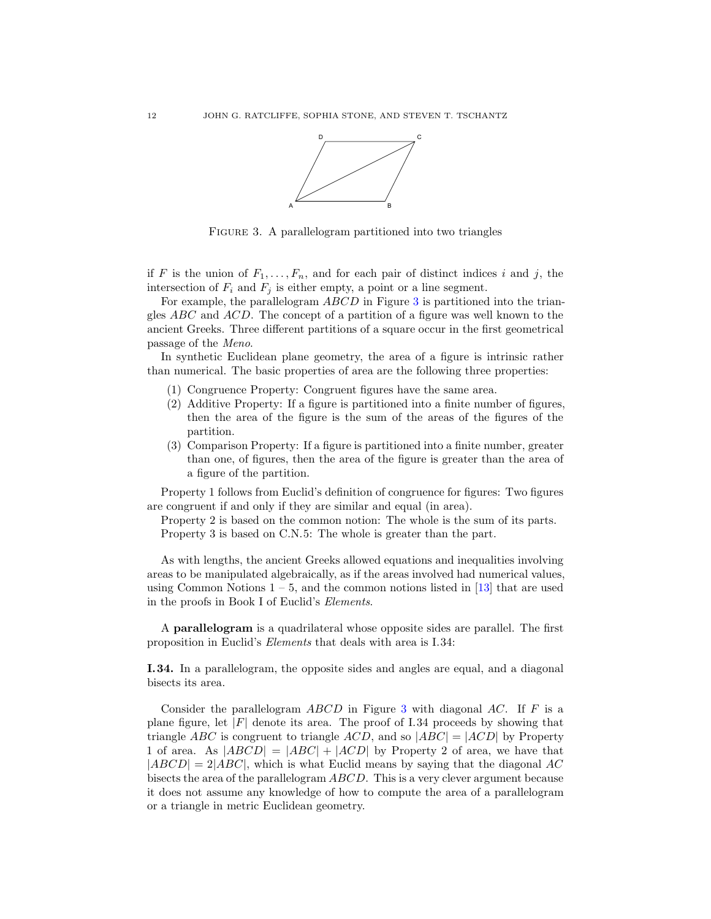

<span id="page-11-0"></span>FIGURE 3. A parallelogram partitioned into two triangles

if F is the union of  $F_1, \ldots, F_n$ , and for each pair of distinct indices i and j, the intersection of  $F_i$  and  $F_j$  is either empty, a point or a line segment.

For example, the parallelogram ABCD in Figure [3](#page-11-0) is partitioned into the triangles  $ABC$  and  $ACD$ . The concept of a partition of a figure was well known to the ancient Greeks. Three different partitions of a square occur in the first geometrical passage of the Meno.

In synthetic Euclidean plane geometry, the area of a figure is intrinsic rather than numerical. The basic properties of area are the following three properties:

- (1) Congruence Property: Congruent figures have the same area.
- (2) Additive Property: If a figure is partitioned into a finite number of figures, then the area of the figure is the sum of the areas of the figures of the partition.
- (3) Comparison Property: If a figure is partitioned into a finite number, greater than one, of figures, then the area of the figure is greater than the area of a figure of the partition.

Property 1 follows from Euclid's definition of congruence for figures: Two figures are congruent if and only if they are similar and equal (in area).

Property 2 is based on the common notion: The whole is the sum of its parts. Property 3 is based on C.N.5: The whole is greater than the part.

As with lengths, the ancient Greeks allowed equations and inequalities involving areas to be manipulated algebraically, as if the areas involved had numerical values, using Common Notions  $1 - 5$ , and the common notions listed in [\[13\]](#page-48-7) that are used in the proofs in Book I of Euclid's Elements.

A parallelogram is a quadrilateral whose opposite sides are parallel. The first proposition in Euclid's Elements that deals with area is I.34:

I.34. In a parallelogram, the opposite sides and angles are equal, and a diagonal bisects its area.

Consider the parallelogram  $ABCD$  in Figure [3](#page-11-0) with diagonal AC. If F is a plane figure, let  $|F|$  denote its area. The proof of I.34 proceeds by showing that triangle ABC is congruent to triangle ACD, and so  $|ABC| = |ACD|$  by Property 1 of area. As  $|ABCD| = |ABC| + |ACD|$  by Property 2 of area, we have that  $|ABCD| = 2|ABC|$ , which is what Euclid means by saying that the diagonal AC bisects the area of the parallelogram ABCD. This is a very clever argument because it does not assume any knowledge of how to compute the area of a parallelogram or a triangle in metric Euclidean geometry.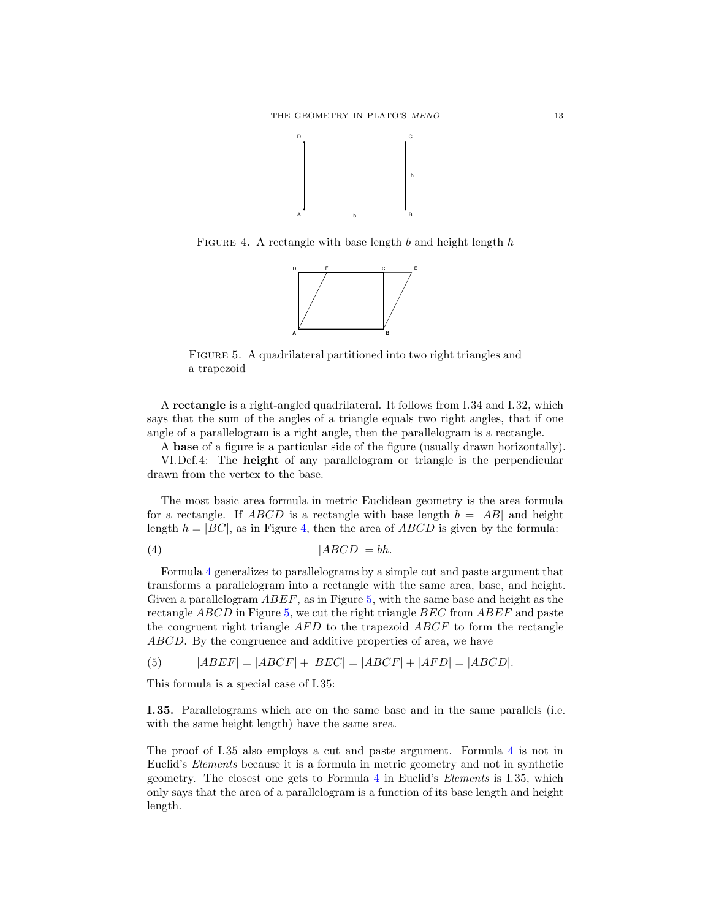

FIGURE 4. A rectangle with base length  $b$  and height length  $h$ 

<span id="page-12-0"></span>

<span id="page-12-2"></span>FIGURE 5. A quadrilateral partitioned into two right triangles and a trapezoid

A rectangle is a right-angled quadrilateral. It follows from I.34 and I.32, which says that the sum of the angles of a triangle equals two right angles, that if one angle of a parallelogram is a right angle, then the parallelogram is a rectangle.

A base of a figure is a particular side of the figure (usually drawn horizontally).

VI.Def.4: The height of any parallelogram or triangle is the perpendicular drawn from the vertex to the base.

The most basic area formula in metric Euclidean geometry is the area formula for a rectangle. If ABCD is a rectangle with base length  $b = |AB|$  and height length  $h = |BC|$ , as in Figure [4,](#page-12-0) then the area of  $ABCD$  is given by the formula:

<span id="page-12-1"></span>
$$
(4) \t|ABCD| = bh.
$$

Formula [4](#page-12-1) generalizes to parallelograms by a simple cut and paste argument that transforms a parallelogram into a rectangle with the same area, base, and height. Given a parallelogram ABEF, as in Figure [5,](#page-12-2) with the same base and height as the rectangle ABCD in Figure [5,](#page-12-2) we cut the right triangle BEC from ABEF and paste the congruent right triangle  $AFD$  to the trapezoid  $ABCF$  to form the rectangle ABCD. By the congruence and additive properties of area, we have

(5)  $|ABEF| = |ABCF| + |BEC| = |ABCF| + |AFD| = |ABCD|$ .

This formula is a special case of I.35:

I.35. Parallelograms which are on the same base and in the same parallels (i.e. with the same height length) have the same area.

The proof of I.35 also employs a cut and paste argument. Formula [4](#page-12-1) is not in Euclid's Elements because it is a formula in metric geometry and not in synthetic geometry. The closest one gets to Formula [4](#page-12-1) in Euclid's Elements is I.35, which only says that the area of a parallelogram is a function of its base length and height length.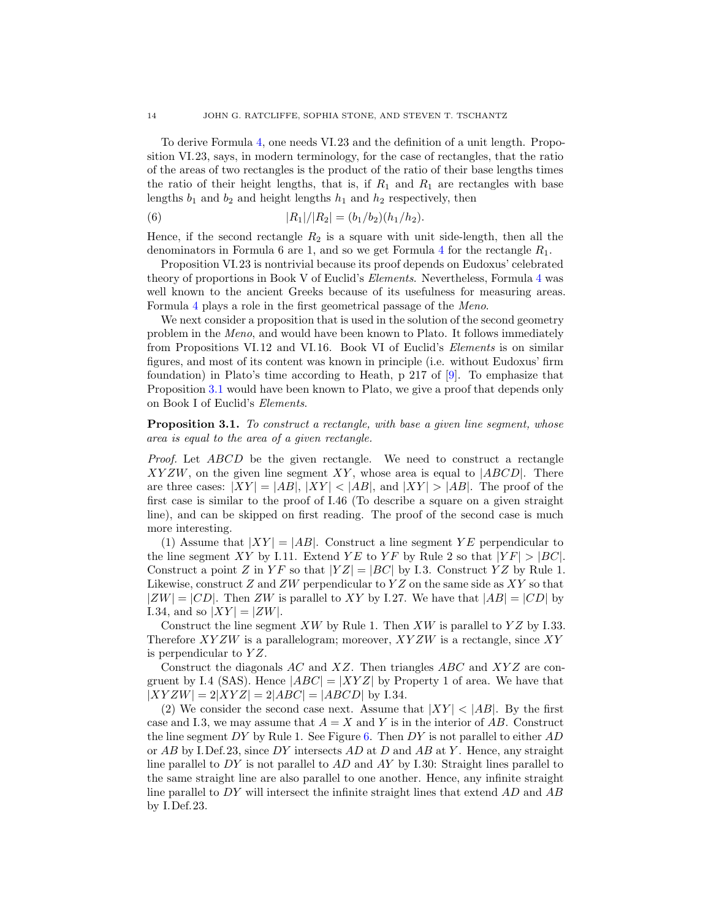To derive Formula [4,](#page-12-1) one needs VI.23 and the definition of a unit length. Proposition VI.23, says, in modern terminology, for the case of rectangles, that the ratio of the areas of two rectangles is the product of the ratio of their base lengths times the ratio of their height lengths, that is, if  $R_1$  and  $R_1$  are rectangles with base lengths  $b_1$  and  $b_2$  and height lengths  $h_1$  and  $h_2$  respectively, then

(6) 
$$
|R_1|/|R_2| = (b_1/b_2)(h_1/h_2).
$$

Hence, if the second rectangle  $R_2$  is a square with unit side-length, then all the denominators in Formula 6 are 1, and so we get Formula [4](#page-12-1) for the rectangle  $R_1$ .

Proposition VI.23 is nontrivial because its proof depends on Eudoxus' celebrated theory of proportions in Book V of Euclid's Elements. Nevertheless, Formula [4](#page-12-1) was well known to the ancient Greeks because of its usefulness for measuring areas. Formula [4](#page-12-1) plays a role in the first geometrical passage of the Meno.

We next consider a proposition that is used in the solution of the second geometry problem in the Meno, and would have been known to Plato. It follows immediately from Propositions VI.12 and VI.16. Book VI of Euclid's Elements is on similar figures, and most of its content was known in principle (i.e. without Eudoxus' firm foundation) in Plato's time according to Heath, p 217 of [\[9\]](#page-48-0). To emphasize that Proposition [3.1](#page-13-0) would have been known to Plato, we give a proof that depends only on Book I of Euclid's Elements.

<span id="page-13-0"></span>**Proposition 3.1.** To construct a rectangle, with base a given line segment, whose area is equal to the area of a given rectangle.

Proof. Let ABCD be the given rectangle. We need to construct a rectangle  $XYZW$ , on the given line segment XY, whose area is equal to  $|ABCD|$ . There are three cases:  $|XY| = |AB|$ ,  $|XY| < |AB|$ , and  $|XY| > |AB|$ . The proof of the first case is similar to the proof of I.46 (To describe a square on a given straight line), and can be skipped on first reading. The proof of the second case is much more interesting.

(1) Assume that  $|XY| = |AB|$ . Construct a line segment YE perpendicular to the line segment XY by I.11. Extend YE to YF by Rule 2 so that  $|YF| > |BC|$ . Construct a point Z in  $Y \to Y Z$  is that  $|YZ| = |BC|$  by I.3. Construct YZ by Rule 1. Likewise, construct Z and ZW perpendicular to  $YZ$  on the same side as  $XY$  so that  $|ZW| = |CD|$ . Then ZW is parallel to XY by I.27. We have that  $|AB| = |CD|$  by I.34, and so  $|XY| = |ZW|$ .

Construct the line segment  $XW$  by Rule 1. Then  $XW$  is parallel to  $YZ$  by I.33. Therefore  $XYZW$  is a parallelogram; moreover,  $XYZW$  is a rectangle, since  $XY$ is perpendicular to  $YZ$ .

Construct the diagonals  $AC$  and  $XZ$ . Then triangles  $ABC$  and  $XYZ$  are congruent by I.4 (SAS). Hence  $|ABC| = |XYZ|$  by Property 1 of area. We have that  $|XYZW| = 2|XYZ| = 2|ABC| = |ABCD|$  by I.34.

(2) We consider the second case next. Assume that  $|XY| < |AB|$ . By the first case and I.3, we may assume that  $A = X$  and Y is in the interior of AB. Construct the line segment DY by Rule 1. See Figure [6.](#page-14-0) Then DY is not parallel to either  $AD$ or  $AB$  by I.Def.23, since DY intersects AD at D and AB at Y. Hence, any straight line parallel to  $DY$  is not parallel to  $AD$  and  $AY$  by I.30: Straight lines parallel to the same straight line are also parallel to one another. Hence, any infinite straight line parallel to DY will intersect the infinite straight lines that extend AD and AB by I.Def.23.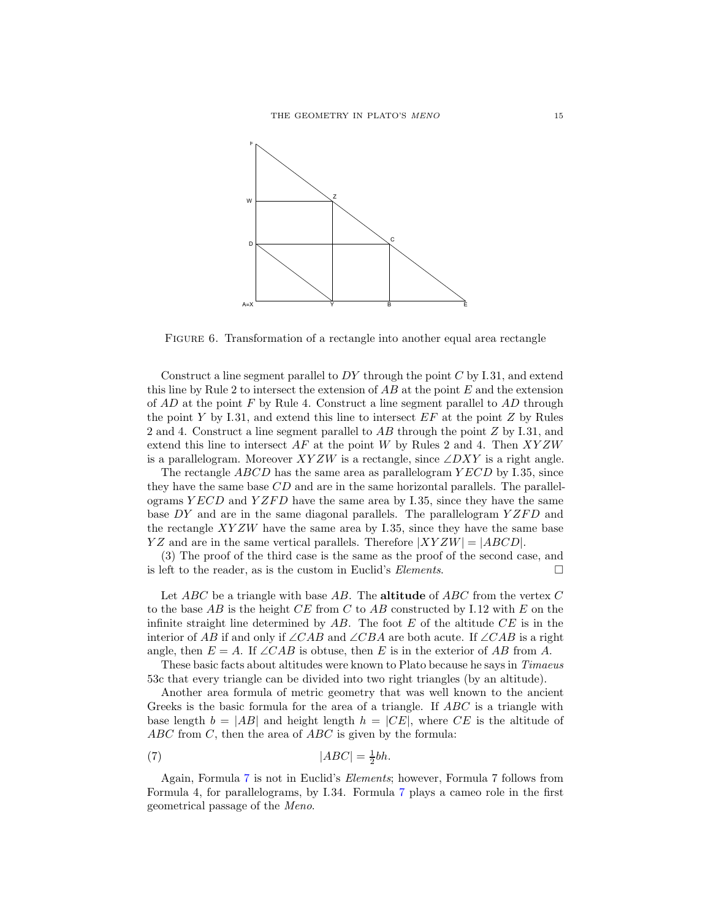

<span id="page-14-0"></span>FIGURE 6. Transformation of a rectangle into another equal area rectangle

Construct a line segment parallel to  $DY$  through the point  $C$  by I.31, and extend this line by Rule 2 to intersect the extension of  $AB$  at the point  $E$  and the extension of  $AD$  at the point F by Rule 4. Construct a line segment parallel to  $AD$  through the point Y by I.31, and extend this line to intersect  $EF$  at the point Z by Rules 2 and 4. Construct a line segment parallel to AB through the point Z by I.31, and extend this line to intersect  $AF$  at the point W by Rules 2 and 4. Then  $XYZW$ is a parallelogram. Moreover  $XYZW$  is a rectangle, since  $\angle DXY$  is a right angle.

The rectangle  $ABCD$  has the same area as parallelogram  $YECD$  by I.35, since they have the same base  $CD$  and are in the same horizontal parallels. The parallelograms  $YECD$  and  $YZFD$  have the same area by I.35, since they have the same base  $DY$  and are in the same diagonal parallels. The parallelogram  $YZFD$  and the rectangle  $XYZW$  have the same area by I.35, since they have the same base  $YZ$  and are in the same vertical parallels. Therefore  $|XYZW| = |ABCD|$ .

(3) The proof of the third case is the same as the proof of the second case, and is left to the reader, as is the custom in Euclid's *Elements*.

Let  $ABC$  be a triangle with base AB. The **altitude** of ABC from the vertex C to the base AB is the height  $CE$  from C to AB constructed by I.12 with E on the infinite straight line determined by  $AB$ . The foot E of the altitude  $CE$  is in the interior of AB if and only if ∠CAB and ∠CBA are both acute. If ∠CAB is a right angle, then  $E = A$ . If ∠CAB is obtuse, then E is in the exterior of AB from A.

These basic facts about altitudes were known to Plato because he says in Timaeus 53c that every triangle can be divided into two right triangles (by an altitude).

Another area formula of metric geometry that was well known to the ancient Greeks is the basic formula for the area of a triangle. If ABC is a triangle with base length  $b = |AB|$  and height length  $h = |CE|$ , where CE is the altitude of  $ABC$  from  $C$ , then the area of  $ABC$  is given by the formula:

<span id="page-14-1"></span>
$$
(7) \t|ABC| = \frac{1}{2}bh.
$$

Again, Formula [7](#page-14-1) is not in Euclid's Elements; however, Formula 7 follows from Formula 4, for parallelograms, by I.34. Formula [7](#page-14-1) plays a cameo role in the first geometrical passage of the Meno.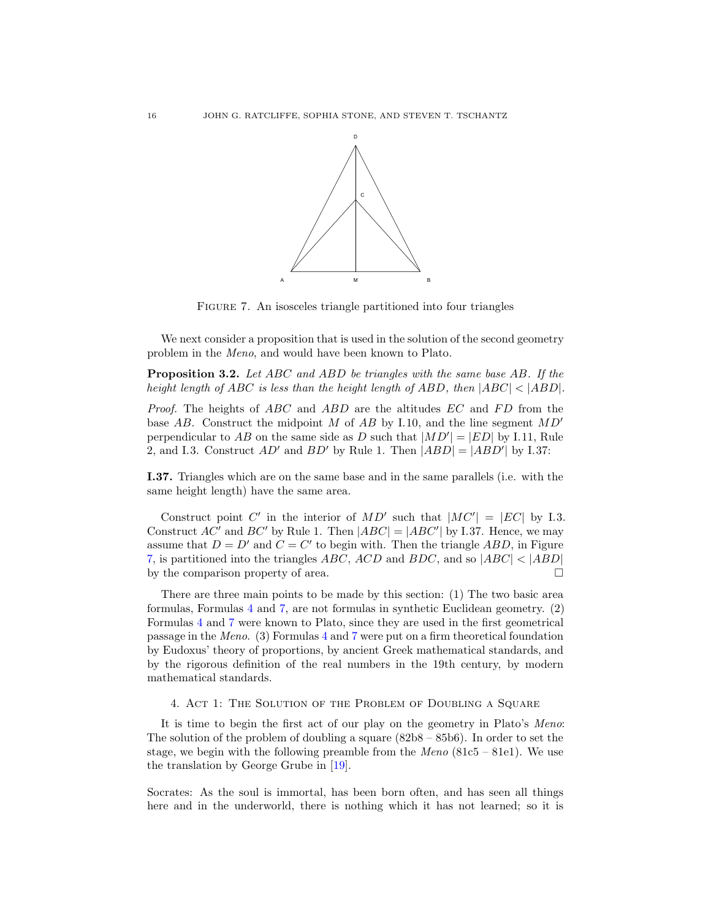

<span id="page-15-1"></span>Figure 7. An isosceles triangle partitioned into four triangles

We next consider a proposition that is used in the solution of the second geometry problem in the Meno, and would have been known to Plato.

<span id="page-15-2"></span>Proposition 3.2. Let ABC and ABD be triangles with the same base AB. If the height length of ABC is less than the height length of ABD, then  $|ABC| < |ABD|$ .

*Proof.* The heights of  $ABC$  and  $ABD$  are the altitudes  $EC$  and  $FD$  from the base AB. Construct the midpoint M of AB by I.10, and the line segment  $MD'$ perpendicular to AB on the same side as D such that  $|MD'| = |ED|$  by I.11, Rule 2, and I.3. Construct  $AD'$  and  $BD'$  by Rule 1. Then  $|ABD| = |ABD'|$  by I.37:

I.37. Triangles which are on the same base and in the same parallels (i.e. with the same height length) have the same area.

Construct point C' in the interior of  $MD'$  such that  $|MC'| = |EC|$  by I.3. Construct  $AC'$  and  $BC'$  by Rule 1. Then  $|ABC| = |ABC'|$  by I.37. Hence, we may assume that  $D = D'$  and  $C = C'$  to begin with. Then the triangle ABD, in Figure [7,](#page-15-1) is partitioned into the triangles *ABC*, *ACD* and *BDC*, and so  $|ABC| < |ABD|$ <br>by the comparison property of area. by the comparison property of area.

There are three main points to be made by this section: (1) The two basic area formulas, Formulas [4](#page-12-1) and [7,](#page-14-1) are not formulas in synthetic Euclidean geometry. (2) Formulas [4](#page-12-1) and [7](#page-14-1) were known to Plato, since they are used in the first geometrical passage in the Meno. (3) Formulas [4](#page-12-1) and [7](#page-14-1) were put on a firm theoretical foundation by Eudoxus' theory of proportions, by ancient Greek mathematical standards, and by the rigorous definition of the real numbers in the 19th century, by modern mathematical standards.

# <span id="page-15-0"></span>4. Act 1: The Solution of the Problem of Doubling a Square

It is time to begin the first act of our play on the geometry in Plato's Meno: The solution of the problem of doubling a square  $(82b8 - 85b6)$ . In order to set the stage, we begin with the following preamble from the  $Meno$  (81c5 – 81e1). We use the translation by George Grube in [\[19\]](#page-49-2).

Socrates: As the soul is immortal, has been born often, and has seen all things here and in the underworld, there is nothing which it has not learned; so it is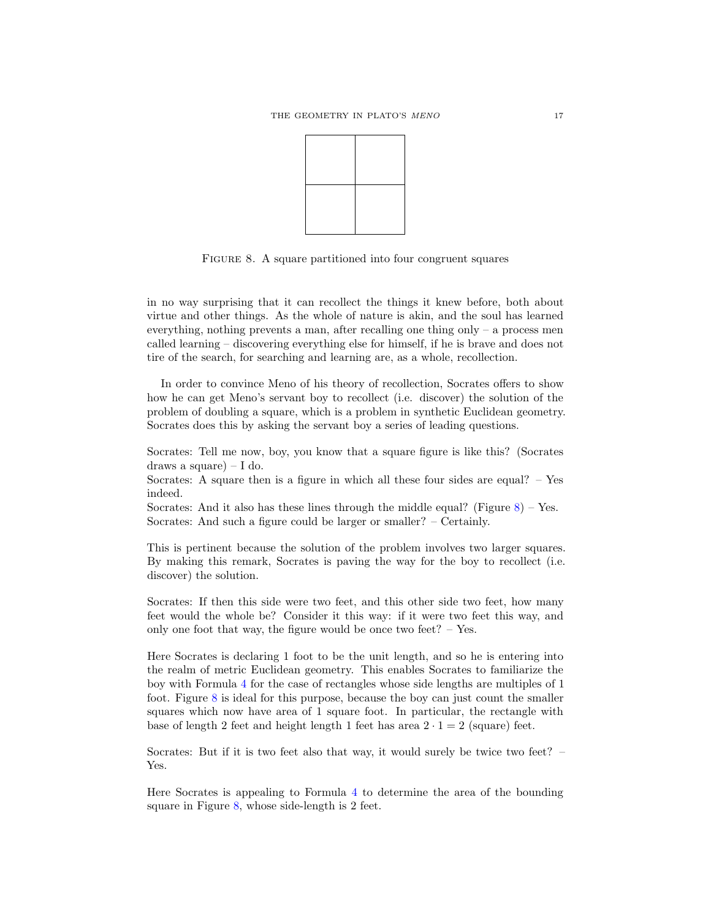

<span id="page-16-0"></span>FIGURE 8. A square partitioned into four congruent squares

in no way surprising that it can recollect the things it knew before, both about virtue and other things. As the whole of nature is akin, and the soul has learned everything, nothing prevents a man, after recalling one thing only – a process men called learning – discovering everything else for himself, if he is brave and does not tire of the search, for searching and learning are, as a whole, recollection.

In order to convince Meno of his theory of recollection, Socrates offers to show how he can get Meno's servant boy to recollect (i.e. discover) the solution of the problem of doubling a square, which is a problem in synthetic Euclidean geometry. Socrates does this by asking the servant boy a series of leading questions.

Socrates: Tell me now, boy, you know that a square figure is like this? (Socrates draws a square)  $-1$  do.

Socrates: A square then is a figure in which all these four sides are equal? – Yes indeed.

Socrates: And it also has these lines through the middle equal? (Figure  $8$ ) – Yes. Socrates: And such a figure could be larger or smaller? – Certainly.

This is pertinent because the solution of the problem involves two larger squares. By making this remark, Socrates is paving the way for the boy to recollect (i.e. discover) the solution.

Socrates: If then this side were two feet, and this other side two feet, how many feet would the whole be? Consider it this way: if it were two feet this way, and only one foot that way, the figure would be once two feet?  $-$  Yes.

Here Socrates is declaring 1 foot to be the unit length, and so he is entering into the realm of metric Euclidean geometry. This enables Socrates to familiarize the boy with Formula [4](#page-12-1) for the case of rectangles whose side lengths are multiples of 1 foot. Figure [8](#page-16-0) is ideal for this purpose, because the boy can just count the smaller squares which now have area of 1 square foot. In particular, the rectangle with base of length 2 feet and height length 1 feet has area  $2 \cdot 1 = 2$  (square) feet.

Socrates: But if it is two feet also that way, it would surely be twice two feet? – Yes.

Here Socrates is appealing to Formula [4](#page-12-1) to determine the area of the bounding square in Figure [8,](#page-16-0) whose side-length is 2 feet.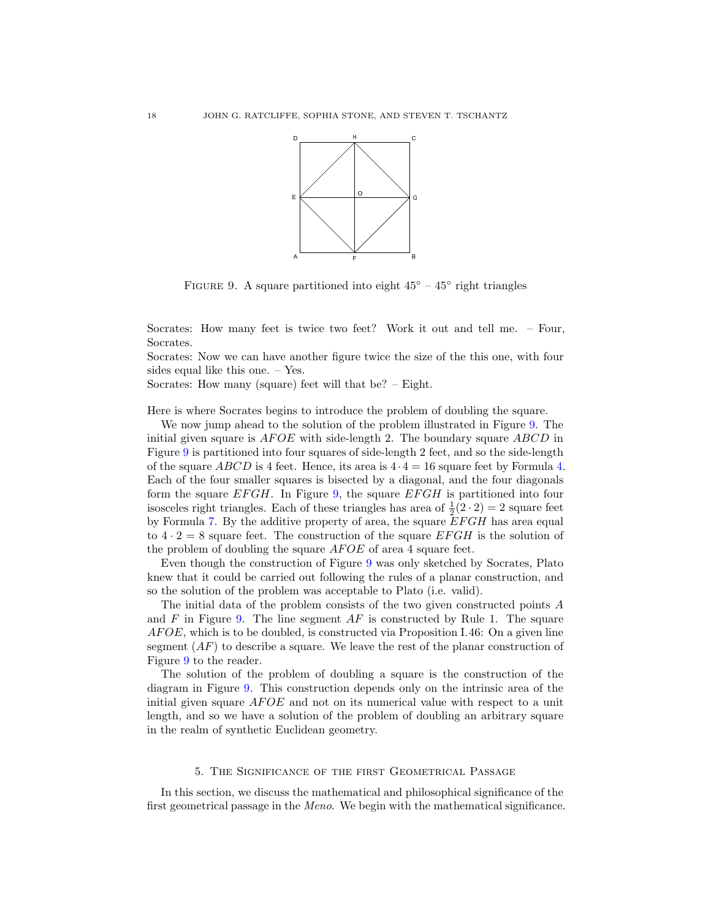

<span id="page-17-1"></span>FIGURE 9. A square partitioned into eight  $45^{\circ} - 45^{\circ}$  right triangles

Socrates: How many feet is twice two feet? Work it out and tell me. – Four, Socrates.

Socrates: Now we can have another figure twice the size of the this one, with four sides equal like this one. – Yes.

Socrates: How many (square) feet will that be? – Eight.

Here is where Socrates begins to introduce the problem of doubling the square.

We now jump ahead to the solution of the problem illustrated in Figure [9.](#page-17-1) The initial given square is  $AFOE$  with side-length 2. The boundary square  $ABCD$  in Figure [9](#page-17-1) is partitioned into four squares of side-length 2 feet, and so the side-length of the square ABCD is 4 feet. Hence, its area is  $4 \cdot 4 = 16$  square feet by Formula [4.](#page-12-1) Each of the four smaller squares is bisected by a diagonal, and the four diagonals form the square  $EFGH$ . In Figure [9,](#page-17-1) the square  $EFGH$  is partitioned into four isosceles right triangles. Each of these triangles has area of  $\frac{1}{2}(2 \cdot 2) = 2$  square feet by Formula [7.](#page-14-1) By the additive property of area, the square  $EFGH$  has area equal to  $4 \cdot 2 = 8$  square feet. The construction of the square EFGH is the solution of the problem of doubling the square  $AFOE$  of area 4 square feet.

Even though the construction of Figure [9](#page-17-1) was only sketched by Socrates, Plato knew that it could be carried out following the rules of a planar construction, and so the solution of the problem was acceptable to Plato (i.e. valid).

The initial data of the problem consists of the two given constructed points A and  $F$  in Figure [9.](#page-17-1) The line segment  $AF$  is constructed by Rule 1. The square AF OE, which is to be doubled, is constructed via Proposition I.46: On a given line segment  $AF$  to describe a square. We leave the rest of the planar construction of Figure [9](#page-17-1) to the reader.

The solution of the problem of doubling a square is the construction of the diagram in Figure [9.](#page-17-1) This construction depends only on the intrinsic area of the initial given square  $AFOE$  and not on its numerical value with respect to a unit length, and so we have a solution of the problem of doubling an arbitrary square in the realm of synthetic Euclidean geometry.

## 5. The Significance of the first Geometrical Passage

<span id="page-17-0"></span>In this section, we discuss the mathematical and philosophical significance of the first geometrical passage in the Meno. We begin with the mathematical significance.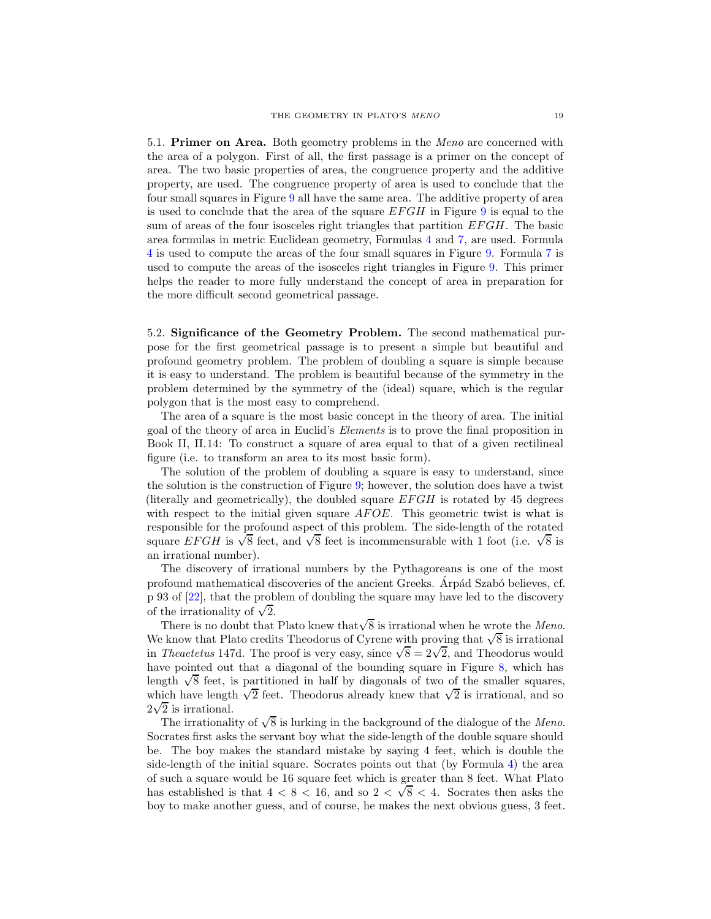5.1. Primer on Area. Both geometry problems in the *Meno* are concerned with the area of a polygon. First of all, the first passage is a primer on the concept of area. The two basic properties of area, the congruence property and the additive property, are used. The congruence property of area is used to conclude that the four small squares in Figure [9](#page-17-1) all have the same area. The additive property of area is used to conclude that the area of the square  $EFGH$  in Figure [9](#page-17-1) is equal to the sum of areas of the four isosceles right triangles that partition  $EFGH$ . The basic area formulas in metric Euclidean geometry, Formulas [4](#page-12-1) and [7,](#page-14-1) are used. Formula [4](#page-12-1) is used to compute the areas of the four small squares in Figure [9.](#page-17-1) Formula [7](#page-14-1) is used to compute the areas of the isosceles right triangles in Figure [9.](#page-17-1) This primer helps the reader to more fully understand the concept of area in preparation for the more difficult second geometrical passage.

<span id="page-18-0"></span>5.2. Significance of the Geometry Problem. The second mathematical purpose for the first geometrical passage is to present a simple but beautiful and profound geometry problem. The problem of doubling a square is simple because it is easy to understand. The problem is beautiful because of the symmetry in the problem determined by the symmetry of the (ideal) square, which is the regular polygon that is the most easy to comprehend.

The area of a square is the most basic concept in the theory of area. The initial goal of the theory of area in Euclid's Elements is to prove the final proposition in Book II, II.14: To construct a square of area equal to that of a given rectilineal figure (i.e. to transform an area to its most basic form).

The solution of the problem of doubling a square is easy to understand, since the solution is the construction of Figure [9;](#page-17-1) however, the solution does have a twist (literally and geometrically), the doubled square  $EFGH$  is rotated by 45 degrees with respect to the initial given square  $AFOE$ . This geometric twist is what is responsible for the profound aspect of this problem. The side-length of the rotated square EFGH is  $\sqrt{8}$  feet, and  $\sqrt{8}$  feet is incommensurable with 1 foot (i.e.  $\sqrt{8}$  is an irrational number).

The discovery of irrational numbers by the Pythagoreans is one of the most profound mathematical discoveries of the ancient Greeks. Arpád Szabó believes, cf. p 93 of [\[22\]](#page-49-3), that the problem of doubling the square may have led to the discovery of the irrationality of  $\sqrt{2}$ .

There is no doubt that Plato knew that  $\sqrt{8}$  is irrational when he wrote the Meno. We know that Plato credits Theodorus of Cyrene with proving that  $\sqrt{8}$  is irrational in Theaetetus 147d. The proof is very easy, since  $\sqrt{8} = 2\sqrt{2}$ , and Theodorus would have pointed out that a diagonal of the bounding square in Figure [8,](#page-16-0) which has length  $\sqrt{8}$  feet, is partitioned in half by diagonals of two of the smaller squares, which have length  $\sqrt{2}$  feet. Theodorus already knew that  $\sqrt{2}$  is irrational, and so  $2\sqrt{2}$  is irrational.

The irrationality of  $\sqrt{8}$  is lurking in the background of the dialogue of the Meno. Socrates first asks the servant boy what the side-length of the double square should be. The boy makes the standard mistake by saying 4 feet, which is double the side-length of the initial square. Socrates points out that (by Formula [4\)](#page-12-1) the area of such a square would be 16 square feet which is greater than 8 feet. What Plato has established is that  $4 < 8 < 16$ , and so  $2 < \sqrt{8} < 4$ . Socrates then asks the boy to make another guess, and of course, he makes the next obvious guess, 3 feet.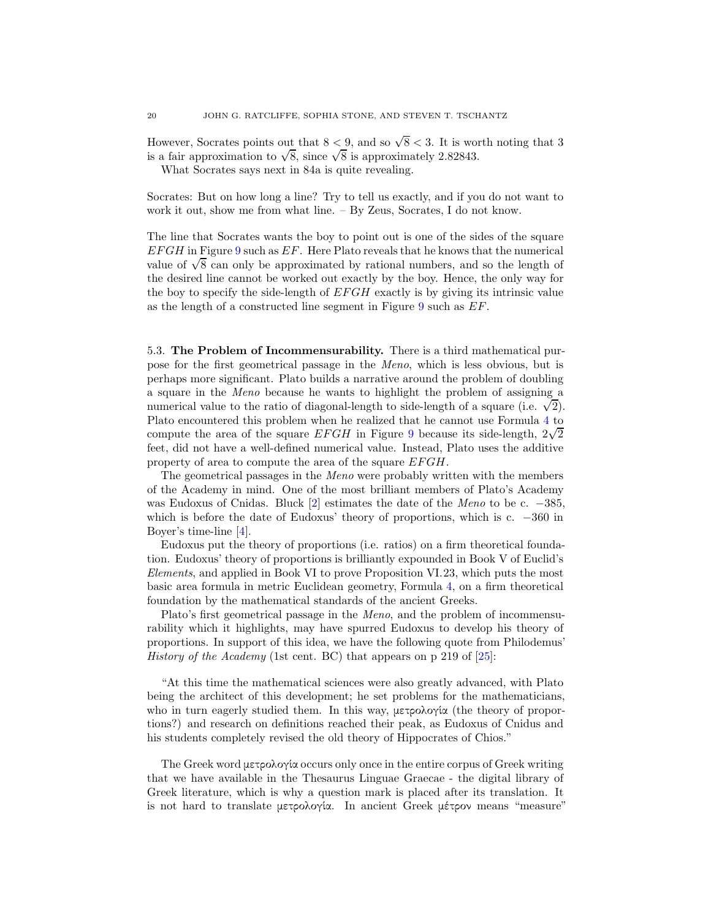However, Socrates points out that  $8 < 9$ , and so  $\sqrt{8} < 3$ . It is worth noting that 3 is a fair approximation to  $\sqrt{8}$ , since  $\sqrt{8}$  is approximately 2.82843.

What Socrates says next in 84a is quite revealing.

Socrates: But on how long a line? Try to tell us exactly, and if you do not want to work it out, show me from what line. – By Zeus, Socrates, I do not know.

The line that Socrates wants the boy to point out is one of the sides of the square  $EFGH$  in Figure [9](#page-17-1) such as  $EF$ . Here Plato reveals that he knows that the numerical value of  $\sqrt{8}$  can only be approximated by rational numbers, and so the length of the desired line cannot be worked out exactly by the boy. Hence, the only way for the boy to specify the side-length of  $EFGH$  exactly is by giving its intrinsic value as the length of a constructed line segment in Figure [9](#page-17-1) such as EF.

<span id="page-19-0"></span>5.3. The Problem of Incommensurability. There is a third mathematical purpose for the first geometrical passage in the Meno, which is less obvious, but is perhaps more significant. Plato builds a narrative around the problem of doubling a square in the Meno because he wants to highlight the problem of assigning a numerical value to the ratio of diagonal-length to side-length of a square (i.e.  $\sqrt{2}$ ). Plato encountered this problem when he realized that he cannot use Formula [4](#page-12-1) to compute the area of the square  $EFGH$  in Figure [9](#page-17-1) because its side-length,  $2\sqrt{2}$ feet, did not have a well-defined numerical value. Instead, Plato uses the additive property of area to compute the area of the square  $EFGH$ .

The geometrical passages in the Meno were probably written with the members of the Academy in mind. One of the most brilliant members of Plato's Academy was Eudoxus of Cnidas. Bluck [\[2\]](#page-48-2) estimates the date of the Meno to be c. −385, which is before the date of Eudoxus' theory of proportions, which is c. −360 in Boyer's time-line [\[4\]](#page-48-11).

Eudoxus put the theory of proportions (i.e. ratios) on a firm theoretical foundation. Eudoxus' theory of proportions is brilliantly expounded in Book V of Euclid's Elements, and applied in Book VI to prove Proposition VI.23, which puts the most basic area formula in metric Euclidean geometry, Formula [4,](#page-12-1) on a firm theoretical foundation by the mathematical standards of the ancient Greeks.

Plato's first geometrical passage in the Meno, and the problem of incommensurability which it highlights, may have spurred Eudoxus to develop his theory of proportions. In support of this idea, we have the following quote from Philodemus' *History of the Academy* (1st cent. BC) that appears on p 219 of  $[25]$ :

"At this time the mathematical sciences were also greatly advanced, with Plato being the architect of this development; he set problems for the mathematicians, who in turn eagerly studied them. In this way, μετρολογία (the theory of proportions?) and research on definitions reached their peak, as Eudoxus of Cnidus and his students completely revised the old theory of Hippocrates of Chios."

The Greek word μετρολογ΄ια occurs only once in the entire corpus of Greek writing that we have available in the Thesaurus Linguae Graecae - the digital library of Greek literature, which is why a question mark is placed after its translation. It is not hard to translate μετρολογία. In ancient Greek μέτρον means "measure"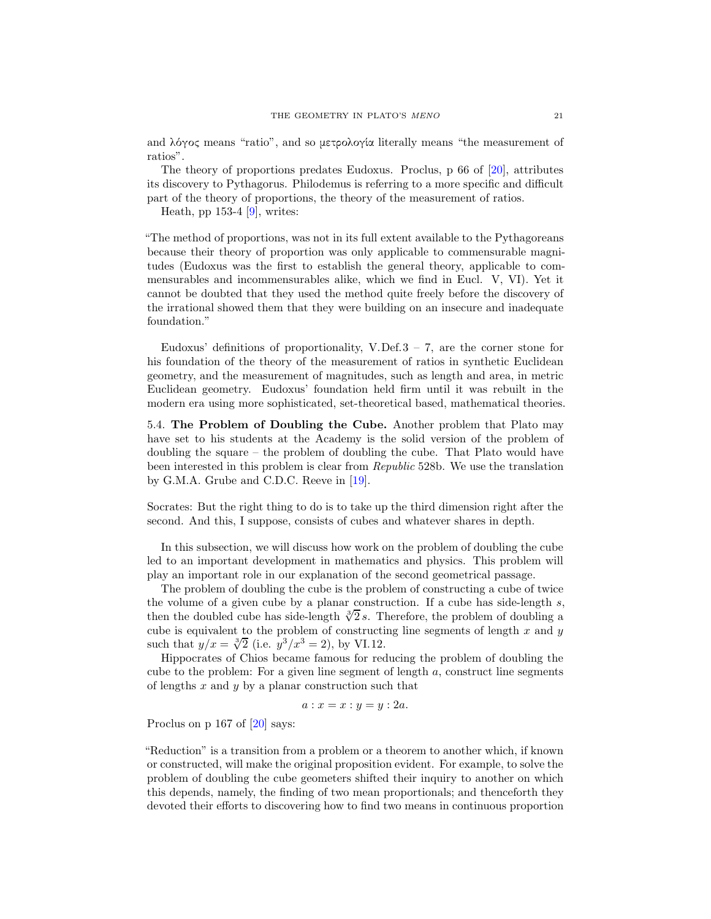and  $\lambda \acute{o} \gamma$ ος means "ratio", and so μετρολογία literally means "the measurement of ratios".

The theory of proportions predates Eudoxus. Proclus, p 66 of [\[20\]](#page-49-5), attributes its discovery to Pythagorus. Philodemus is referring to a more specific and difficult part of the theory of proportions, the theory of the measurement of ratios.

Heath, pp  $153-4$  [\[9\]](#page-48-0), writes:

"The method of proportions, was not in its full extent available to the Pythagoreans because their theory of proportion was only applicable to commensurable magnitudes (Eudoxus was the first to establish the general theory, applicable to commensurables and incommensurables alike, which we find in Eucl. V, VI). Yet it cannot be doubted that they used the method quite freely before the discovery of the irrational showed them that they were building on an insecure and inadequate foundation."

Eudoxus' definitions of proportionality, V.Def. $3 - 7$ , are the corner stone for his foundation of the theory of the measurement of ratios in synthetic Euclidean geometry, and the measurement of magnitudes, such as length and area, in metric Euclidean geometry. Eudoxus' foundation held firm until it was rebuilt in the modern era using more sophisticated, set-theoretical based, mathematical theories.

5.4. The Problem of Doubling the Cube. Another problem that Plato may have set to his students at the Academy is the solid version of the problem of doubling the square – the problem of doubling the cube. That Plato would have been interested in this problem is clear from Republic 528b. We use the translation by G.M.A. Grube and C.D.C. Reeve in [\[19\]](#page-49-2).

Socrates: But the right thing to do is to take up the third dimension right after the second. And this, I suppose, consists of cubes and whatever shares in depth.

In this subsection, we will discuss how work on the problem of doubling the cube led to an important development in mathematics and physics. This problem will play an important role in our explanation of the second geometrical passage.

The problem of doubling the cube is the problem of constructing a cube of twice the volume of a given cube by a planar construction. If a cube has side-length  $s$ , then the doubled cube has side-length  $\sqrt[3]{2} s$ . Therefore, the problem of doubling a cube is equivalent to the problem of constructing line segments of length  $x$  and  $y$ such that  $y/x = \sqrt[3]{2}$  (i.e.  $y^3/x^3 = 2$ ), by VI.12.

Hippocrates of Chios became famous for reducing the problem of doubling the cube to the problem: For a given line segment of length  $a$ , construct line segments of lengths  $x$  and  $y$  by a planar construction such that

$$
a: x = x: y = y: 2a.
$$

Proclus on p 167 of [\[20\]](#page-49-5) says:

"Reduction" is a transition from a problem or a theorem to another which, if known or constructed, will make the original proposition evident. For example, to solve the problem of doubling the cube geometers shifted their inquiry to another on which this depends, namely, the finding of two mean proportionals; and thenceforth they devoted their efforts to discovering how to find two means in continuous proportion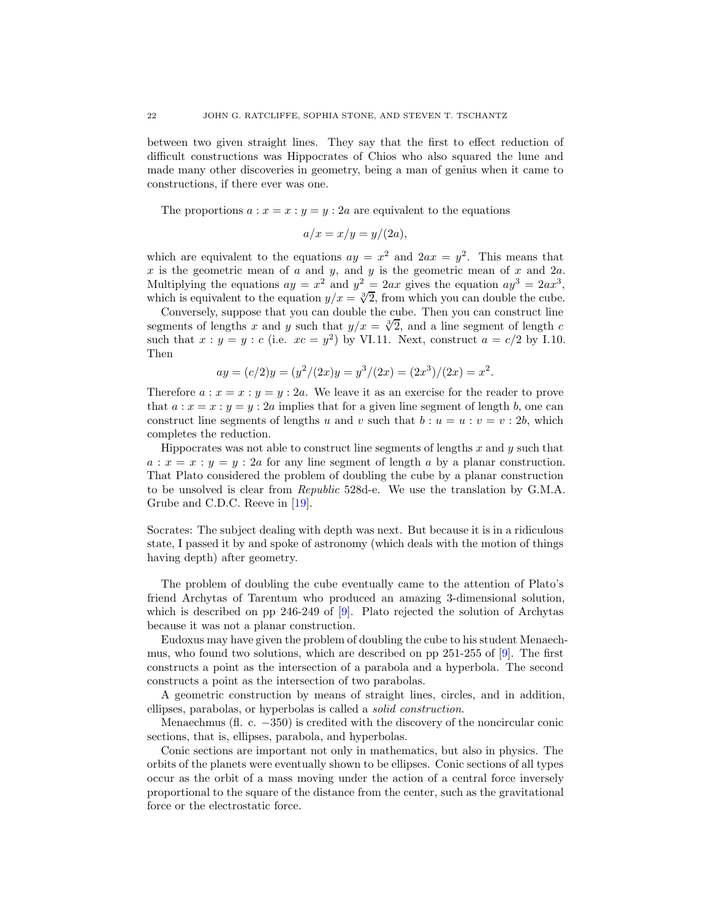between two given straight lines. They say that the first to effect reduction of difficult constructions was Hippocrates of Chios who also squared the lune and made many other discoveries in geometry, being a man of genius when it came to constructions, if there ever was one.

The proportions  $a: x = x : y = y : 2a$  are equivalent to the equations

$$
a/x = x/y = y/(2a),
$$

which are equivalent to the equations  $ay = x^2$  and  $2ax = y^2$ . This means that x is the geometric mean of  $a$  and  $y$ , and  $y$  is the geometric mean of  $x$  and  $2a$ . Multiplying the equations  $ay = x^2$  and  $y^2 = 2ax$  gives the equation  $ay^3 = 2ax^3$ , which is equivalent to the equation  $y/x = \sqrt[3]{2}$ , from which you can double the cube.

Conversely, suppose that you can double the cube. Then you can construct line segments of lengths x and y such that  $y/x = \sqrt[3]{2}$ , and a line segment of length c such that  $x : y = y : c$  (i.e.  $xc = y^2$ ) by VI.11. Next, construct  $a = c/2$  by I.10. Then

$$
ay = (c/2)y = (y^2/(2x)y = y^3/(2x) = (2x^3)/(2x) = x^2.
$$

Therefore  $a: x = x : y = y : 2a$ . We leave it as an exercise for the reader to prove that  $a: x = x : y = y : 2a$  implies that for a given line segment of length b, one can construct line segments of lengths u and v such that  $b : u = u : v = v : 2b$ , which completes the reduction.

Hippocrates was not able to construct line segments of lengths  $x$  and  $y$  such that  $a: x = x : y = y : 2a$  for any line segment of length a by a planar construction. That Plato considered the problem of doubling the cube by a planar construction to be unsolved is clear from Republic 528d-e. We use the translation by G.M.A. Grube and C.D.C. Reeve in [\[19\]](#page-49-2).

Socrates: The subject dealing with depth was next. But because it is in a ridiculous state, I passed it by and spoke of astronomy (which deals with the motion of things having depth) after geometry.

The problem of doubling the cube eventually came to the attention of Plato's friend Archytas of Tarentum who produced an amazing 3-dimensional solution, which is described on pp 246-249 of [\[9\]](#page-48-0). Plato rejected the solution of Archytas because it was not a planar construction.

Eudoxus may have given the problem of doubling the cube to his student Menaechmus, who found two solutions, which are described on pp 251-255 of [\[9\]](#page-48-0). The first constructs a point as the intersection of a parabola and a hyperbola. The second constructs a point as the intersection of two parabolas.

A geometric construction by means of straight lines, circles, and in addition, ellipses, parabolas, or hyperbolas is called a solid construction.

Menaechmus (fl. c. −350) is credited with the discovery of the noncircular conic sections, that is, ellipses, parabola, and hyperbolas.

Conic sections are important not only in mathematics, but also in physics. The orbits of the planets were eventually shown to be ellipses. Conic sections of all types occur as the orbit of a mass moving under the action of a central force inversely proportional to the square of the distance from the center, such as the gravitational force or the electrostatic force.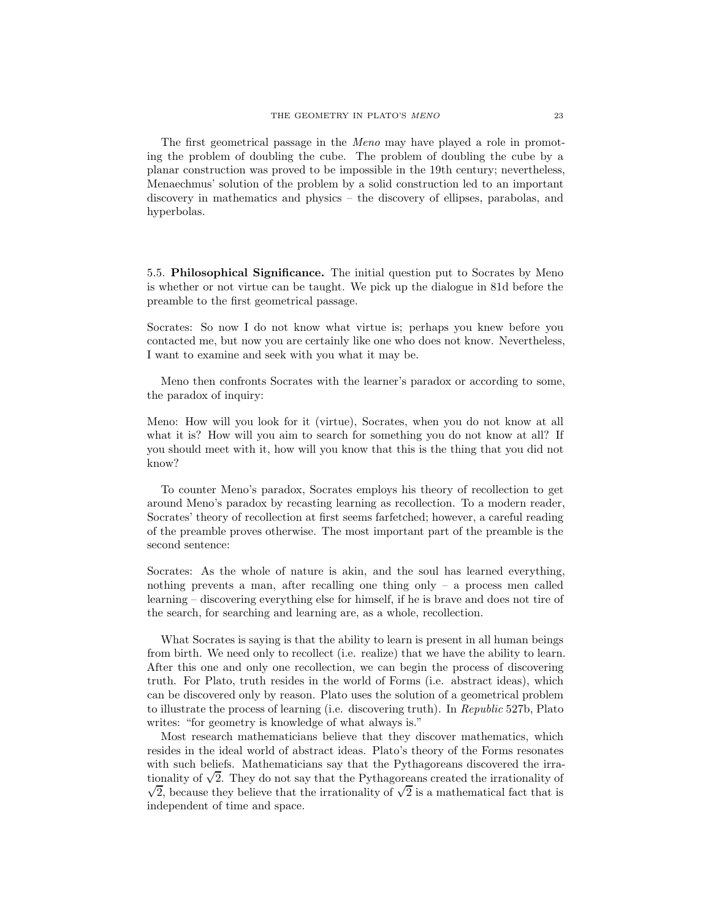The first geometrical passage in the *Meno* may have played a role in promoting the problem of doubling the cube. The problem of doubling the cube by a planar construction was proved to be impossible in the 19th century; nevertheless, Menaechmus' solution of the problem by a solid construction led to an important discovery in mathematics and physics – the discovery of ellipses, parabolas, and hyperbolas.

5.5. Philosophical Significance. The initial question put to Socrates by Meno is whether or not virtue can be taught. We pick up the dialogue in 81d before the preamble to the first geometrical passage.

Socrates: So now I do not know what virtue is; perhaps you knew before you contacted me, but now you are certainly like one who does not know. Nevertheless, I want to examine and seek with you what it may be.

Meno then confronts Socrates with the learner's paradox or according to some, the paradox of inquiry:

Meno: How will you look for it (virtue), Socrates, when you do not know at all what it is? How will you aim to search for something you do not know at all? If you should meet with it, how will you know that this is the thing that you did not know?

To counter Meno's paradox, Socrates employs his theory of recollection to get around Meno's paradox by recasting learning as recollection. To a modern reader, Socrates' theory of recollection at first seems farfetched; however, a careful reading of the preamble proves otherwise. The most important part of the preamble is the second sentence:

Socrates: As the whole of nature is akin, and the soul has learned everything, nothing prevents a man, after recalling one thing only  $-$  a process men called learning – discovering everything else for himself, if he is brave and does not tire of the search, for searching and learning are, as a whole, recollection.

What Socrates is saying is that the ability to learn is present in all human beings from birth. We need only to recollect (i.e. realize) that we have the ability to learn. After this one and only one recollection, we can begin the process of discovering truth. For Plato, truth resides in the world of Forms (i.e. abstract ideas), which can be discovered only by reason. Plato uses the solution of a geometrical problem to illustrate the process of learning (i.e. discovering truth). In Republic 527b, Plato writes: "for geometry is knowledge of what always is."

Most research mathematicians believe that they discover mathematics, which resides in the ideal world of abstract ideas. Plato's theory of the Forms resonates with such beliefs. Mathematicians say that the Pythagoreans discovered the irrationality of  $\sqrt{2}$ . They do not say that the Pythagoreans created the irrationality of  $\sqrt{2}$ , because they believe that the irrationality of  $\sqrt{2}$  is a mathematical fact that is independent of time and space.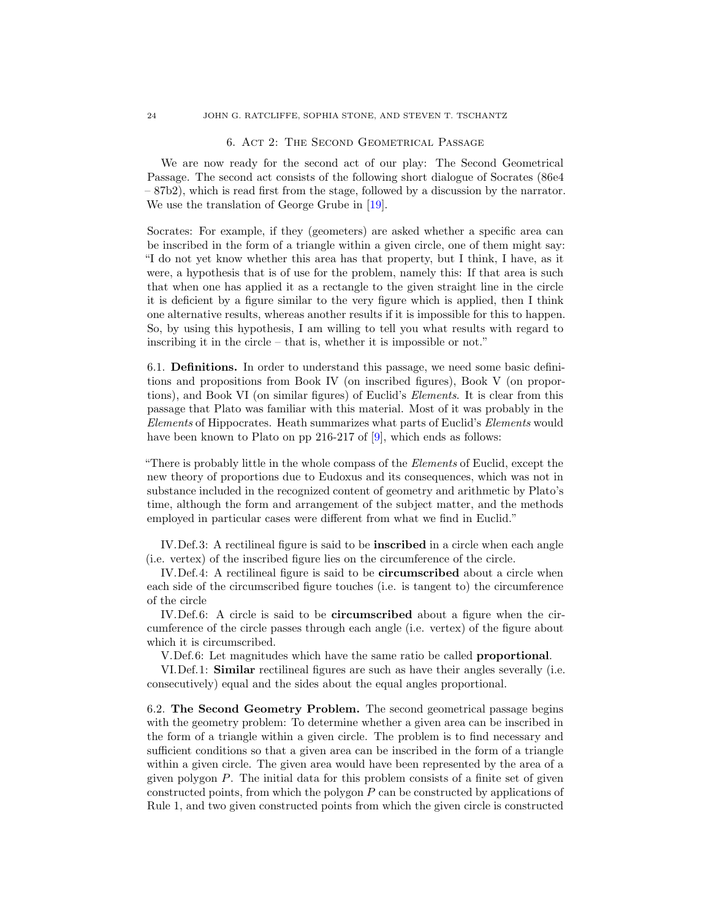### 6. Act 2: The Second Geometrical Passage

<span id="page-23-0"></span>We are now ready for the second act of our play: The Second Geometrical Passage. The second act consists of the following short dialogue of Socrates (86e4 – 87b2), which is read first from the stage, followed by a discussion by the narrator. We use the translation of George Grube in [\[19\]](#page-49-2).

Socrates: For example, if they (geometers) are asked whether a specific area can be inscribed in the form of a triangle within a given circle, one of them might say: "I do not yet know whether this area has that property, but I think, I have, as it were, a hypothesis that is of use for the problem, namely this: If that area is such that when one has applied it as a rectangle to the given straight line in the circle it is deficient by a figure similar to the very figure which is applied, then I think one alternative results, whereas another results if it is impossible for this to happen. So, by using this hypothesis, I am willing to tell you what results with regard to inscribing it in the circle – that is, whether it is impossible or not."

6.1. Definitions. In order to understand this passage, we need some basic definitions and propositions from Book IV (on inscribed figures), Book V (on proportions), and Book VI (on similar figures) of Euclid's Elements. It is clear from this passage that Plato was familiar with this material. Most of it was probably in the Elements of Hippocrates. Heath summarizes what parts of Euclid's Elements would have been known to Plato on pp 216-217 of [\[9\]](#page-48-0), which ends as follows:

"There is probably little in the whole compass of the Elements of Euclid, except the new theory of proportions due to Eudoxus and its consequences, which was not in substance included in the recognized content of geometry and arithmetic by Plato's time, although the form and arrangement of the subject matter, and the methods employed in particular cases were different from what we find in Euclid."

IV. Def. 3: A rectilineal figure is said to be **inscribed** in a circle when each angle (i.e. vertex) of the inscribed figure lies on the circumference of the circle.

IV.Def.4: A rectilineal figure is said to be **circumscribed** about a circle when each side of the circumscribed figure touches (i.e. is tangent to) the circumference of the circle

IV.Def.6: A circle is said to be circumscribed about a figure when the circumference of the circle passes through each angle (i.e. vertex) of the figure about which it is circumscribed.

V.Def.6: Let magnitudes which have the same ratio be called proportional.

VI.Def.1: Similar rectilineal figures are such as have their angles severally (i.e. consecutively) equal and the sides about the equal angles proportional.

6.2. The Second Geometry Problem. The second geometrical passage begins with the geometry problem: To determine whether a given area can be inscribed in the form of a triangle within a given circle. The problem is to find necessary and sufficient conditions so that a given area can be inscribed in the form of a triangle within a given circle. The given area would have been represented by the area of a given polygon P. The initial data for this problem consists of a finite set of given constructed points, from which the polygon  $P$  can be constructed by applications of Rule 1, and two given constructed points from which the given circle is constructed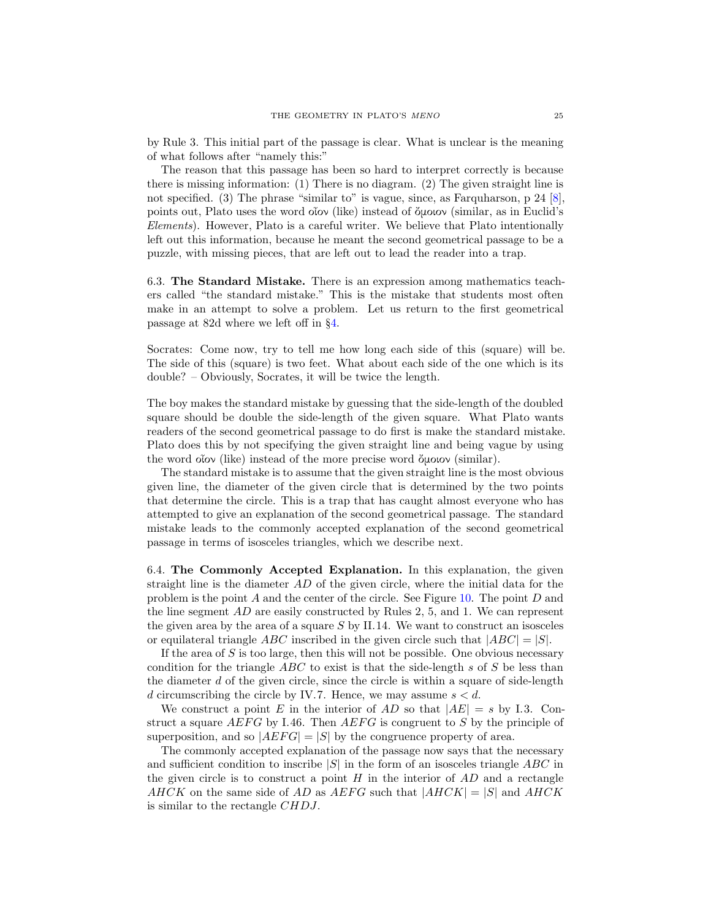by Rule 3. This initial part of the passage is clear. What is unclear is the meaning of what follows after "namely this:"

The reason that this passage has been so hard to interpret correctly is because there is missing information: (1) There is no diagram. (2) The given straight line is not specified. (3) The phrase "similar to" is vague, since, as Farquharson, p 24 [\[8\]](#page-48-12), points out, Plato uses the word οἶον (like) instead of ὄμοιον (similar, as in Euclid's Elements). However, Plato is a careful writer. We believe that Plato intentionally left out this information, because he meant the second geometrical passage to be a puzzle, with missing pieces, that are left out to lead the reader into a trap.

6.3. The Standard Mistake. There is an expression among mathematics teachers called "the standard mistake." This is the mistake that students most often make in an attempt to solve a problem. Let us return to the first geometrical passage at 82d where we left off in §[4.](#page-15-0)

Socrates: Come now, try to tell me how long each side of this (square) will be. The side of this (square) is two feet. What about each side of the one which is its double? – Obviously, Socrates, it will be twice the length.

The boy makes the standard mistake by guessing that the side-length of the doubled square should be double the side-length of the given square. What Plato wants readers of the second geometrical passage to do first is make the standard mistake. Plato does this by not specifying the given straight line and being vague by using the word οἶον (like) instead of the more precise word ὄμοιον (similar).

The standard mistake is to assume that the given straight line is the most obvious given line, the diameter of the given circle that is determined by the two points that determine the circle. This is a trap that has caught almost everyone who has attempted to give an explanation of the second geometrical passage. The standard mistake leads to the commonly accepted explanation of the second geometrical passage in terms of isosceles triangles, which we describe next.

<span id="page-24-0"></span>6.4. The Commonly Accepted Explanation. In this explanation, the given straight line is the diameter  $AD$  of the given circle, where the initial data for the problem is the point A and the center of the circle. See Figure [10.](#page-25-0) The point D and the line segment AD are easily constructed by Rules 2, 5, and 1. We can represent the given area by the area of a square  $S$  by II.14. We want to construct an isosceles or equilateral triangle ABC inscribed in the given circle such that  $|ABC| = |S|$ .

If the area of  $S$  is too large, then this will not be possible. One obvious necessary condition for the triangle  $ABC$  to exist is that the side-length s of S be less than the diameter  $d$  of the given circle, since the circle is within a square of side-length d circumscribing the circle by IV.7. Hence, we may assume  $s < d$ .

We construct a point E in the interior of AD so that  $|AE| = s$  by I.3. Construct a square  $AEFG$  by I.46. Then  $AEFG$  is congruent to S by the principle of superposition, and so  $|AEFG| = |S|$  by the congruence property of area.

The commonly accepted explanation of the passage now says that the necessary and sufficient condition to inscribe  $|S|$  in the form of an isosceles triangle ABC in the given circle is to construct a point  $H$  in the interior of  $AD$  and a rectangle AHCK on the same side of AD as AEFG such that  $|AHCK| = |S|$  and  $AHCK$ is similar to the rectangle CHDJ.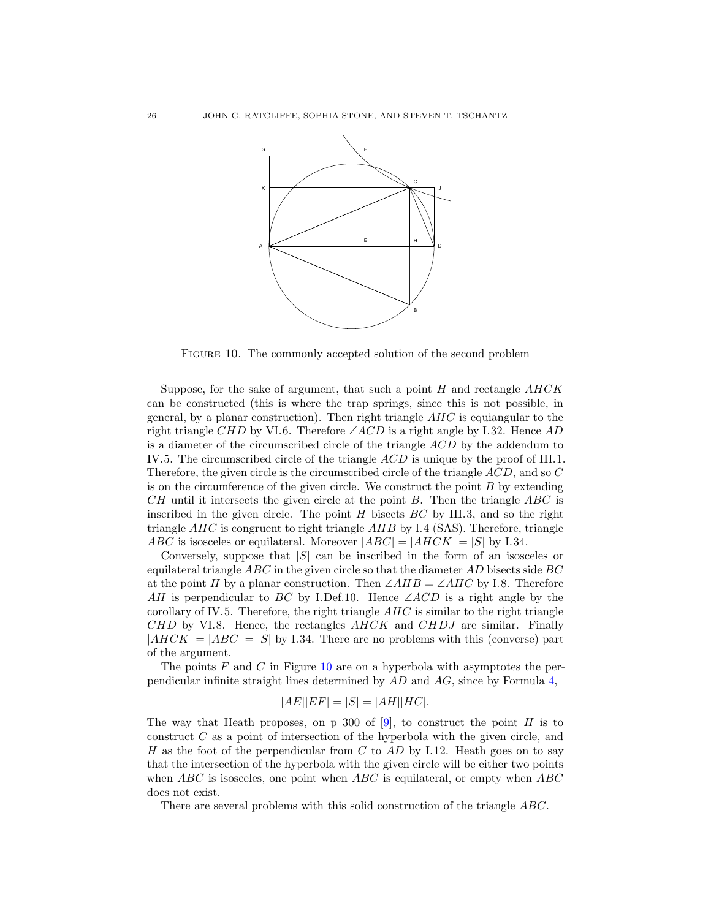

<span id="page-25-0"></span>Figure 10. The commonly accepted solution of the second problem

Suppose, for the sake of argument, that such a point  $H$  and rectangle  $AHCK$ can be constructed (this is where the trap springs, since this is not possible, in general, by a planar construction). Then right triangle  $AHC$  is equiangular to the right triangle CHD by VI.6. Therefore  $\angle ACD$  is a right angle by I.32. Hence AD is a diameter of the circumscribed circle of the triangle ACD by the addendum to IV.5. The circumscribed circle of the triangle ACD is unique by the proof of III.1. Therefore, the given circle is the circumscribed circle of the triangle ACD, and so C is on the circumference of the given circle. We construct the point  $B$  by extending  $CH$  until it intersects the given circle at the point  $B$ . Then the triangle  $ABC$  is inscribed in the given circle. The point  $H$  bisects  $BC$  by III.3, and so the right triangle  $AHC$  is congruent to right triangle  $AHB$  by I.4 (SAS). Therefore, triangle ABC is isosceles or equilateral. Moreover  $|ABC| = |AHCK| = |S|$  by I.34.

Conversely, suppose that  $|S|$  can be inscribed in the form of an isosceles or equilateral triangle  $ABC$  in the given circle so that the diameter  $AD$  bisects side  $BC$ at the point H by a planar construction. Then  $\angle AHB = \angle AHC$  by I.8. Therefore AH is perpendicular to BC by I.Def.10. Hence  $\angle ACD$  is a right angle by the corollary of IV.5. Therefore, the right triangle  $AHC$  is similar to the right triangle  $CHD$  by VI.8. Hence, the rectangles  $AHCK$  and  $CHDJ$  are similar. Finally  $|AHCK| = |ABC| = |S|$  by I.34. There are no problems with this (converse) part of the argument.

The points F and C in Figure [10](#page-25-0) are on a hyperbola with asymptotes the perpendicular infinite straight lines determined by AD and AG, since by Formula [4,](#page-12-1)

$$
|AE||EF| = |S| = |AH||HC|.
$$

The way that Heath proposes, on p 300 of [\[9\]](#page-48-0), to construct the point H is to construct C as a point of intersection of the hyperbola with the given circle, and H as the foot of the perpendicular from C to AD by I.12. Heath goes on to say that the intersection of the hyperbola with the given circle will be either two points when  $ABC$  is isosceles, one point when  $ABC$  is equilateral, or empty when  $ABC$ does not exist.

There are several problems with this solid construction of the triangle ABC.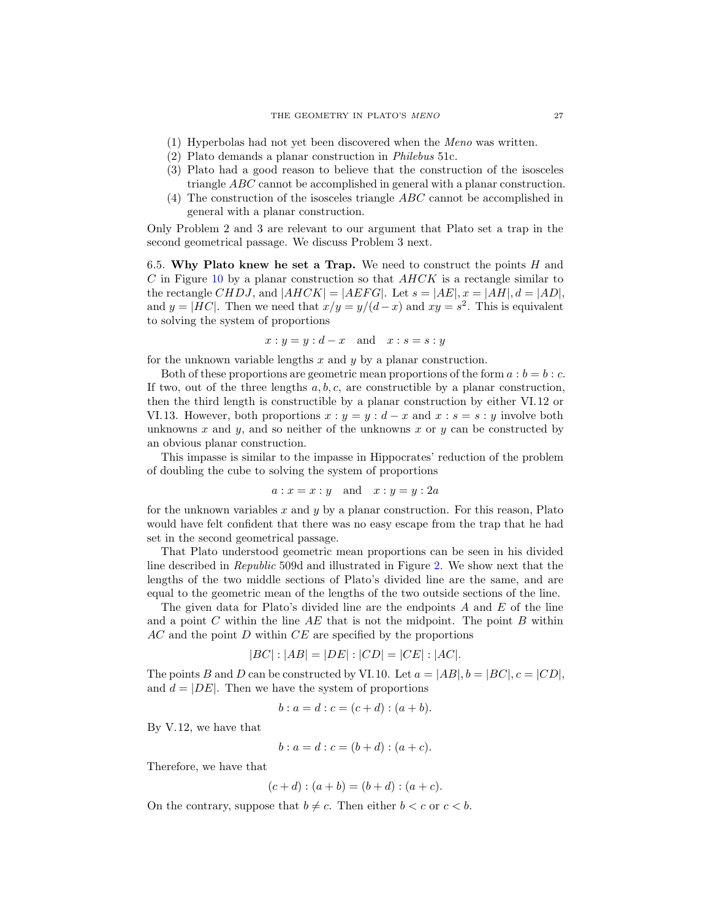- (1) Hyperbolas had not yet been discovered when the Meno was written.
- (2) Plato demands a planar construction in Philebus 51c.
- (3) Plato had a good reason to believe that the construction of the isosceles triangle ABC cannot be accomplished in general with a planar construction.
- (4) The construction of the isosceles triangle ABC cannot be accomplished in general with a planar construction.

Only Problem 2 and 3 are relevant to our argument that Plato set a trap in the second geometrical passage. We discuss Problem 3 next.

6.5. Why Plato knew he set a Trap. We need to construct the points  $H$  and C in Figure [10](#page-25-0) by a planar construction so that  $AHCK$  is a rectangle similar to the rectangle CHDJ, and  $|AHCK| = |AEFG|$ . Let  $s = |AE|$ ,  $x = |AH|$ ,  $d = |AD|$ , and  $y = |HC|$ . Then we need that  $x/y = y/(d-x)$  and  $xy = s^2$ . This is equivalent to solving the system of proportions

$$
x: y = y: d - x \quad \text{and} \quad x: s = s: y
$$

for the unknown variable lengths  $x$  and  $y$  by a planar construction.

Both of these proportions are geometric mean proportions of the form  $a : b = b : c$ . If two, out of the three lengths  $a, b, c$ , are constructible by a planar construction, then the third length is constructible by a planar construction by either VI.12 or VI.13. However, both proportions  $x : y = y : d - x$  and  $x : s = s : y$  involve both unknowns x and y, and so neither of the unknowns x or y can be constructed by an obvious planar construction.

This impasse is similar to the impasse in Hippocrates' reduction of the problem of doubling the cube to solving the system of proportions

$$
a: x = x: y \quad \text{and} \quad x: y = y: 2a
$$

for the unknown variables  $x$  and  $y$  by a planar construction. For this reason, Plato would have felt confident that there was no easy escape from the trap that he had set in the second geometrical passage.

That Plato understood geometric mean proportions can be seen in his divided line described in Republic 509d and illustrated in Figure [2.](#page-8-0) We show next that the lengths of the two middle sections of Plato's divided line are the same, and are equal to the geometric mean of the lengths of the two outside sections of the line.

The given data for Plato's divided line are the endpoints  $A$  and  $E$  of the line and a point C within the line  $AE$  that is not the midpoint. The point B within  $AC$  and the point  $D$  within  $CE$  are specified by the proportions

$$
|BC|: |AB| = |DE|: |CD| = |CE|: |AC|.
$$

The points B and D can be constructed by VI.10. Let  $a = |AB|$ ,  $b = |BC|$ ,  $c = |CD|$ , and  $d = |DE|$ . Then we have the system of proportions

$$
b: a = d: c = (c + d): (a + b).
$$

By V.12, we have that

$$
b: a = d: c = (b + d): (a + c).
$$

Therefore, we have that

$$
(c+d) : (a+b) = (b+d) : (a+c).
$$

On the contrary, suppose that  $b \neq c$ . Then either  $b < c$  or  $c < b$ .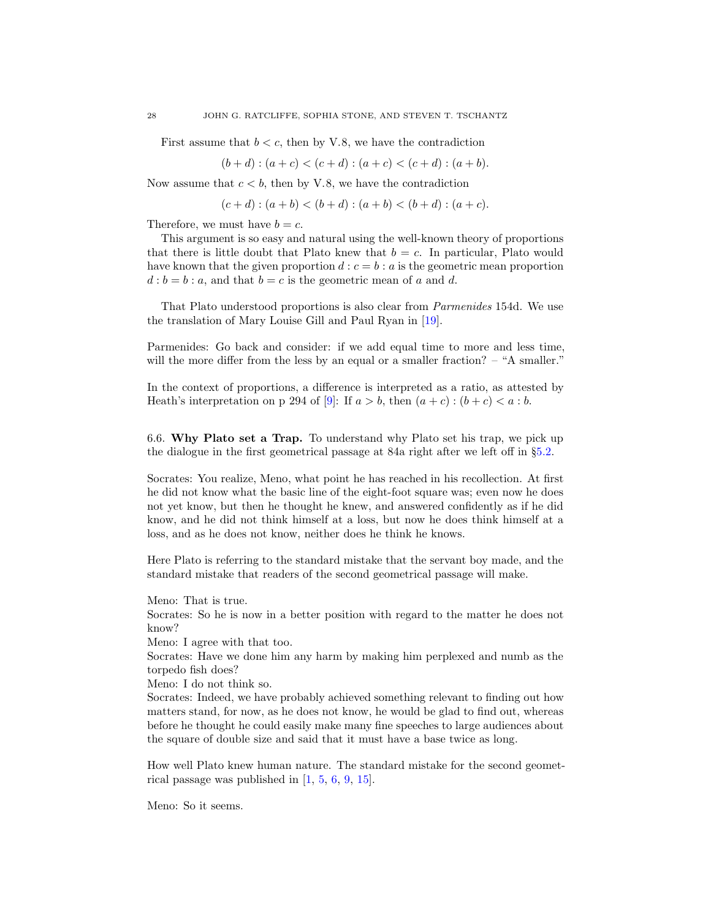First assume that  $b < c$ , then by V.8, we have the contradiction

$$
(b+d) : (a+c) < (c+d) : (a+c) < (c+d) : (a+b).
$$

Now assume that  $c < b$ , then by V.8, we have the contradiction

$$
(c+d) : (a+b) < (b+d) : (a+b) < (b+d) : (a+c).
$$

Therefore, we must have  $b = c$ .

This argument is so easy and natural using the well-known theory of proportions that there is little doubt that Plato knew that  $b = c$ . In particular, Plato would have known that the given proportion  $d : c = b : a$  is the geometric mean proportion  $d : b = b : a$ , and that  $b = c$  is the geometric mean of a and d.

That Plato understood proportions is also clear from Parmenides 154d. We use the translation of Mary Louise Gill and Paul Ryan in [\[19\]](#page-49-2).

Parmenides: Go back and consider: if we add equal time to more and less time, will the more differ from the less by an equal or a smaller fraction? – "A smaller."

In the context of proportions, a difference is interpreted as a ratio, as attested by Heath's interpretation on p 294 of [\[9\]](#page-48-0): If  $a > b$ , then  $(a + c) : (b + c) < a : b$ .

6.6. Why Plato set a Trap. To understand why Plato set his trap, we pick up the dialogue in the first geometrical passage at 84a right after we left off in §[5.2.](#page-18-0)

Socrates: You realize, Meno, what point he has reached in his recollection. At first he did not know what the basic line of the eight-foot square was; even now he does not yet know, but then he thought he knew, and answered confidently as if he did know, and he did not think himself at a loss, but now he does think himself at a loss, and as he does not know, neither does he think he knows.

Here Plato is referring to the standard mistake that the servant boy made, and the standard mistake that readers of the second geometrical passage will make.

Meno: That is true.

Socrates: So he is now in a better position with regard to the matter he does not know?

Meno: I agree with that too.

Socrates: Have we done him any harm by making him perplexed and numb as the torpedo fish does?

Meno: I do not think so.

Socrates: Indeed, we have probably achieved something relevant to finding out how matters stand, for now, as he does not know, he would be glad to find out, whereas before he thought he could easily make many fine speeches to large audiences about the square of double size and said that it must have a base twice as long.

How well Plato knew human nature. The standard mistake for the second geometrical passage was published in [\[1,](#page-48-13) [5,](#page-48-14) [6,](#page-48-15) [9,](#page-48-0) [15\]](#page-48-4).

Meno: So it seems.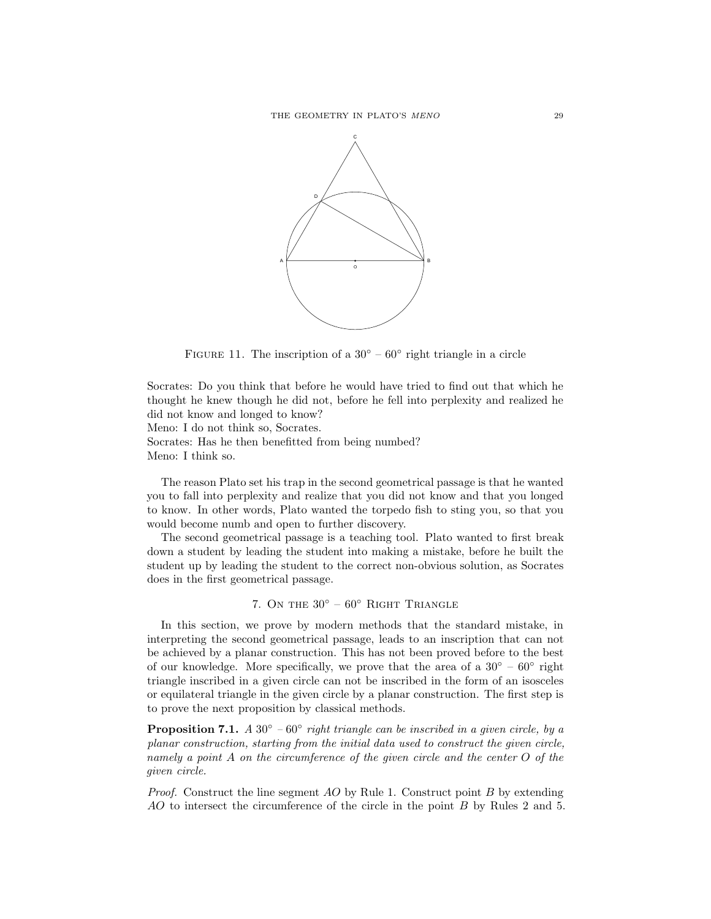

<span id="page-28-1"></span>FIGURE 11. The inscription of a  $30^{\circ} - 60^{\circ}$  right triangle in a circle

Socrates: Do you think that before he would have tried to find out that which he thought he knew though he did not, before he fell into perplexity and realized he did not know and longed to know?

Meno: I do not think so, Socrates. Socrates: Has he then benefitted from being numbed?

Meno: I think so.

The reason Plato set his trap in the second geometrical passage is that he wanted you to fall into perplexity and realize that you did not know and that you longed to know. In other words, Plato wanted the torpedo fish to sting you, so that you would become numb and open to further discovery.

The second geometrical passage is a teaching tool. Plato wanted to first break down a student by leading the student into making a mistake, before he built the student up by leading the student to the correct non-obvious solution, as Socrates does in the first geometrical passage.

# 7. ON THE  $30^{\circ}$  –  $60^{\circ}$  RIGHT TRIANGLE

<span id="page-28-0"></span>In this section, we prove by modern methods that the standard mistake, in interpreting the second geometrical passage, leads to an inscription that can not be achieved by a planar construction. This has not been proved before to the best of our knowledge. More specifically, we prove that the area of a  $30^{\circ} - 60^{\circ}$  right triangle inscribed in a given circle can not be inscribed in the form of an isosceles or equilateral triangle in the given circle by a planar construction. The first step is to prove the next proposition by classical methods.

**Proposition 7.1.** A 30 $\degree$  – 60 $\degree$  right triangle can be inscribed in a given circle, by a planar construction, starting from the initial data used to construct the given circle, namely a point A on the circumference of the given circle and the center O of the given circle.

*Proof.* Construct the line segment  $AO$  by Rule 1. Construct point  $B$  by extending AO to intersect the circumference of the circle in the point B by Rules 2 and 5.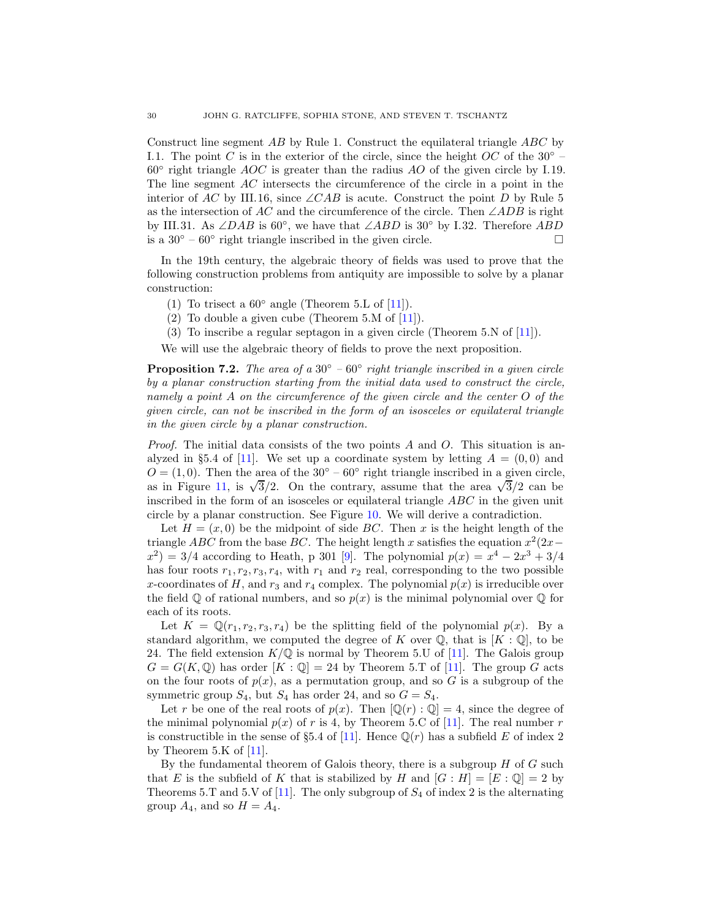Construct line segment AB by Rule 1. Construct the equilateral triangle ABC by I.1. The point C is in the exterior of the circle, since the height  $OC$  of the 30<sup>°</sup> –  $60^\circ$  right triangle AOC is greater than the radius AO of the given circle by I.19. The line segment AC intersects the circumference of the circle in a point in the interior of AC by III.16, since  $\angle CAB$  is acute. Construct the point D by Rule 5 as the intersection of AC and the circumference of the circle. Then  $\angle ADB$  is right by III.31. As ∠DAB is 60°, we have that ∠ABD is 30° by I.32. Therefore  $\overline{ABD}$ is a 30 $\degree$  – 60 $\degree$  right triangle inscribed in the given circle.  $\Box$ 

In the 19th century, the algebraic theory of fields was used to prove that the following construction problems from antiquity are impossible to solve by a planar construction:

- (1) To trisect a  $60^{\circ}$  angle (Theorem 5.L of [\[11\]](#page-48-10)).
- (2) To double a given cube (Theorem 5.M of  $[11]$ ).
- (3) To inscribe a regular septagon in a given circle (Theorem 5.N of [\[11\]](#page-48-10)).

We will use the algebraic theory of fields to prove the next proposition.

<span id="page-29-0"></span>**Proposition 7.2.** The area of a 30 $\degree$  – 60 $\degree$  right triangle inscribed in a given circle by a planar construction starting from the initial data used to construct the circle, namely a point A on the circumference of the given circle and the center O of the given circle, can not be inscribed in the form of an isosceles or equilateral triangle in the given circle by a planar construction.

*Proof.* The initial data consists of the two points  $A$  and  $O$ . This situation is an-alyzed in §5.4 of [\[11\]](#page-48-10). We set up a coordinate system by letting  $A = (0,0)$  and  $O = (1, 0)$ . Then the area of the 30° – 60° right triangle inscribed in a given circle, as in Figure [11,](#page-28-1) is  $\sqrt{3}/2$ . On the contrary, assume that the area  $\sqrt{3}/2$  can be inscribed in the form of an isosceles or equilateral triangle ABC in the given unit circle by a planar construction. See Figure [10.](#page-25-0) We will derive a contradiction.

Let  $H = (x, 0)$  be the midpoint of side BC. Then x is the height length of the triangle *ABC* from the base *BC*. The height length x satisfies the equation  $x^2(2x (x^2) = 3/4$  according to Heath, p 301 [\[9\]](#page-48-0). The polynomial  $p(x) = x^4 - 2x^3 + 3/4$ has four roots  $r_1, r_2, r_3, r_4$ , with  $r_1$  and  $r_2$  real, corresponding to the two possible x-coordinates of H, and  $r_3$  and  $r_4$  complex. The polynomial  $p(x)$  is irreducible over the field  $\mathbb Q$  of rational numbers, and so  $p(x)$  is the minimal polynomial over  $\mathbb Q$  for each of its roots.

Let  $K = \mathbb{Q}(r_1, r_2, r_3, r_4)$  be the splitting field of the polynomial  $p(x)$ . By a standard algorithm, we computed the degree of K over  $\mathbb{Q}$ , that is  $[K:\mathbb{Q}]$ , to be 24. The field extension  $K/\mathbb{Q}$  is normal by Theorem 5.U of [\[11\]](#page-48-10). The Galois group  $G = G(K, \mathbb{Q})$  has order  $[K : \mathbb{Q}] = 24$  by Theorem 5.T of [\[11\]](#page-48-10). The group G acts on the four roots of  $p(x)$ , as a permutation group, and so G is a subgroup of the symmetric group  $S_4$ , but  $S_4$  has order 24, and so  $G = S_4$ .

Let r be one of the real roots of  $p(x)$ . Then  $[\mathbb{Q}(r) : \mathbb{Q}] = 4$ , since the degree of the minimal polynomial  $p(x)$  of r is 4, by Theorem 5.C of [\[11\]](#page-48-10). The real number r is constructible in the sense of §5.4 of [\[11\]](#page-48-10). Hence  $\mathbb{Q}(r)$  has a subfield E of index 2 by Theorem 5.K of  $[11]$ .

By the fundamental theorem of Galois theory, there is a subgroup  $H$  of  $G$  such that E is the subfield of K that is stabilized by H and  $[G:H] = [E:\mathbb{Q}] = 2$  by Theorems 5.T and 5.V of [\[11\]](#page-48-10). The only subgroup of  $S_4$  of index 2 is the alternating group  $A_4$ , and so  $H = A_4$ .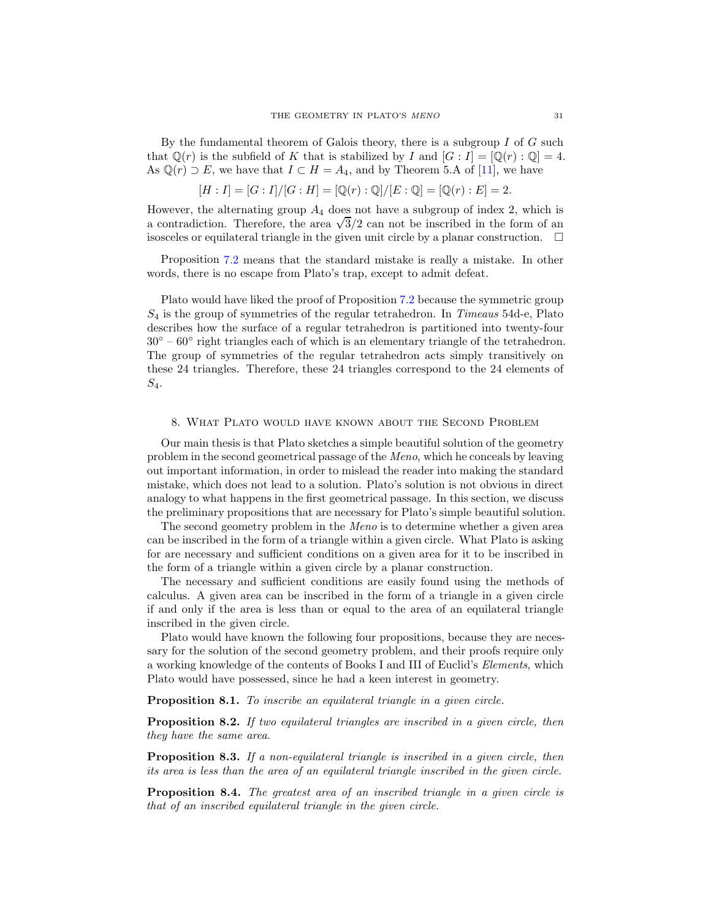By the fundamental theorem of Galois theory, there is a subgroup  $I$  of  $G$  such that  $\mathbb{Q}(r)$  is the subfield of K that is stabilized by I and  $[G: I] = [\mathbb{Q}(r) : \mathbb{Q}] = 4$ . As  $\mathbb{Q}(r) \supset E$ , we have that  $I \subset H = A_4$ , and by Theorem 5.A of [\[11\]](#page-48-10), we have

$$
[H:I] = [G:I]/[G:H] = [\mathbb{Q}(r) : \mathbb{Q}]/[E : \mathbb{Q}] = [\mathbb{Q}(r) : E] = 2.
$$

However, the alternating group  $A_4$  does not have a subgroup of index 2, which is a contradiction. Therefore, the area  $\sqrt{3}/2$  can not be inscribed in the form of an isosceles or equilateral triangle in the given unit circle by a planar construction.  $\Box$ 

Proposition [7.2](#page-29-0) means that the standard mistake is really a mistake. In other words, there is no escape from Plato's trap, except to admit defeat.

Plato would have liked the proof of Proposition [7.2](#page-29-0) because the symmetric group  $S_4$  is the group of symmetries of the regular tetrahedron. In Timeaus 54d-e, Plato describes how the surface of a regular tetrahedron is partitioned into twenty-four 30<sup>°</sup> – 60<sup>°</sup> right triangles each of which is an elementary triangle of the tetrahedron. The group of symmetries of the regular tetrahedron acts simply transitively on these 24 triangles. Therefore, these 24 triangles correspond to the 24 elements of  $S_4$ .

#### <span id="page-30-0"></span>8. What Plato would have known about the Second Problem

Our main thesis is that Plato sketches a simple beautiful solution of the geometry problem in the second geometrical passage of the Meno, which he conceals by leaving out important information, in order to mislead the reader into making the standard mistake, which does not lead to a solution. Plato's solution is not obvious in direct analogy to what happens in the first geometrical passage. In this section, we discuss the preliminary propositions that are necessary for Plato's simple beautiful solution.

The second geometry problem in the *Meno* is to determine whether a given area can be inscribed in the form of a triangle within a given circle. What Plato is asking for are necessary and sufficient conditions on a given area for it to be inscribed in the form of a triangle within a given circle by a planar construction.

The necessary and sufficient conditions are easily found using the methods of calculus. A given area can be inscribed in the form of a triangle in a given circle if and only if the area is less than or equal to the area of an equilateral triangle inscribed in the given circle.

Plato would have known the following four propositions, because they are necessary for the solution of the second geometry problem, and their proofs require only a working knowledge of the contents of Books I and III of Euclid's Elements, which Plato would have possessed, since he had a keen interest in geometry.

<span id="page-30-1"></span>Proposition 8.1. To inscribe an equilateral triangle in a given circle.

<span id="page-30-2"></span>Proposition 8.2. If two equilateral triangles are inscribed in a given circle, then they have the same area.

<span id="page-30-3"></span>**Proposition 8.3.** If a non-equilateral triangle is inscribed in a given circle, then its area is less than the area of an equilateral triangle inscribed in the given circle.

<span id="page-30-4"></span>**Proposition 8.4.** The greatest area of an inscribed triangle in a given circle is that of an inscribed equilateral triangle in the given circle.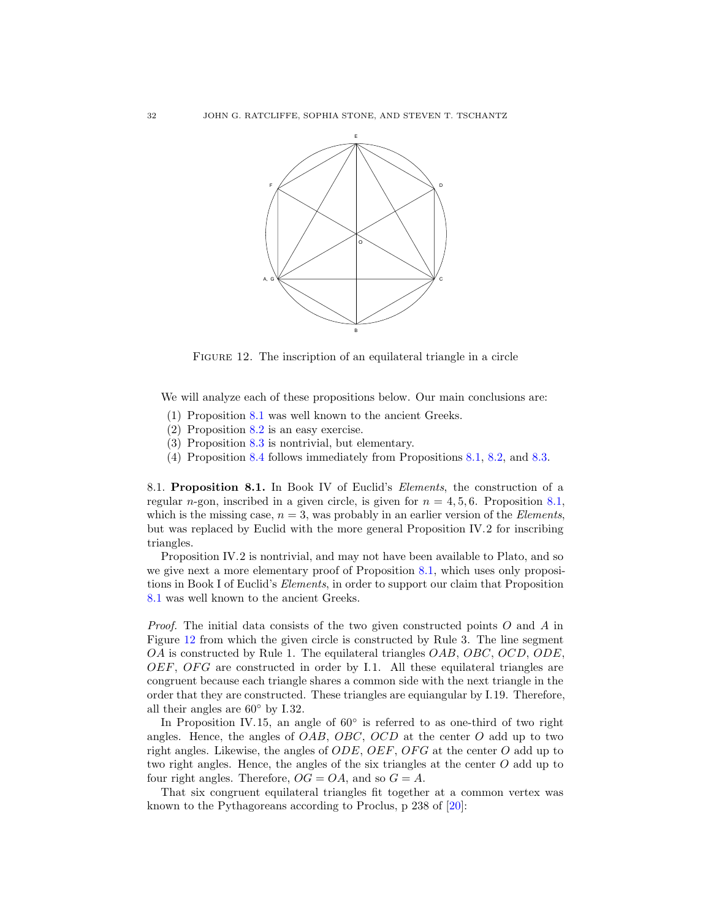

<span id="page-31-0"></span>FIGURE 12. The inscription of an equilateral triangle in a circle

We will analyze each of these propositions below. Our main conclusions are:

- (1) Proposition [8.1](#page-30-1) was well known to the ancient Greeks.
- (2) Proposition [8.2](#page-30-2) is an easy exercise.
- (3) Proposition [8.3](#page-30-3) is nontrivial, but elementary.
- (4) Proposition [8.4](#page-30-4) follows immediately from Propositions [8.1,](#page-30-1) [8.2,](#page-30-2) and [8.3.](#page-30-3)

8.1. Proposition 8.1. In Book IV of Euclid's Elements, the construction of a regular n-gon, inscribed in a given circle, is given for  $n = 4, 5, 6$ . Proposition [8.1,](#page-30-1) which is the missing case,  $n = 3$ , was probably in an earlier version of the *Elements*, but was replaced by Euclid with the more general Proposition IV.2 for inscribing triangles.

Proposition IV.2 is nontrivial, and may not have been available to Plato, and so we give next a more elementary proof of Proposition [8.1,](#page-30-1) which uses only propositions in Book I of Euclid's Elements, in order to support our claim that Proposition [8.1](#page-30-1) was well known to the ancient Greeks.

Proof. The initial data consists of the two given constructed points O and A in Figure [12](#page-31-0) from which the given circle is constructed by Rule 3. The line segment OA is constructed by Rule 1. The equilateral triangles OAB, OBC, OCD, ODE,  $OEF$ ,  $OFG$  are constructed in order by I.1. All these equilateral triangles are congruent because each triangle shares a common side with the next triangle in the order that they are constructed. These triangles are equiangular by I.19. Therefore, all their angles are  $60°$  by I.32.

In Proposition IV.15, an angle of  $60^{\circ}$  is referred to as one-third of two right angles. Hence, the angles of  $OAB$ ,  $OBC$ ,  $OCD$  at the center  $O$  add up to two right angles. Likewise, the angles of  $ODE$ ,  $OEF$ ,  $OFG$  at the center O add up to two right angles. Hence, the angles of the six triangles at the center O add up to four right angles. Therefore,  $OG = OA$ , and so  $G = A$ .

That six congruent equilateral triangles fit together at a common vertex was known to the Pythagoreans according to Proclus, p 238 of [\[20\]](#page-49-5):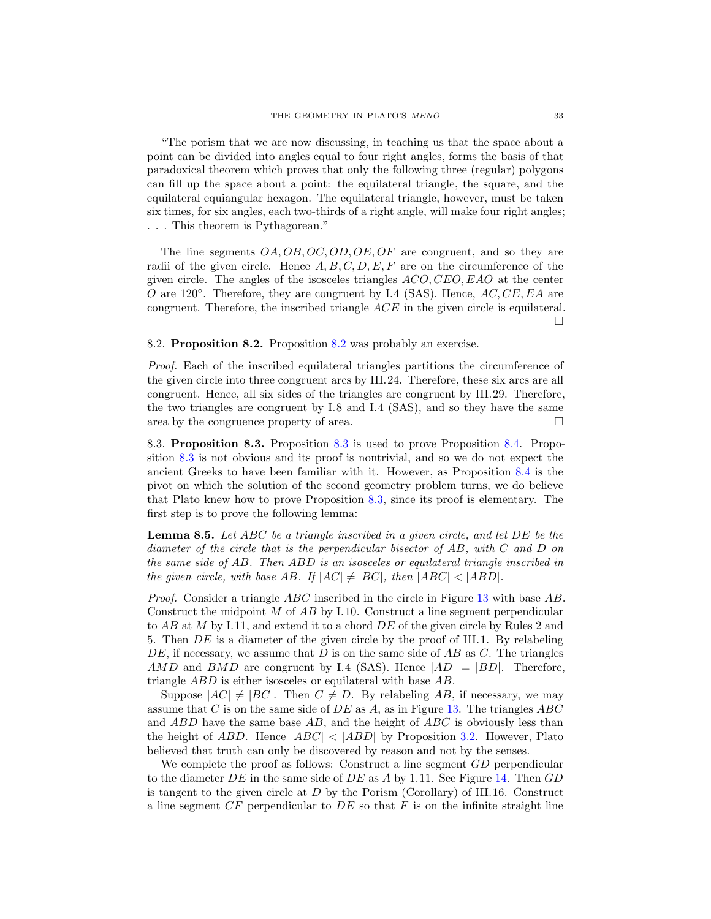"The porism that we are now discussing, in teaching us that the space about a point can be divided into angles equal to four right angles, forms the basis of that paradoxical theorem which proves that only the following three (regular) polygons can fill up the space about a point: the equilateral triangle, the square, and the equilateral equiangular hexagon. The equilateral triangle, however, must be taken six times, for six angles, each two-thirds of a right angle, will make four right angles; . . . This theorem is Pythagorean."

The line segments  $OA, OB, OC, OD, OE, OF$  are congruent, and so they are radii of the given circle. Hence  $A, B, C, D, E, F$  are on the circumference of the given circle. The angles of the isosceles triangles  $ACO, CEO, EAO$  at the center  $\overline{O}$  are 120°. Therefore, they are congruent by I.4 (SAS). Hence, AC, CE, EA are congruent. Therefore, the inscribed triangle ACE in the given circle is equilateral.  $\Box$ 

# 8.2. Proposition 8.2. Proposition [8.2](#page-30-2) was probably an exercise.

Proof. Each of the inscribed equilateral triangles partitions the circumference of the given circle into three congruent arcs by III.24. Therefore, these six arcs are all congruent. Hence, all six sides of the triangles are congruent by III.29. Therefore, the two triangles are congruent by I.8 and I.4 (SAS), and so they have the same area by the congruence property of area.  $\square$ 

8.3. Proposition 8.3. Proposition [8.3](#page-30-3) is used to prove Proposition [8.4.](#page-30-4) Proposition [8.3](#page-30-3) is not obvious and its proof is nontrivial, and so we do not expect the ancient Greeks to have been familiar with it. However, as Proposition [8.4](#page-30-4) is the pivot on which the solution of the second geometry problem turns, we do believe that Plato knew how to prove Proposition [8.3,](#page-30-3) since its proof is elementary. The first step is to prove the following lemma:

<span id="page-32-0"></span>**Lemma 8.5.** Let ABC be a triangle inscribed in a given circle, and let DE be the diameter of the circle that is the perpendicular bisector of AB, with C and D on the same side of AB. Then ABD is an isosceles or equilateral triangle inscribed in the given circle, with base AB. If  $|AC| \neq |BC|$ , then  $|ABC| < |ABD|$ .

Proof. Consider a triangle ABC inscribed in the circle in Figure [13](#page-33-0) with base AB. Construct the midpoint  $M$  of  $AB$  by I.10. Construct a line segment perpendicular to  $AB$  at M by I.11, and extend it to a chord  $DE$  of the given circle by Rules 2 and 5. Then DE is a diameter of the given circle by the proof of III.1. By relabeling  $DE$ , if necessary, we assume that D is on the same side of AB as C. The triangles AMD and BMD are congruent by I.4 (SAS). Hence  $|AD| = |BD|$ . Therefore, triangle ABD is either isosceles or equilateral with base AB.

Suppose  $|AC| \neq |BC|$ . Then  $C \neq D$ . By relabeling AB, if necessary, we may assume that C is on the same side of  $DE$  as A, as in Figure [13.](#page-33-0) The triangles  $ABC$ and  $ABD$  have the same base  $AB$ , and the height of  $ABC$  is obviously less than the height of ABD. Hence  $|ABC| < |ABD|$  by Proposition [3.2.](#page-15-2) However, Plato believed that truth can only be discovered by reason and not by the senses.

We complete the proof as follows: Construct a line segment GD perpendicular to the diameter  $DE$  in the same side of  $DE$  as A by 1.11. See Figure [14.](#page-33-1) Then  $GD$ is tangent to the given circle at  $D$  by the Porism (Corollary) of III.16. Construct a line segment  $CF$  perpendicular to  $DE$  so that  $F$  is on the infinite straight line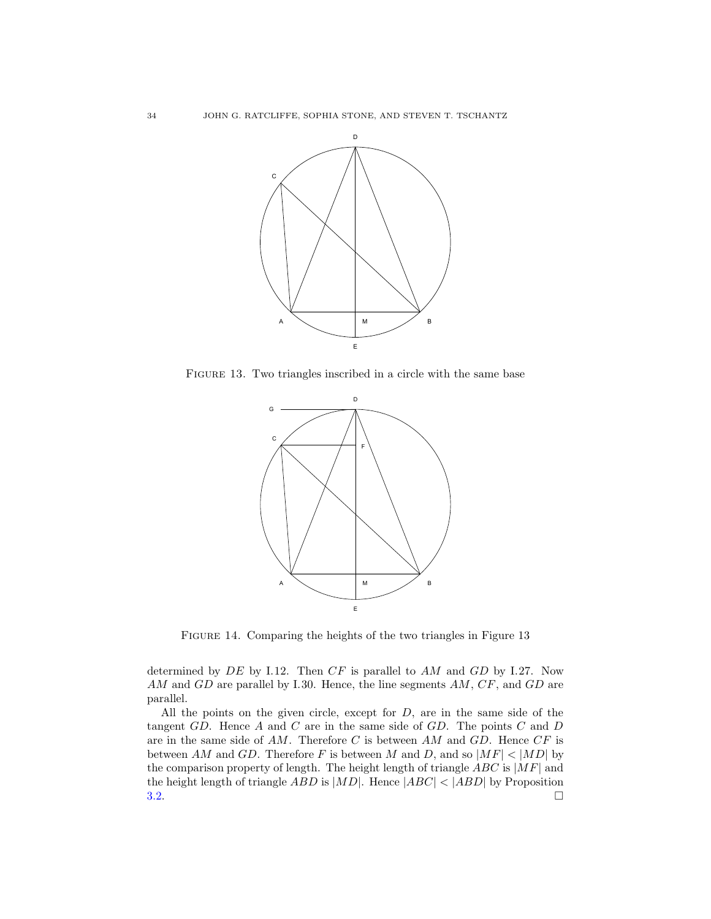

FIGURE 13. Two triangles inscribed in a circle with the same base

<span id="page-33-0"></span>

<span id="page-33-1"></span>Figure 14. Comparing the heights of the two triangles in Figure 13

determined by  $DE$  by I.12. Then  $CF$  is parallel to  $AM$  and  $GD$  by I.27. Now AM and GD are parallel by I.30. Hence, the line segments AM, CF, and GD are parallel.

All the points on the given circle, except for  $D$ , are in the same side of the tangent  $GD$ . Hence  $A$  and  $C$  are in the same side of  $GD$ . The points  $C$  and  $D$ are in the same side of  $AM$ . Therefore C is between  $AM$  and  $GD$ . Hence  $CF$  is between AM and GD. Therefore F is between M and D, and so  $|MF| < |MD|$  by the comparison property of length. The height length of triangle  $ABC$  is  $|MF|$  and the height length of triangle *ABD* is  $|MD|$ . Hence  $|ABC| < |ABD|$  by Proposition 3.2.  $3.2.$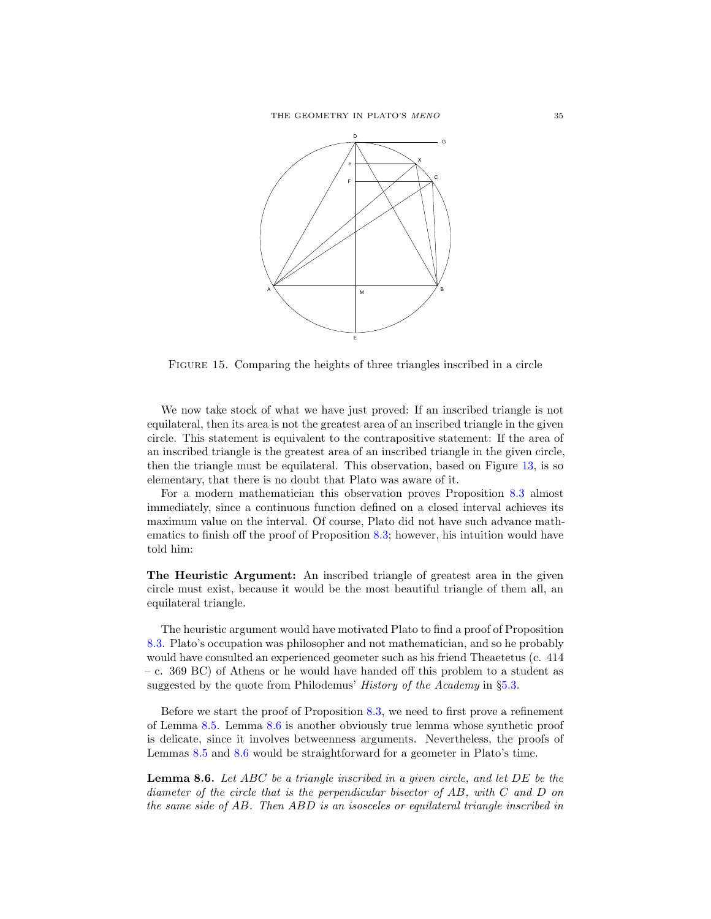

<span id="page-34-1"></span>Figure 15. Comparing the heights of three triangles inscribed in a circle

We now take stock of what we have just proved: If an inscribed triangle is not equilateral, then its area is not the greatest area of an inscribed triangle in the given circle. This statement is equivalent to the contrapositive statement: If the area of an inscribed triangle is the greatest area of an inscribed triangle in the given circle, then the triangle must be equilateral. This observation, based on Figure [13,](#page-33-0) is so elementary, that there is no doubt that Plato was aware of it.

For a modern mathematician this observation proves Proposition [8.3](#page-30-3) almost immediately, since a continuous function defined on a closed interval achieves its maximum value on the interval. Of course, Plato did not have such advance mathematics to finish off the proof of Proposition [8.3;](#page-30-3) however, his intuition would have told him:

The Heuristic Argument: An inscribed triangle of greatest area in the given circle must exist, because it would be the most beautiful triangle of them all, an equilateral triangle.

The heuristic argument would have motivated Plato to find a proof of Proposition [8.3.](#page-30-3) Plato's occupation was philosopher and not mathematician, and so he probably would have consulted an experienced geometer such as his friend Theaetetus (c. 414 – c. 369 BC) of Athens or he would have handed off this problem to a student as suggested by the quote from Philodemus' *History of the Academy* in §[5.3.](#page-19-0)

Before we start the proof of Proposition [8.3,](#page-30-3) we need to first prove a refinement of Lemma [8.5.](#page-32-0) Lemma [8.6](#page-34-0) is another obviously true lemma whose synthetic proof is delicate, since it involves betweenness arguments. Nevertheless, the proofs of Lemmas [8.5](#page-32-0) and [8.6](#page-34-0) would be straightforward for a geometer in Plato's time.

<span id="page-34-0"></span>**Lemma 8.6.** Let ABC be a triangle inscribed in a given circle, and let DE be the diameter of the circle that is the perpendicular bisector of AB, with C and D on the same side of AB. Then ABD is an isosceles or equilateral triangle inscribed in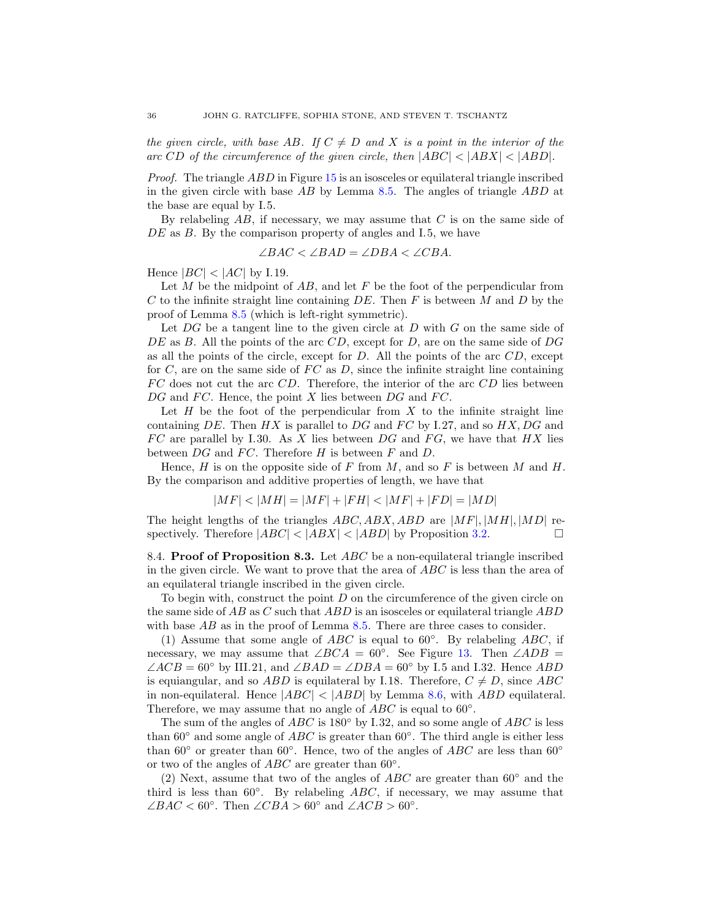the given circle, with base AB. If  $C \neq D$  and X is a point in the interior of the arc CD of the circumference of the given circle, then  $|ABC| < |ABX| < |ABD|$ .

*Proof.* The triangle  $ABD$  in Figure [15](#page-34-1) is an isosceles or equilateral triangle inscribed in the given circle with base  $AB$  by Lemma [8.5.](#page-32-0) The angles of triangle  $ABD$  at the base are equal by I.5.

By relabeling  $AB$ , if necessary, we may assume that C is on the same side of DE as B. By the comparison property of angles and I.5, we have

$$
\angle BAC < \angle BAD = \angle DBA < \angle CBA.
$$

Hence  $|BC| < |AC|$  by I.19.

Let  $M$  be the midpoint of  $AB$ , and let  $F$  be the foot of the perpendicular from C to the infinite straight line containing  $DE$ . Then F is between M and D by the proof of Lemma [8.5](#page-32-0) (which is left-right symmetric).

Let  $DG$  be a tangent line to the given circle at D with G on the same side of DE as B. All the points of the arc  $CD$ , except for D, are on the same side of DG as all the points of the circle, except for  $D$ . All the points of the arc  $CD$ , except for  $C$ , are on the same side of  $FC$  as  $D$ , since the infinite straight line containing  $FC$  does not cut the arc  $CD$ . Therefore, the interior of the arc  $CD$  lies between DG and FC. Hence, the point X lies between DG and FC.

Let  $H$  be the foot of the perpendicular from  $X$  to the infinite straight line containing DE. Then  $HX$  is parallel to DG and FC by I.27, and so  $HX$ , DG and  $FC$  are parallel by I.30. As X lies between DG and FG, we have that HX lies between  $DG$  and  $FC$ . Therefore  $H$  is between  $F$  and  $D$ .

Hence, H is on the opposite side of F from M, and so F is between M and H. By the comparison and additive properties of length, we have that

$$
|MF| < |MH| = |MF| + |FH| < |MF| + |FD| = |MD|
$$

The height lengths of the triangles  $ABC, ABX, ABD$  are  $|MF|, |MH|, |MD|$  re-<br>spectively. Therefore  $|ABC| < |ABX| < |ABD|$  by Proposition 3.2 spectively. Therefore  $|ABC| < |ABX| < |ABD|$  by Proposition [3.2.](#page-15-2)

8.4. Proof of Proposition 8.3. Let  $ABC$  be a non-equilateral triangle inscribed in the given circle. We want to prove that the area of ABC is less than the area of an equilateral triangle inscribed in the given circle.

To begin with, construct the point  $D$  on the circumference of the given circle on the same side of  $AB$  as C such that  $ABD$  is an isosceles or equilateral triangle  $ABD$ with base  $AB$  as in the proof of Lemma [8.5.](#page-32-0) There are three cases to consider.

(1) Assume that some angle of  $ABC$  is equal to 60°. By relabeling  $ABC$ , if necessary, we may assume that ∠ $BCA = 60°$ . See Figure [13.](#page-33-0) Then ∠ $ADB =$  $\angle ACB = 60^\circ$  by III.21, and  $\angle BAD = \angle DBA = 60^\circ$  by I.5 and I.32. Hence ABD is equiangular, and so ABD is equilateral by I.18. Therefore,  $C \neq D$ , since ABC in non-equilateral. Hence  $|ABC| < |ABD|$  by Lemma [8.6,](#page-34-0) with ABD equilateral. Therefore, we may assume that no angle of  $\widehat{ABC}$  is equal to  $60^{\circ}$ .

The sum of the angles of  $ABC$  is 180 $\degree$  by I.32, and so some angle of ABC is less than  $60°$  and some angle of  $ABC$  is greater than  $60°$ . The third angle is either less than 60° or greater than 60°. Hence, two of the angles of  $ABC$  are less than 60° or two of the angles of  $ABC$  are greater than 60°.

(2) Next, assume that two of the angles of  $ABC$  are greater than  $60°$  and the third is less than 60°. By relabeling  $\overrightarrow{ABC}$ , if necessary, we may assume that ∠BAC < 60°. Then ∠CBA > 60° and ∠ACB > 60°.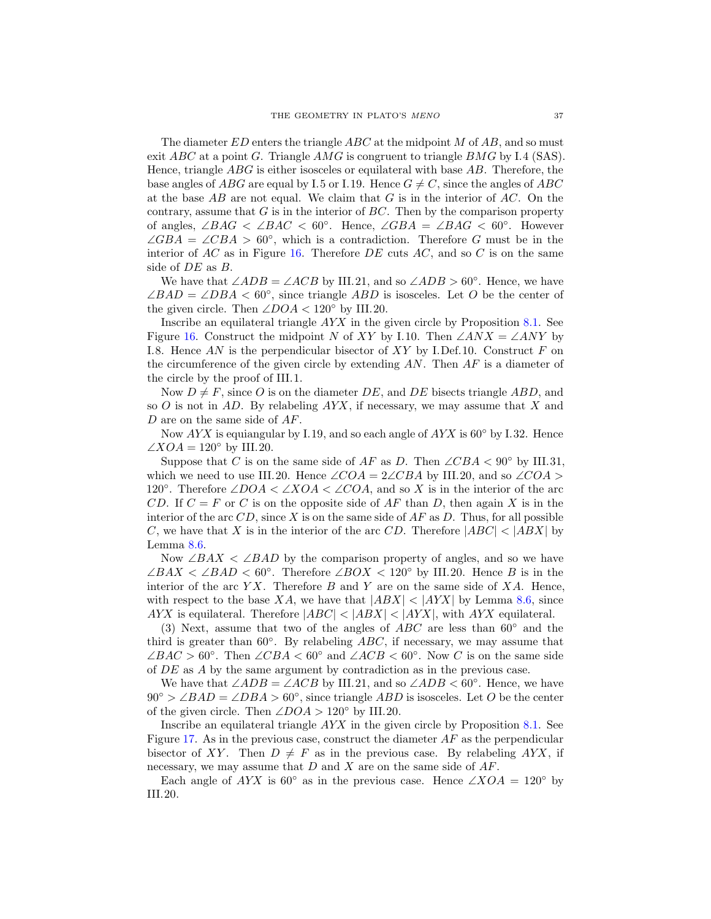The diameter  $ED$  enters the triangle  $ABC$  at the midpoint M of AB, and so must exit ABC at a point G. Triangle AMG is congruent to triangle BMG by I.4 (SAS). Hence, triangle ABG is either isosceles or equilateral with base AB. Therefore, the base angles of ABG are equal by I.5 or I.19. Hence  $G \neq C$ , since the angles of ABC at the base  $AB$  are not equal. We claim that G is in the interior of  $AC$ . On the contrary, assume that  $G$  is in the interior of  $BC$ . Then by the comparison property of angles, ∠BAG < ∠BAC < 60°. Hence, ∠GBA = ∠BAG < 60°. However  $\angle GBA = \angle CBA > 60^{\circ}$ , which is a contradiction. Therefore G must be in the interior of  $AC$  as in Figure [16.](#page-37-0) Therefore  $DE$  cuts  $AC$ , and so C is on the same side of DE as B.

We have that  $\angle ADB = \angle ACB$  by III.21, and so  $\angle ADB > 60^\circ$ . Hence, we have  $\angle BAD = \angle DBA < 60^{\circ}$ , since triangle ABD is isosceles. Let O be the center of the given circle. Then  $\angle DOA < 120^{\circ}$  by III.20.

Inscribe an equilateral triangle AYX in the given circle by Proposition [8.1.](#page-30-1) See Figure [16.](#page-37-0) Construct the midpoint N of XY by I.10. Then  $\angle ANX = \angle ANY$  by I.8. Hence AN is the perpendicular bisector of  $XY$  by I.Def.10. Construct F on the circumference of the given circle by extending  $AN$ . Then  $AF$  is a diameter of the circle by the proof of III.1.

Now  $D \neq F$ , since O is on the diameter DE, and DE bisects triangle ABD, and so O is not in  $AD$ . By relabeling  $AYX$ , if necessary, we may assume that X and D are on the same side of AF.

Now  $AYX$  is equiangular by I.19, and so each angle of  $AYX$  is 60 $\degree$  by I.32. Hence  $\angle XOA = 120^{\circ}$  by III.20.

Suppose that C is on the same side of AF as D. Then  $\angle CBA < 90^{\circ}$  by III.31, which we need to use III.20. Hence  $\angle COA = 2\angle CBA$  by III.20, and so  $\angle COA >$ 120°. Therefore ∠DOA < ∠XOA < ∠COA, and so X is in the interior of the arc CD. If  $C = F$  or C is on the opposite side of AF than D, then again X is in the interior of the arc  $CD$ , since X is on the same side of  $AF$  as D. Thus, for all possible C, we have that X is in the interior of the arc CD. Therefore  $|ABC| < |ABX|$  by Lemma [8.6.](#page-34-0)

Now  $\angle BAX \angle BAD$  by the comparison property of angles, and so we have ∠BAX < ∠BAD < 60°. Therefore ∠BOX < 120° by III.20. Hence B is in the interior of the arc  $YX$ . Therefore  $B$  and  $Y$  are on the same side of  $XA$ . Hence, with respect to the base XA, we have that  $|ABX| < |AYX|$  by Lemma [8.6,](#page-34-0) since  $AYX$  is equilateral. Therefore  $|ABC| < |ABX| < |AYX|$ , with  $AYX$  equilateral.

(3) Next, assume that two of the angles of  $ABC$  are less than 60 $\degree$  and the third is greater than  $60°$ . By relabeling  $\overline{ABC}$ , if necessary, we may assume that ∠BAC > 60°. Then ∠CBA < 60° and ∠ACB < 60°. Now C is on the same side of DE as A by the same argument by contradiction as in the previous case.

We have that  $\angle ADB = \angle ACB$  by III.21, and so  $\angle ADB < 60^\circ$ . Hence, we have  $90° > \angle BAD = \angle DBA > 60°$ , since triangle ABD is isosceles. Let O be the center of the given circle. Then  $\angle DOA > 120^{\circ}$  by III.20.

Inscribe an equilateral triangle AYX in the given circle by Proposition [8.1.](#page-30-1) See Figure [17.](#page-37-1) As in the previous case, construct the diameter  $AF$  as the perpendicular bisector of XY. Then  $D \neq F$  as in the previous case. By relabeling AYX, if necessary, we may assume that  $D$  and  $X$  are on the same side of  $AF$ .

Each angle of AYX is 60° as in the previous case. Hence  $\angle XOA = 120^{\circ}$  by III.20.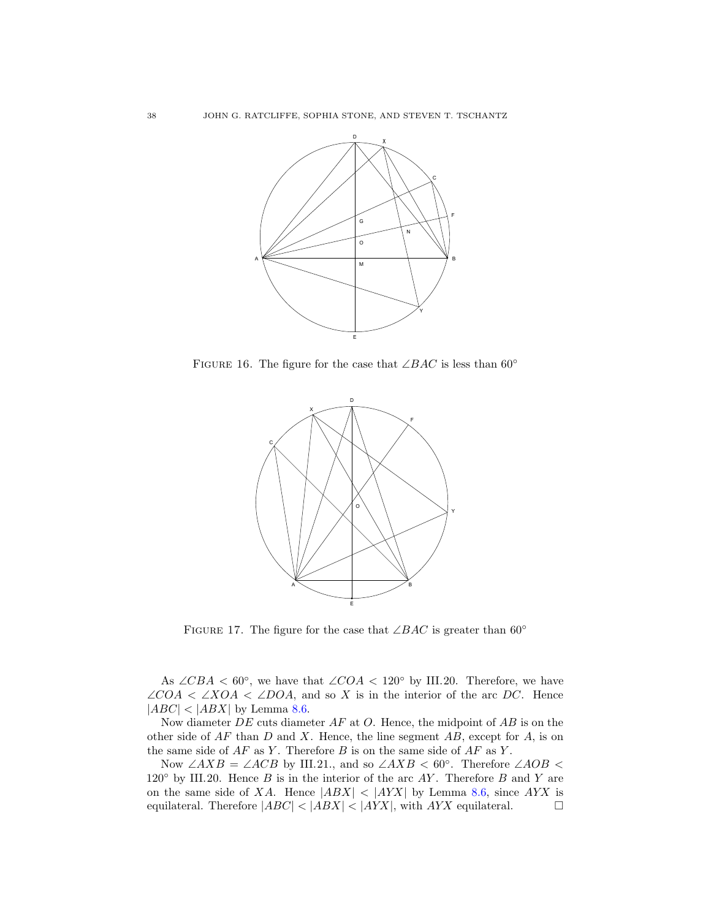

FIGURE 16. The figure for the case that  $\angle BAC$  is less than 60°

<span id="page-37-0"></span>

<span id="page-37-1"></span>FIGURE 17. The figure for the case that ∠BAC is greater than 60 $\degree$ 

As  $\angle CBA < 60^{\circ}$ , we have that  $\angle COA < 120^{\circ}$  by III.20. Therefore, we have  $\angle COA \langle \angle XOA \langle \angle DOA$ , and so X is in the interior of the arc DC. Hence  $|ABC| < |ABX|$  by Lemma [8.6.](#page-34-0)

Now diameter  $DE$  cuts diameter  $AF$  at  $O$ . Hence, the midpoint of  $AB$  is on the other side of  $AF$  than  $D$  and  $X$ . Hence, the line segment  $AB$ , except for  $A$ , is on the same side of  $AF$  as Y. Therefore B is on the same side of  $AF$  as Y.

Now  $\angle AXB = \angle ACB$  by III.21., and so  $\angle AXB < 60^{\circ}$ . Therefore  $\angle AOB <$ 120 $\textdegree$  by III.20. Hence B is in the interior of the arc AY. Therefore B and Y are on the same side of XA. Hence  $|ABX| < |AYX|$  by Lemma [8.6,](#page-34-0) since  $AYX$  is equilateral. Therefore  $|ABC| < |ABX| < |AYX|$ , with AYX equilateral. equilateral. Therefore  $|ABC| < |ABX| < |AYX|$ , with  $AYX$  equilateral.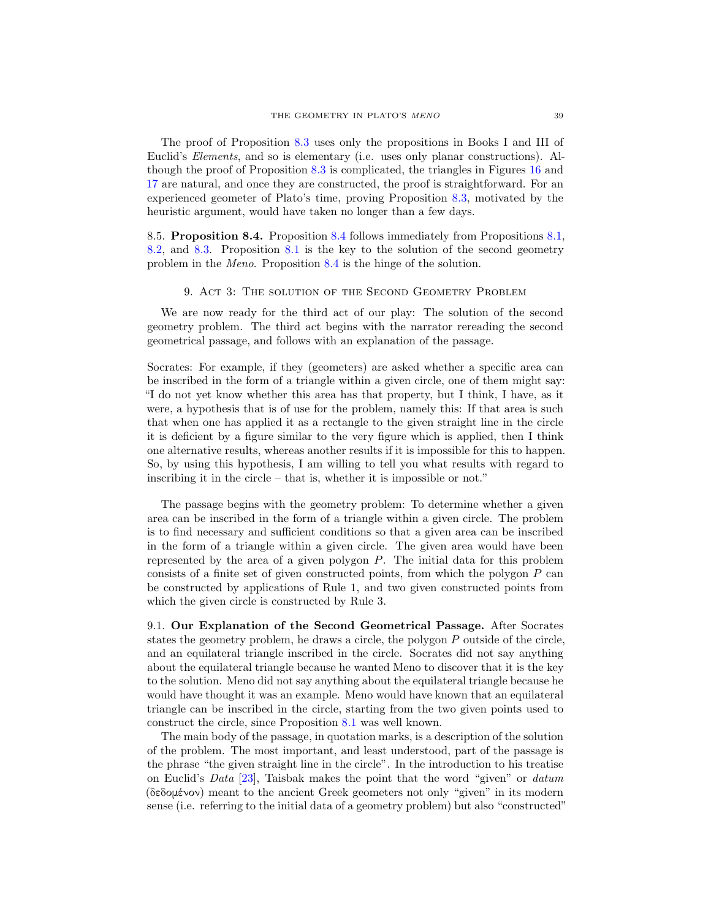The proof of Proposition [8.3](#page-30-3) uses only the propositions in Books I and III of Euclid's Elements, and so is elementary (i.e. uses only planar constructions). Although the proof of Proposition [8.3](#page-30-3) is complicated, the triangles in Figures [16](#page-37-0) and [17](#page-37-1) are natural, and once they are constructed, the proof is straightforward. For an experienced geometer of Plato's time, proving Proposition [8.3,](#page-30-3) motivated by the heuristic argument, would have taken no longer than a few days.

8.5. Proposition 8.4. Proposition [8.4](#page-30-4) follows immediately from Propositions [8.1,](#page-30-1) [8.2,](#page-30-2) and [8.3.](#page-30-3) Proposition [8.1](#page-30-1) is the key to the solution of the second geometry problem in the Meno. Proposition [8.4](#page-30-4) is the hinge of the solution.

# 9. Act 3: The solution of the Second Geometry Problem

<span id="page-38-0"></span>We are now ready for the third act of our play: The solution of the second geometry problem. The third act begins with the narrator rereading the second geometrical passage, and follows with an explanation of the passage.

Socrates: For example, if they (geometers) are asked whether a specific area can be inscribed in the form of a triangle within a given circle, one of them might say: "I do not yet know whether this area has that property, but I think, I have, as it were, a hypothesis that is of use for the problem, namely this: If that area is such that when one has applied it as a rectangle to the given straight line in the circle it is deficient by a figure similar to the very figure which is applied, then I think one alternative results, whereas another results if it is impossible for this to happen. So, by using this hypothesis, I am willing to tell you what results with regard to inscribing it in the circle – that is, whether it is impossible or not."

The passage begins with the geometry problem: To determine whether a given area can be inscribed in the form of a triangle within a given circle. The problem is to find necessary and sufficient conditions so that a given area can be inscribed in the form of a triangle within a given circle. The given area would have been represented by the area of a given polygon P. The initial data for this problem consists of a finite set of given constructed points, from which the polygon  $P$  can be constructed by applications of Rule 1, and two given constructed points from which the given circle is constructed by Rule 3.

9.1. Our Explanation of the Second Geometrical Passage. After Socrates states the geometry problem, he draws a circle, the polygon P outside of the circle, and an equilateral triangle inscribed in the circle. Socrates did not say anything about the equilateral triangle because he wanted Meno to discover that it is the key to the solution. Meno did not say anything about the equilateral triangle because he would have thought it was an example. Meno would have known that an equilateral triangle can be inscribed in the circle, starting from the two given points used to construct the circle, since Proposition [8.1](#page-30-1) was well known.

The main body of the passage, in quotation marks, is a description of the solution of the problem. The most important, and least understood, part of the passage is the phrase "the given straight line in the circle". In the introduction to his treatise on Euclid's Data [\[23\]](#page-49-4), Taisbak makes the point that the word "given" or datum (δεδομένον) meant to the ancient Greek geometers not only "given" in its modern sense (i.e. referring to the initial data of a geometry problem) but also "constructed"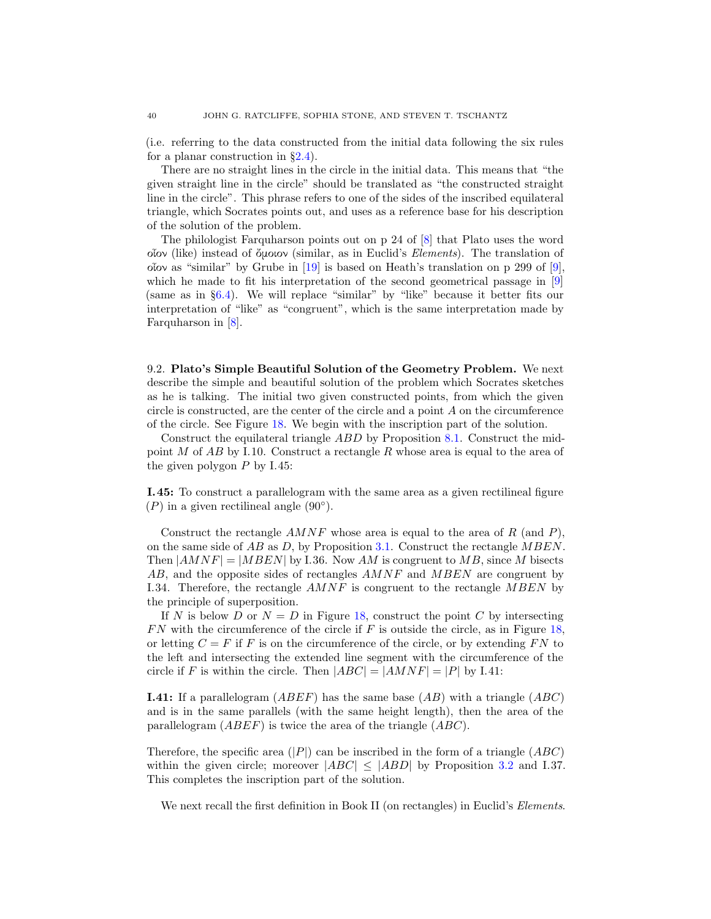(i.e. referring to the data constructed from the initial data following the six rules for a planar construction in  $\S 2.4$ ).

There are no straight lines in the circle in the initial data. This means that "the given straight line in the circle" should be translated as "the constructed straight line in the circle". This phrase refers to one of the sides of the inscribed equilateral triangle, which Socrates points out, and uses as a reference base for his description of the solution of the problem.

The philologist Farquharson points out on p 24 of [\[8\]](#page-48-12) that Plato uses the word οἶον (like) instead of ὄμοιον (similar, as in Euclid's Elements). The translation of οἶον as "similar" by Grube in [\[19\]](#page-49-2) is based on Heath's translation on p 299 of [\[9\]](#page-48-0), which he made to fit his interpretation of the second geometrical passage in [\[9\]](#page-48-0) (same as in §[6.4\)](#page-24-0). We will replace "similar" by "like" because it better fits our interpretation of "like" as "congruent", which is the same interpretation made by Farquharson in [\[8\]](#page-48-12).

<span id="page-39-0"></span>9.2. Plato's Simple Beautiful Solution of the Geometry Problem. We next describe the simple and beautiful solution of the problem which Socrates sketches as he is talking. The initial two given constructed points, from which the given circle is constructed, are the center of the circle and a point A on the circumference of the circle. See Figure [18.](#page-40-0) We begin with the inscription part of the solution.

Construct the equilateral triangle ABD by Proposition [8.1.](#page-30-1) Construct the midpoint M of  $AB$  by I.10. Construct a rectangle R whose area is equal to the area of the given polygon  $P$  by I.45:

I.45: To construct a parallelogram with the same area as a given rectilineal figure  $(P)$  in a given rectilineal angle  $(90^{\circ})$ .

Construct the rectangle  $AMNF$  whose area is equal to the area of R (and P). on the same side of  $AB$  as D, by Proposition [3.1.](#page-13-0) Construct the rectangle MBEN. Then  $|AMNF| = |MBEN|$  by I.36. Now AM is congruent to MB, since M bisects AB, and the opposite sides of rectangles  $AMNF$  and  $MBEN$  are congruent by I.34. Therefore, the rectangle  $AMNF$  is congruent to the rectangle  $MBEN$  by the principle of superposition.

If N is below D or  $N = D$  in Figure [18,](#page-40-0) construct the point C by intersecting  $FN$  with the circumference of the circle if  $F$  is outside the circle, as in Figure [18,](#page-40-0) or letting  $C = F$  if F is on the circumference of the circle, or by extending FN to the left and intersecting the extended line segment with the circumference of the circle if F is within the circle. Then  $|ABC| = |AMNF| = |P|$  by I.41:

**I.41:** If a parallelogram  $(ABEF)$  has the same base  $(AB)$  with a triangle  $(ABC)$ and is in the same parallels (with the same height length), then the area of the parallelogram (ABEF) is twice the area of the triangle (ABC).

Therefore, the specific area  $(|P|)$  can be inscribed in the form of a triangle  $(ABC)$ within the given circle; moreover  $|ABC| \le |ABD|$  by Proposition [3.2](#page-15-2) and I.37. This completes the inscription part of the solution.

We next recall the first definition in Book II (on rectangles) in Euclid's *Elements*.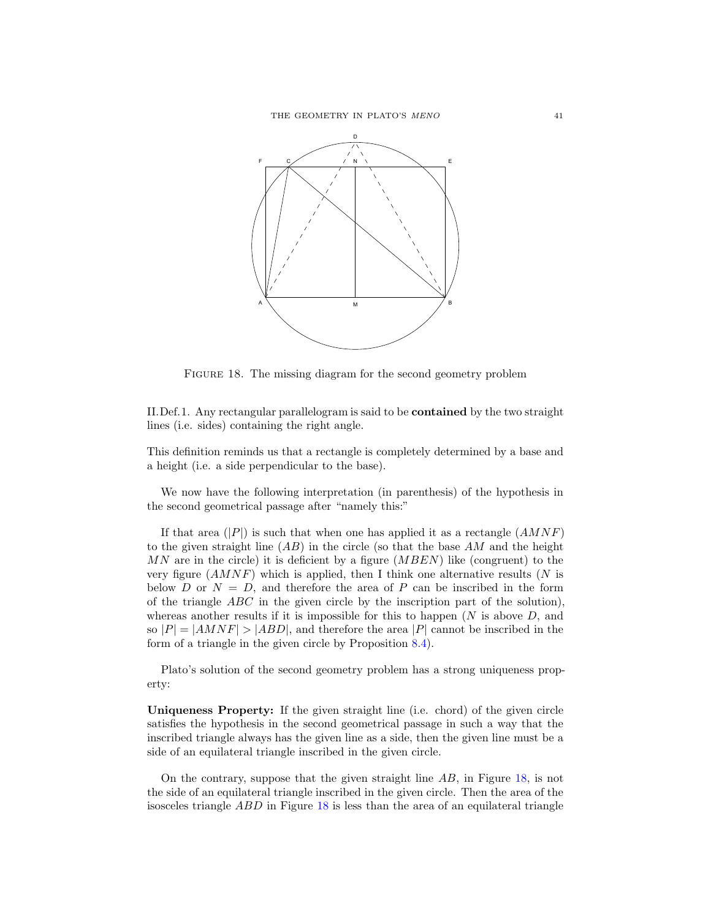

<span id="page-40-0"></span>FIGURE 18. The missing diagram for the second geometry problem

II.Def.1. Any rectangular parallelogram is said to be contained by the two straight lines (i.e. sides) containing the right angle.

This definition reminds us that a rectangle is completely determined by a base and a height (i.e. a side perpendicular to the base).

We now have the following interpretation (in parenthesis) of the hypothesis in the second geometrical passage after "namely this:"

If that area (|P|) is such that when one has applied it as a rectangle  $(AMNF)$ to the given straight line  $(AB)$  in the circle (so that the base AM and the height  $MN$  are in the circle) it is deficient by a figure  $(MBEN)$  like (congruent) to the very figure  $(AMNF)$  which is applied, then I think one alternative results (N is below D or  $N = D$ , and therefore the area of P can be inscribed in the form of the triangle  $ABC$  in the given circle by the inscription part of the solution), whereas another results if it is impossible for this to happen  $(N$  is above  $D$ , and so  $|P| = |AMNF| > |ABD|$ , and therefore the area  $|P|$  cannot be inscribed in the form of a triangle in the given circle by Proposition [8.4\)](#page-30-4).

Plato's solution of the second geometry problem has a strong uniqueness property:

Uniqueness Property: If the given straight line (i.e. chord) of the given circle satisfies the hypothesis in the second geometrical passage in such a way that the inscribed triangle always has the given line as a side, then the given line must be a side of an equilateral triangle inscribed in the given circle.

On the contrary, suppose that the given straight line  $AB$ , in Figure  $18$ , is not the side of an equilateral triangle inscribed in the given circle. Then the area of the isosceles triangle ABD in Figure [18](#page-40-0) is less than the area of an equilateral triangle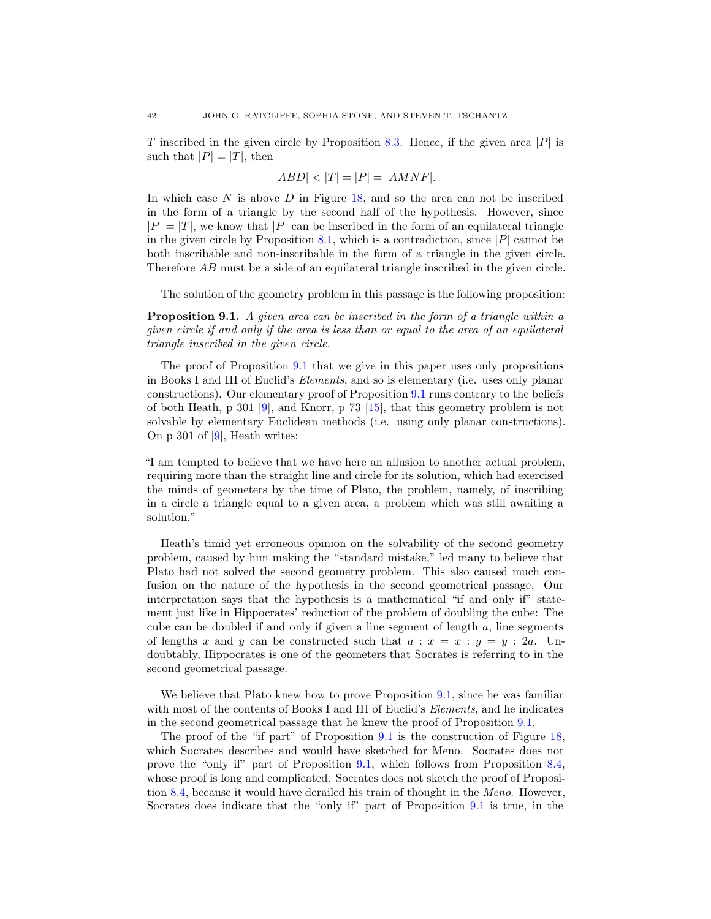T inscribed in the given circle by Proposition [8.3.](#page-30-3) Hence, if the given area |P| is such that  $|P| = |T|$ , then

$$
|ABD|<\vert T\vert=\vert P\vert=|AMNF|.
$$

In which case  $N$  is above  $D$  in Figure [18,](#page-40-0) and so the area can not be inscribed in the form of a triangle by the second half of the hypothesis. However, since  $|P| = |T|$ , we know that  $|P|$  can be inscribed in the form of an equilateral triangle in the given circle by Proposition [8.1,](#page-30-1) which is a contradiction, since  $|P|$  cannot be both inscribable and non-inscribable in the form of a triangle in the given circle. Therefore AB must be a side of an equilateral triangle inscribed in the given circle.

The solution of the geometry problem in this passage is the following proposition:

<span id="page-41-0"></span>**Proposition 9.1.** A given area can be inscribed in the form of a triangle within a given circle if and only if the area is less than or equal to the area of an equilateral triangle inscribed in the given circle.

The proof of Proposition [9.1](#page-41-0) that we give in this paper uses only propositions in Books I and III of Euclid's Elements, and so is elementary (i.e. uses only planar constructions). Our elementary proof of Proposition [9.1](#page-41-0) runs contrary to the beliefs of both Heath, p 301 [\[9\]](#page-48-0), and Knorr, p 73 [\[15\]](#page-48-4), that this geometry problem is not solvable by elementary Euclidean methods (i.e. using only planar constructions). On p 301 of  $[9]$ , Heath writes:

"I am tempted to believe that we have here an allusion to another actual problem, requiring more than the straight line and circle for its solution, which had exercised the minds of geometers by the time of Plato, the problem, namely, of inscribing in a circle a triangle equal to a given area, a problem which was still awaiting a solution."

Heath's timid yet erroneous opinion on the solvability of the second geometry problem, caused by him making the "standard mistake," led many to believe that Plato had not solved the second geometry problem. This also caused much confusion on the nature of the hypothesis in the second geometrical passage. Our interpretation says that the hypothesis is a mathematical "if and only if" statement just like in Hippocrates' reduction of the problem of doubling the cube: The cube can be doubled if and only if given a line segment of length  $a$ , line segments of lengths x and y can be constructed such that  $a : x = x : y = y : 2a$ . Undoubtably, Hippocrates is one of the geometers that Socrates is referring to in the second geometrical passage.

We believe that Plato knew how to prove Proposition [9.1,](#page-41-0) since he was familiar with most of the contents of Books I and III of Euclid's *Elements*, and he indicates in the second geometrical passage that he knew the proof of Proposition [9.1.](#page-41-0)

The proof of the "if part" of Proposition [9.1](#page-41-0) is the construction of Figure [18,](#page-40-0) which Socrates describes and would have sketched for Meno. Socrates does not prove the "only if" part of Proposition [9.1,](#page-41-0) which follows from Proposition [8.4,](#page-30-4) whose proof is long and complicated. Socrates does not sketch the proof of Proposition [8.4,](#page-30-4) because it would have derailed his train of thought in the Meno. However, Socrates does indicate that the "only if" part of Proposition [9.1](#page-41-0) is true, in the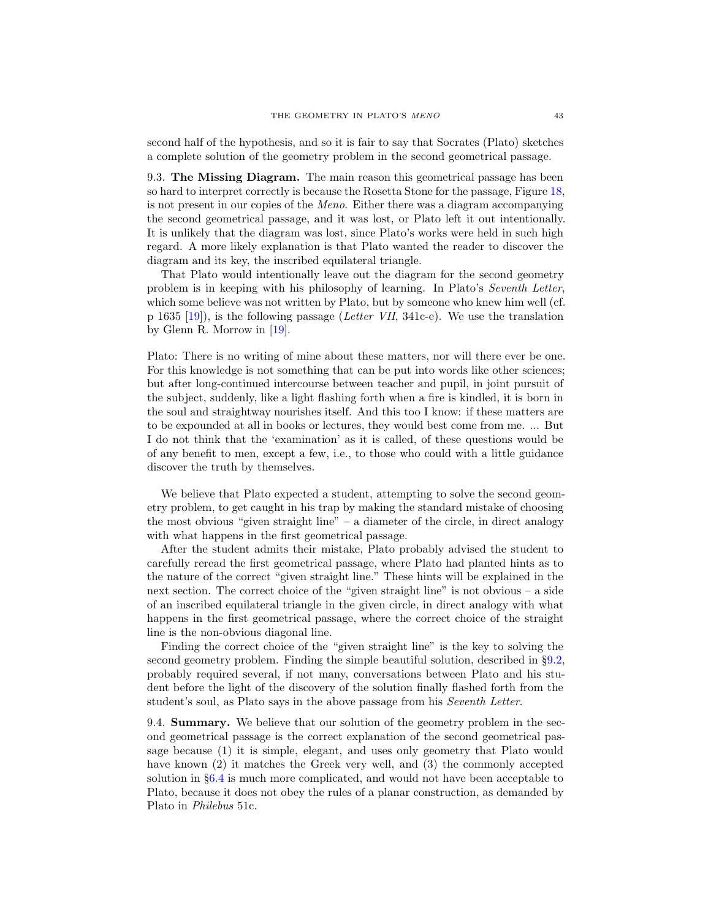second half of the hypothesis, and so it is fair to say that Socrates (Plato) sketches a complete solution of the geometry problem in the second geometrical passage.

9.3. The Missing Diagram. The main reason this geometrical passage has been so hard to interpret correctly is because the Rosetta Stone for the passage, Figure [18,](#page-40-0) is not present in our copies of the Meno. Either there was a diagram accompanying the second geometrical passage, and it was lost, or Plato left it out intentionally. It is unlikely that the diagram was lost, since Plato's works were held in such high regard. A more likely explanation is that Plato wanted the reader to discover the diagram and its key, the inscribed equilateral triangle.

That Plato would intentionally leave out the diagram for the second geometry problem is in keeping with his philosophy of learning. In Plato's Seventh Letter, which some believe was not written by Plato, but by someone who knew him well (cf. p 1635 [\[19\]](#page-49-2)), is the following passage (Letter VII, 341c-e). We use the translation by Glenn R. Morrow in [\[19\]](#page-49-2).

Plato: There is no writing of mine about these matters, nor will there ever be one. For this knowledge is not something that can be put into words like other sciences; but after long-continued intercourse between teacher and pupil, in joint pursuit of the subject, suddenly, like a light flashing forth when a fire is kindled, it is born in the soul and straightway nourishes itself. And this too I know: if these matters are to be expounded at all in books or lectures, they would best come from me. ... But I do not think that the 'examination' as it is called, of these questions would be of any benefit to men, except a few, i.e., to those who could with a little guidance discover the truth by themselves.

We believe that Plato expected a student, attempting to solve the second geometry problem, to get caught in his trap by making the standard mistake of choosing the most obvious "given straight line" – a diameter of the circle, in direct analogy with what happens in the first geometrical passage.

After the student admits their mistake, Plato probably advised the student to carefully reread the first geometrical passage, where Plato had planted hints as to the nature of the correct "given straight line." These hints will be explained in the next section. The correct choice of the "given straight line" is not obvious – a side of an inscribed equilateral triangle in the given circle, in direct analogy with what happens in the first geometrical passage, where the correct choice of the straight line is the non-obvious diagonal line.

Finding the correct choice of the "given straight line" is the key to solving the second geometry problem. Finding the simple beautiful solution, described in §[9.2,](#page-39-0) probably required several, if not many, conversations between Plato and his student before the light of the discovery of the solution finally flashed forth from the student's soul, as Plato says in the above passage from his Seventh Letter.

9.4. Summary. We believe that our solution of the geometry problem in the second geometrical passage is the correct explanation of the second geometrical passage because (1) it is simple, elegant, and uses only geometry that Plato would have known (2) it matches the Greek very well, and (3) the commonly accepted solution in §[6.4](#page-24-0) is much more complicated, and would not have been acceptable to Plato, because it does not obey the rules of a planar construction, as demanded by Plato in Philebus 51c.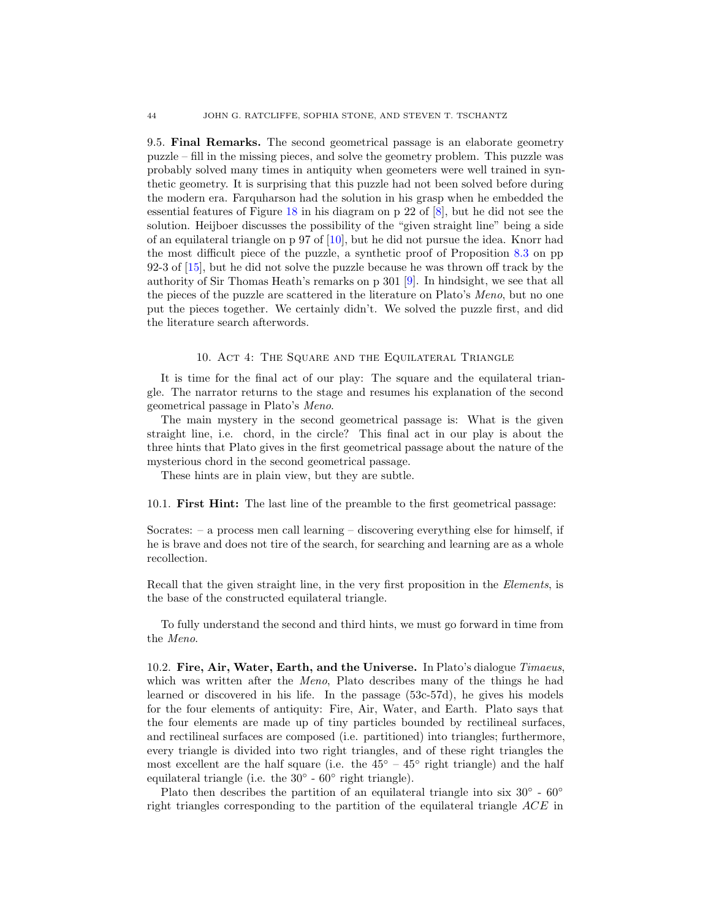9.5. Final Remarks. The second geometrical passage is an elaborate geometry puzzle – fill in the missing pieces, and solve the geometry problem. This puzzle was probably solved many times in antiquity when geometers were well trained in synthetic geometry. It is surprising that this puzzle had not been solved before during the modern era. Farquharson had the solution in his grasp when he embedded the essential features of Figure [18](#page-40-0) in his diagram on p 22 of [\[8\]](#page-48-12), but he did not see the solution. Heijboer discusses the possibility of the "given straight line" being a side of an equilateral triangle on p 97 of [\[10\]](#page-48-16), but he did not pursue the idea. Knorr had the most difficult piece of the puzzle, a synthetic proof of Proposition [8.3](#page-30-3) on pp 92-3 of [\[15\]](#page-48-4), but he did not solve the puzzle because he was thrown off track by the authority of Sir Thomas Heath's remarks on p 301 [\[9\]](#page-48-0). In hindsight, we see that all the pieces of the puzzle are scattered in the literature on Plato's Meno, but no one put the pieces together. We certainly didn't. We solved the puzzle first, and did the literature search afterwords.

# 10. Act 4: The Square and the Equilateral Triangle

<span id="page-43-0"></span>It is time for the final act of our play: The square and the equilateral triangle. The narrator returns to the stage and resumes his explanation of the second geometrical passage in Plato's Meno.

The main mystery in the second geometrical passage is: What is the given straight line, i.e. chord, in the circle? This final act in our play is about the three hints that Plato gives in the first geometrical passage about the nature of the mysterious chord in the second geometrical passage.

These hints are in plain view, but they are subtle.

10.1. First Hint: The last line of the preamble to the first geometrical passage:

Socrates: – a process men call learning – discovering everything else for himself, if he is brave and does not tire of the search, for searching and learning are as a whole recollection.

Recall that the given straight line, in the very first proposition in the *Elements*, is the base of the constructed equilateral triangle.

To fully understand the second and third hints, we must go forward in time from the Meno.

10.2. Fire, Air, Water, Earth, and the Universe. In Plato's dialogue Timaeus, which was written after the *Meno*, Plato describes many of the things he had learned or discovered in his life. In the passage (53c-57d), he gives his models for the four elements of antiquity: Fire, Air, Water, and Earth. Plato says that the four elements are made up of tiny particles bounded by rectilineal surfaces, and rectilineal surfaces are composed (i.e. partitioned) into triangles; furthermore, every triangle is divided into two right triangles, and of these right triangles the most excellent are the half square (i.e. the  $45^{\circ}$  –  $45^{\circ}$  right triangle) and the half equilateral triangle (i.e. the  $30^{\circ}$  -  $60^{\circ}$  right triangle).

Plato then describes the partition of an equilateral triangle into six  $30^{\circ}$  -  $60^{\circ}$ right triangles corresponding to the partition of the equilateral triangle ACE in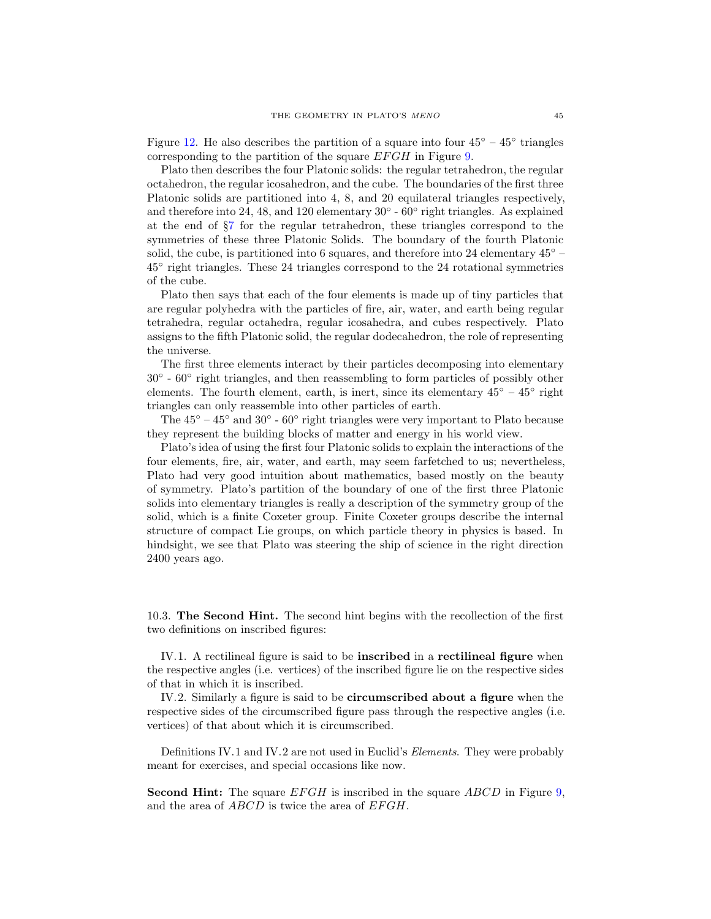Figure [12.](#page-31-0) He also describes the partition of a square into four  $45^{\circ} - 45^{\circ}$  triangles corresponding to the partition of the square  $EFGH$  in Figure [9.](#page-17-1)

Plato then describes the four Platonic solids: the regular tetrahedron, the regular octahedron, the regular icosahedron, and the cube. The boundaries of the first three Platonic solids are partitioned into 4, 8, and 20 equilateral triangles respectively, and therefore into 24, 48, and 120 elementary  $30^{\circ}$  -  $60^{\circ}$  right triangles. As explained at the end of §[7](#page-28-0) for the regular tetrahedron, these triangles correspond to the symmetries of these three Platonic Solids. The boundary of the fourth Platonic solid, the cube, is partitioned into 6 squares, and therefore into 24 elementary  $45°$  – 45◦ right triangles. These 24 triangles correspond to the 24 rotational symmetries of the cube.

Plato then says that each of the four elements is made up of tiny particles that are regular polyhedra with the particles of fire, air, water, and earth being regular tetrahedra, regular octahedra, regular icosahedra, and cubes respectively. Plato assigns to the fifth Platonic solid, the regular dodecahedron, the role of representing the universe.

The first three elements interact by their particles decomposing into elementary 30° - 60° right triangles, and then reassembling to form particles of possibly other elements. The fourth element, earth, is inert, since its elementary  $45^{\circ} - 45^{\circ}$  right triangles can only reassemble into other particles of earth.

The  $45^{\circ} - 45^{\circ}$  and  $30^{\circ}$  -  $60^{\circ}$  right triangles were very important to Plato because they represent the building blocks of matter and energy in his world view.

Plato's idea of using the first four Platonic solids to explain the interactions of the four elements, fire, air, water, and earth, may seem farfetched to us; nevertheless, Plato had very good intuition about mathematics, based mostly on the beauty of symmetry. Plato's partition of the boundary of one of the first three Platonic solids into elementary triangles is really a description of the symmetry group of the solid, which is a finite Coxeter group. Finite Coxeter groups describe the internal structure of compact Lie groups, on which particle theory in physics is based. In hindsight, we see that Plato was steering the ship of science in the right direction 2400 years ago.

10.3. The Second Hint. The second hint begins with the recollection of the first two definitions on inscribed figures:

IV.1. A rectilineal figure is said to be inscribed in a rectilineal figure when the respective angles (i.e. vertices) of the inscribed figure lie on the respective sides of that in which it is inscribed.

IV.2. Similarly a figure is said to be **circumscribed about a figure** when the respective sides of the circumscribed figure pass through the respective angles (i.e. vertices) of that about which it is circumscribed.

Definitions IV.1 and IV.2 are not used in Euclid's *Elements*. They were probably meant for exercises, and special occasions like now.

**Second Hint:** The square  $EFGH$  is inscribed in the square  $ABCD$  in Figure [9,](#page-17-1) and the area of  $ABCD$  is twice the area of  $EFGH$ .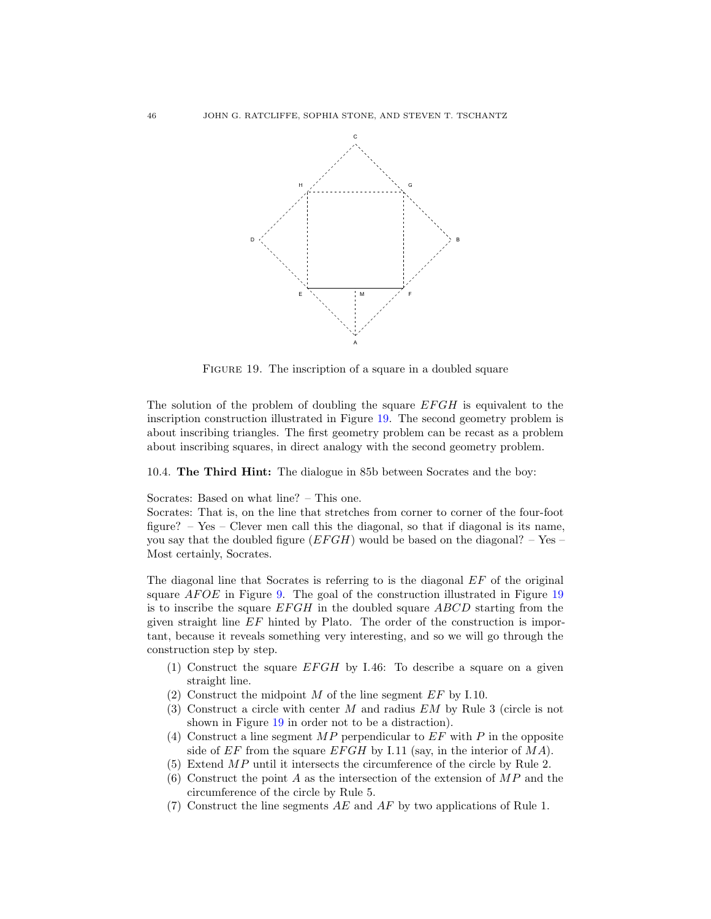

<span id="page-45-0"></span>FIGURE 19. The inscription of a square in a doubled square

The solution of the problem of doubling the square EFGH is equivalent to the inscription construction illustrated in Figure [19.](#page-45-0) The second geometry problem is about inscribing triangles. The first geometry problem can be recast as a problem about inscribing squares, in direct analogy with the second geometry problem.

10.4. The Third Hint: The dialogue in 85b between Socrates and the boy:

Socrates: Based on what line? – This one.

Socrates: That is, on the line that stretches from corner to corner of the four-foot figure? – Yes – Clever men call this the diagonal, so that if diagonal is its name, you say that the doubled figure  $(EFGH)$  would be based on the diagonal? – Yes – Most certainly, Socrates.

The diagonal line that Socrates is referring to is the diagonal  $EF$  of the original square  $AFOE$  in Figure [9.](#page-17-1) The goal of the construction illustrated in Figure [19](#page-45-0) is to inscribe the square  $EFGH$  in the doubled square  $ABCD$  starting from the given straight line EF hinted by Plato. The order of the construction is important, because it reveals something very interesting, and so we will go through the construction step by step.

- (1) Construct the square  $EFGH$  by I.46: To describe a square on a given straight line.
- (2) Construct the midpoint  $M$  of the line segment  $EF$  by I.10.
- (3) Construct a circle with center M and radius EM by Rule 3 (circle is not shown in Figure [19](#page-45-0) in order not to be a distraction).
- (4) Construct a line segment  $MP$  perpendicular to  $EF$  with P in the opposite side of  $EF$  from the square  $EFGH$  by I.11 (say, in the interior of  $MA$ ).
- (5) Extend MP until it intersects the circumference of the circle by Rule 2.
- (6) Construct the point A as the intersection of the extension of  $MP$  and the circumference of the circle by Rule 5.
- (7) Construct the line segments  $AE$  and  $AF$  by two applications of Rule 1.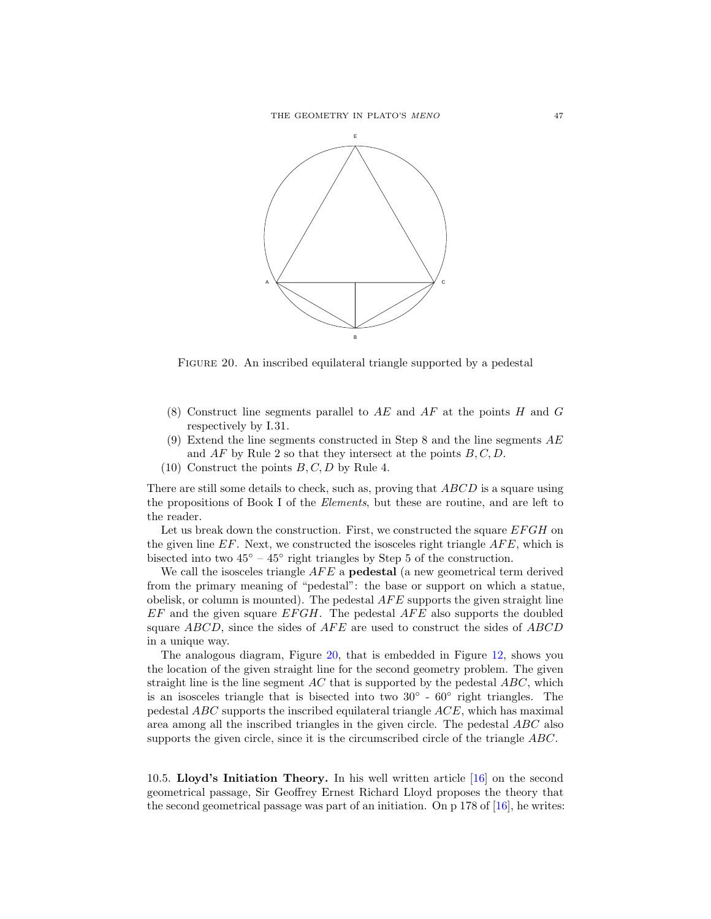

<span id="page-46-0"></span>FIGURE 20. An inscribed equilateral triangle supported by a pedestal

- (8) Construct line segments parallel to  $AE$  and  $AF$  at the points H and G respectively by I.31.
- (9) Extend the line segments constructed in Step 8 and the line segments  $AE$ and  $AF$  by Rule 2 so that they intersect at the points  $B, C, D$ .
- $(10)$  Construct the points  $B, C, D$  by Rule 4.

There are still some details to check, such as, proving that ABCD is a square using the propositions of Book I of the Elements, but these are routine, and are left to the reader.

Let us break down the construction. First, we constructed the square  $EFGH$  on the given line  $EF$ . Next, we constructed the isosceles right triangle  $AFE$ , which is bisected into two  $45^{\circ}$  –  $45^{\circ}$  right triangles by Step 5 of the construction.

We call the isosceles triangle  $AFE$  a **pedestal** (a new geometrical term derived from the primary meaning of "pedestal": the base or support on which a statue, obelisk, or column is mounted). The pedestal  $AFE$  supports the given straight line  $EF$  and the given square  $EFGH$ . The pedestal  $AFE$  also supports the doubled square  $ABCD$ , since the sides of  $AFE$  are used to construct the sides of  $ABCD$ in a unique way.

The analogous diagram, Figure [20,](#page-46-0) that is embedded in Figure [12,](#page-31-0) shows you the location of the given straight line for the second geometry problem. The given straight line is the line segment  $AC$  that is supported by the pedestal  $ABC$ , which is an isosceles triangle that is bisected into two  $30^{\circ}$  -  $60^{\circ}$  right triangles. The pedestal ABC supports the inscribed equilateral triangle ACE, which has maximal area among all the inscribed triangles in the given circle. The pedestal ABC also supports the given circle, since it is the circumscribed circle of the triangle ABC.

10.5. Lloyd's Initiation Theory. In his well written article [\[16\]](#page-48-5) on the second geometrical passage, Sir Geoffrey Ernest Richard Lloyd proposes the theory that the second geometrical passage was part of an initiation. On p 178 of [\[16\]](#page-48-5), he writes: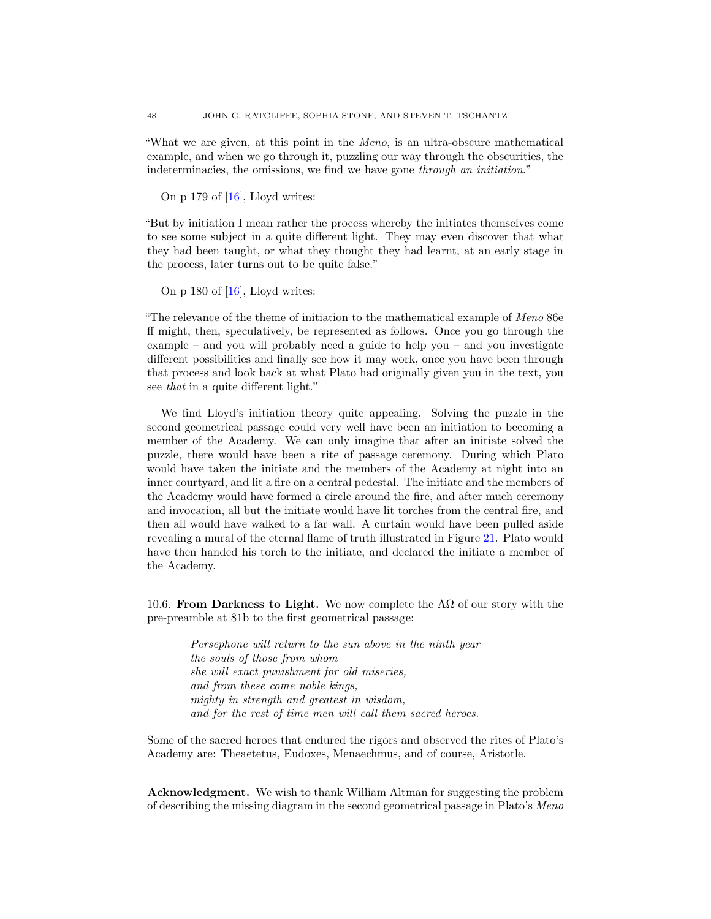"What we are given, at this point in the Meno, is an ultra-obscure mathematical example, and when we go through it, puzzling our way through the obscurities, the indeterminacies, the omissions, we find we have gone through an initiation."

On p 179 of  $[16]$ , Lloyd writes:

"But by initiation I mean rather the process whereby the initiates themselves come to see some subject in a quite different light. They may even discover that what they had been taught, or what they thought they had learnt, at an early stage in the process, later turns out to be quite false."

On p 180 of  $[16]$ , Lloyd writes:

"The relevance of the theme of initiation to the mathematical example of Meno 86e ff might, then, speculatively, be represented as follows. Once you go through the example – and you will probably need a guide to help you – and you investigate different possibilities and finally see how it may work, once you have been through that process and look back at what Plato had originally given you in the text, you see that in a quite different light."

We find Lloyd's initiation theory quite appealing. Solving the puzzle in the second geometrical passage could very well have been an initiation to becoming a member of the Academy. We can only imagine that after an initiate solved the puzzle, there would have been a rite of passage ceremony. During which Plato would have taken the initiate and the members of the Academy at night into an inner courtyard, and lit a fire on a central pedestal. The initiate and the members of the Academy would have formed a circle around the fire, and after much ceremony and invocation, all but the initiate would have lit torches from the central fire, and then all would have walked to a far wall. A curtain would have been pulled aside revealing a mural of the eternal flame of truth illustrated in Figure [21.](#page-48-17) Plato would have then handed his torch to the initiate, and declared the initiate a member of the Academy.

10.6. From Darkness to Light. We now complete the A $\Omega$  of our story with the pre-preamble at 81b to the first geometrical passage:

> Persephone will return to the sun above in the ninth year the souls of those from whom she will exact punishment for old miseries, and from these come noble kings, mighty in strength and greatest in wisdom, and for the rest of time men will call them sacred heroes.

Some of the sacred heroes that endured the rigors and observed the rites of Plato's Academy are: Theaetetus, Eudoxes, Menaechmus, and of course, Aristotle.

Acknowledgment. We wish to thank William Altman for suggesting the problem of describing the missing diagram in the second geometrical passage in Plato's Meno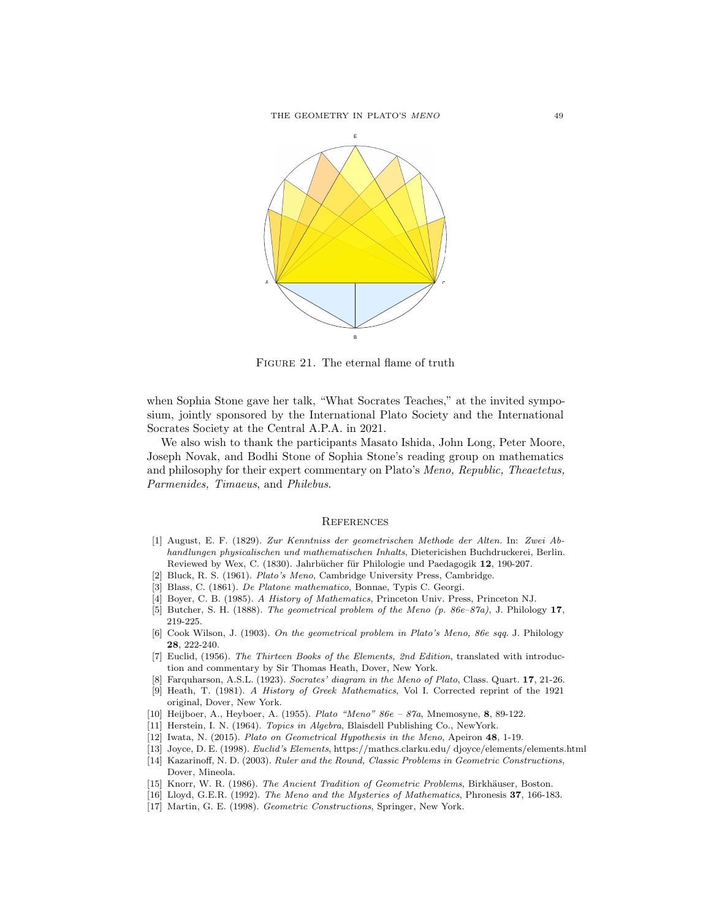THE GEOMETRY IN PLATO'S  $\emph{MENO}$  49



<span id="page-48-17"></span>FIGURE 21. The eternal flame of truth

when Sophia Stone gave her talk, "What Socrates Teaches," at the invited symposium, jointly sponsored by the International Plato Society and the International Socrates Society at the Central A.P.A. in 2021.

We also wish to thank the participants Masato Ishida, John Long, Peter Moore, Joseph Novak, and Bodhi Stone of Sophia Stone's reading group on mathematics and philosophy for their expert commentary on Plato's Meno, Republic, Theaetetus, Parmenides, Timaeus, and Philebus.

#### **REFERENCES**

- <span id="page-48-13"></span>[1] August, E. F. (1829). Zur Kenntniss der geometrischen Methode der Alten. In: Zwei Abhandlungen physicalischen und mathematischen Inhalts, Dietericishen Buchdruckerei, Berlin. Reviewed by Wex, C. (1830). Jahrbücher für Philologie und Paedagogik 12, 190-207.
- <span id="page-48-2"></span><span id="page-48-1"></span>[2] Bluck, R. S. (1961). Plato's Meno, Cambridge University Press, Cambridge.
- <span id="page-48-11"></span>[3] Blass, C. (1861). De Platone mathematico, Bonnae, Typis C. Georgi.
- <span id="page-48-14"></span>[4] Boyer, C. B. (1985). A History of Mathematics, Princeton Univ. Press, Princeton NJ.
- <span id="page-48-15"></span>[5] Butcher, S. H. (1888). The geometrical problem of the Meno (p. 86e–87a), J. Philology 17, 219-225.
- [6] Cook Wilson, J. (1903). On the geometrical problem in Plato's Meno, 86e sqq. J. Philology 28, 222-240.
- <span id="page-48-6"></span>[7] Euclid, (1956). The Thirteen Books of the Elements, 2nd Edition, translated with introduction and commentary by Sir Thomas Heath, Dover, New York.
- <span id="page-48-12"></span><span id="page-48-0"></span>[8] Farquharson, A.S.L. (1923). Socrates' diagram in the Meno of Plato, Class. Quart. 17, 21-26.
- [9] Heath, T. (1981). A History of Greek Mathematics, Vol I. Corrected reprint of the 1921 original, Dover, New York.
- <span id="page-48-16"></span><span id="page-48-10"></span>[10] Heijboer, A., Heyboer, A. (1955). Plato "Meno" 86e – 87a, Mnemosyne, 8, 89-122.
- <span id="page-48-3"></span>[11] Herstein, I. N. (1964). Topics in Algebra, Blaisdell Publishing Co., NewYork.
- <span id="page-48-7"></span>[12] Iwata, N. (2015). Plato on Geometrical Hypothesis in the Meno, Apeiron 48, 1-19.
- <span id="page-48-8"></span>[13] Joyce, D. E. (1998). Euclid's Elements, https://mathcs.clarku.edu/ djoyce/elements/elements.html
- [14] Kazarinoff, N. D. (2003). Ruler and the Round, Classic Problems in Geometric Constructions, Dover, Mineola.
- <span id="page-48-5"></span><span id="page-48-4"></span>[15] Knorr, W. R. (1986). The Ancient Tradition of Geometric Problems, Birkhäuser, Boston.
- <span id="page-48-9"></span>[16] Lloyd, G.E.R. (1992). The Meno and the Mysteries of Mathematics, Phronesis 37, 166-183.
- [17] Martin, G. E. (1998). Geometric Constructions, Springer, New York.